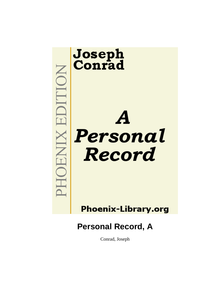

**Phoenix-Library.org** 

**Personal Record, A**

Conrad, Joseph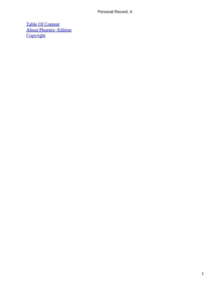[Table Of Content](#page-89-0) [About Phoenix−Edition](#page-90-0) **[Copyright](#page-93-0)**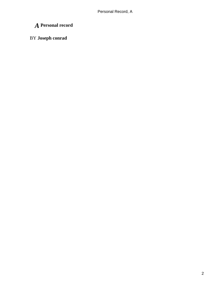# *A* **Personal record**

# BY **Joseph conrad**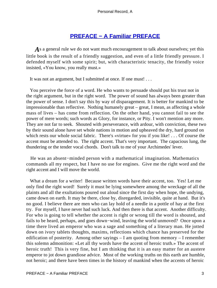# **[PREFACE − A Familiar PREFACE](#page-89-0)**

As a general rule we do not want much encouragement to talk about ourselves; yet this little book is the result of a friendly suggestion, and even of a little friendly pressure. I defended myself with some spirit; but, with characteristic tenacity, the friendly voice insisted, «You know, you really must.»

It was not an argument, but I submitted at once. If one must! . . .

 You perceive the force of a word. He who wants to persuade should put his trust not in the right argument, but in the right word. The power of sound has always been greater than the power of sense. I don't say this by way of disparagement. It is better for mankind to be impressionable than reflective. Nothing humanely great – great, I mean, as affecting a whole mass of lives – has come from reflection. On the other hand, you cannot fail to see the power of mere words; such words as Glory, for instance, or Pity. I won't mention any more. They are not far to seek. Shouted with perseverance, with ardour, with conviction, these two by their sound alone have set whole nations in motion and upheaved the dry, hard ground on which rests our whole social fabric. There's «virtue» for you if you like! . . . Of course the accent must be attended to. The right accent. That's very important. The capacious lung, the thundering or the tender vocal chords. Don't talk to me of your Archimedes' lever.

 He was an absent−minded person with a mathematical imagination. Mathematics commands all my respect, but I have no use for engines. Give me the right word and the right accent and I will move the world.

 What a dream for a writer! Because written words have their accent, too. Yes! Let me only find the right word! Surely it must be lying somewhere among the wreckage of all the plaints and all the exultations poured out aloud since the first day when hope, the undying, came down on earth. It may be there, close by, disregarded, invisible, quite at hand. But it's no good. I believe there are men who can lay hold of a needle in a pottle of hay at the first try. For myself, I have never had such luck. And then there is that accent. Another difficulty. For who is going to tell whether the accent is right or wrong till the word is shouted, and fails to be heard, perhaps, and goes down−wind, leaving the world unmoved? Once upon a time there lived an emperor who was a sage and something of a literary man. He jotted down on ivory tablets thoughts, maxims, reflections which chance has preserved for the edification of posterity. Among other sayings – I am quoting from memory – I remember this solemn admonition: «Let all thy words have the accent of heroic truth.» The accent of heroic truth! This is very fine, but I am thinking that it is an easy matter for an austere emperor to jot down grandiose advice. Most of the working truths on this earth are humble, not heroic; and there have been times in the history of mankind when the accents of heroic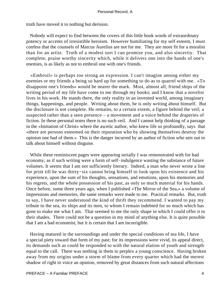truth have moved it to nothing but derision.

 Nobody will expect to find between the covers of this little book words of extraordinary potency or accents of irresistible heroism. However humiliating for my self esteem, I must confess that the counsels of Marcus Aurelius are not for me. They are more fit for a moralist than for an artist. Truth of a modest sort I can promise you, and also sincerity. That complete, praise worthy sincerity which, while it delivers one into the hands of one's enemies, is as likely as not to embroil one with one's friends.

 «Embroil» is perhaps too strong an expression. I can't imagine among either my enemies or my friends a being so hard up for something to do as to quarrel with me. «To disappoint one's friends» would be nearer the mark. Most, almost all, friend ships of the writing period of my life have come to me through my books; and I know that a novelist lives in his work. He stands there, the only reality in an invented world, among imaginary things, happenings, and people. Writing about them, he is only writing about himself. But the disclosure is not complete. He remains, to a certain extent, a figure behind the veil; a suspected rather than a seen presence – a movement and a voice behind the draperies of fiction. In these personal notes there is no such veil. And I cannot help thinking of a passage in the «Imitation of Christ» where the ascetic author, who knew life so profoundly, says that «there are persons esteemed on their reputation who by showing themselves destroy the opinion one had of them.» This is the danger incurred by an author of fiction who sets out to talk about himself without disguise.

 While these reminiscent pages were appearing serially I was remonstrated with for bad economy; as if such writing were a form of self−indulgence wasting the substance of future volumes. It seems that I am not sufficiently literary. Indeed, a man who never wrote a line for print till he was thirty−six cannot bring himself to look upon his existence and his experience, upon the sum of his thoughts, sensations, and emotions, upon his memories and his regrets, and the whole possession of his past, as only so much material for his hands. Once before, some three years ago, when I published «The Mirror of the Sea,» a volume of impressions and memories, the same remarks were made to me. Practical remarks. But, truth to say, I have never understood the kind of thrift they recommend. I wanted to pay my tribute to the sea, its ships and its men, to whom I remain indebted for so much which has gone to make me what I am. That seemed to me the only shape in which I could offer it to their shades. There could not be a question in my mind of anything else. It is quite possible that I am a bad economist; but it is certain that I am incorrigible.

 Having matured in the surroundings and under the special conditions of sea life, I have a special piety toward that form of my past; for its impressions were vivid, its appeal direct, its demands such as could be responded to with the natural elation of youth and strength equal to the call. There was nothing in them to perplex a young conscience. Having broken away from my origins under a storm of blame from every quarter which had the merest shadow of right to voice an opinion, removed by great distances from such natural affections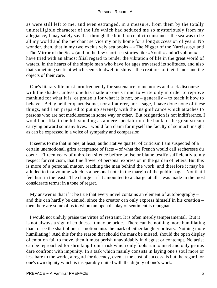as were still left to me, and even estranged, in a measure, from them by the totally unintelligible character of the life which had seduced me so mysteriously from my allegiance, I may safely say that through the blind force of circumstances the sea was to be all my world and the merchant service my only home for a long succession of years. No wonder, then, that in my two exclusively sea books – «The Nigger of the Narcissus,» and «The Mirror of the Sea» (and in the few short sea stories like «Youth» and «Typhoon» – I have tried with an almost filial regard to render the vibration of life in the great world of waters, in the hearts of the simple men who have for ages traversed its solitudes, and also that something sentient which seems to dwell in ships – the creatures of their hands and the objects of their care.

 One's literary life must turn frequently for sustenance to memories and seek discourse with the shades, unless one has made up one's mind to write only in order to reprove mankind for what it is, or praise it for what it is not, or – generally – to teach it how to behave. Being neither quarrelsome, nor a flatterer, nor a sage, I have done none of these things, and I am prepared to put up serenely with the insignificance which attaches to persons who are not meddlesome in some way or other. But resignation is not indifference. I would not like to be left standing as a mere spectator on the bank of the great stream carrying onward so many lives. I would fain claim for myself the faculty of so much insight as can be expressed in a voice of sympathy and compassion.

 It seems to me that in one, at least, authoritative quarter of criticism I am suspected of a certain unemotional, grim acceptance of facts – of what the French would call secheresse du coeur. Fifteen years of unbroken silence before praise or blame testify sufficiently to my respect for criticism, that fine flower of personal expression in the garden of letters. But this is more of a personal matter, reaching the man behind the work, and therefore it may be alluded to in a volume which is a personal note in the margin of the public page. Not that I feel hurt in the least. The charge – if it amounted to a charge at all – was made in the most considerate terms; in a tone of regret.

 My answer is that if it be true that every novel contains an element of autobiography – and this can hardly be denied, since the creator can only express himself in his creation – then there are some of us to whom an open display of sentiment is repugnant.

 I would not unduly praise the virtue of restraint. It is often merely temperamental. But it is not always a sign of coldness. It may be pride. There can be nothing more humiliating than to see the shaft of one's emotion miss the mark of either laughter or tears. Nothing more humiliating! And this for the reason that should the mark be missed, should the open display of emotion fail to move, then it must perish unavoidably in disgust or contempt. No artist can be reproached for shrinking from a risk which only fools run to meet and only genius dare confront with impunity. In a task which mainly consists in laying one's soul more or less bare to the world, a regard for decency, even at the cost of success, is but the regard for one's own dignity which is inseparably united with the dignity of one's work.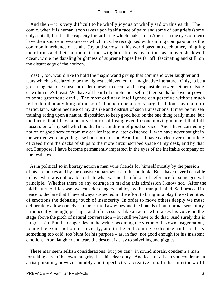And then – it is very difficult to be wholly joyous or wholly sad on this earth. The comic, when it is human, soon takes upon itself a face of pain; and some of our griefs (some only, not all, for it is the capacity for suffering which makes man August in the eyes of men) have their source in weaknesses which must be recognized with smiling com passion as the common inheritance of us all. Joy and sorrow in this world pass into each other, mingling their forms and their murmurs in the twilight of life as mysterious as an over shadowed ocean, while the dazzling brightness of supreme hopes lies far off, fascinating and still, on the distant edge of the horizon.

 Yes! I, too, would like to hold the magic wand giving that command over laughter and tears which is declared to be the highest achievement of imaginative literature. Only, to be a great magician one must surrender oneself to occult and irresponsible powers, either outside or within one's breast. We have all heard of simple men selling their souls for love or power to some grotesque devil. The most ordinary intelligence can perceive without much reflection that anything of the sort is bound to be a fool's bargain. I don't lay claim to particular wisdom because of my dislike and distrust of such transactions. It may be my sea training acting upon a natural disposition to keep good hold on the one thing really mine, but the fact is that I have a positive horror of losing even for one moving moment that full possession of my self which is the first condition of good service. And I have carried my notion of good service from my earlier into my later existence. I, who have never sought in the written word anything else but a form of the Beautiful – I have carried over that article of creed from the decks of ships to the more circumscribed space of my desk, and by that act, I suppose, I have become permanently imperfect in the eyes of the ineffable company of pure esthetes.

 As in political so in literary action a man wins friends for himself mostly by the passion of his prejudices and by the consistent narrowness of his outlook. But I have never been able to love what was not lovable or hate what was not hateful out of deference for some general principle. Whether there be any courage in making this admission I know not. After the middle turn of life's way we consider dangers and joys with a tranquil mind. So I proceed in peace to declare that I have always suspected in the effort to bring into play the extremities of emotions the debasing touch of insincerity. In order to move others deeply we must deliberately allow ourselves to be carried away beyond the bounds of our normal sensibility – innocently enough, perhaps, and of necessity, like an actor who raises his voice on the stage above the pitch of natural conversation – but still we have to do that. And surely this is no great sin. But the danger lies in the writer becoming the victim of his own exaggeration, losing the exact notion of sincerity, and in the end coming to despise truth itself as something too cold, too blunt for his purpose – as, in fact, not good enough for his insistent emotion. From laughter and tears the descent is easy to snivelling and giggles.

 These may seem selfish considerations; but you can't, in sound morals, condemn a man for taking care of his own integrity. It is his clear duty. And least of all can you condemn an artist pursuing, however humbly and imperfectly, a creative aim. In that interior world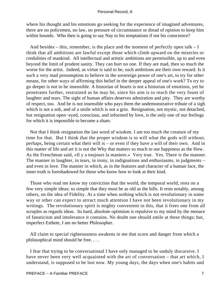where his thought and his emotions go seeking for the experience of imagined adventures, there are no policemen, no law, no pressure of circumstance or dread of opinion to keep him within bounds. Who then is going to say Nay to his temptations if not his conscience?

And besides – this, remember, is the place and the moment of perfectly open talk – I think that all ambitions are lawful except those which climb upward on the miseries or credulities of mankind. All intellectual and artistic ambitions are permissible, up to and even beyond the limit of prudent sanity. They can hurt no one. If they are mad, then so much the worse for the artist. Indeed, as virtue is said to be, such ambitions are their own reward. Is it such a very mad presumption to believe in the sovereign power of one's art, to try for other means, for other ways of affirming this belief in the deeper appeal of one's work? To try to go deeper is not to be insensible. A historian of hearts is not a historian of emotions, yet he penetrates further, restrained as he may be, since his aim is to reach the very fount of laughter and tears. The sight of human affairs deserves admiration and pity. They are worthy of respect, too. And he is not insensible who pays them the undemonstrative tribute of a sigh which is not a sob, and of a smile which is not a grin. Resignation, not mystic, not detached, but resignation open−eyed, conscious, and informed by love, is the only one of our feelings for which it is impossible to become a sham.

 Not that I think resignation the last word of wisdom. I am too much the creature of my time for that. But I think that the proper wisdom is to will what the gods will without, perhaps, being certain what their will is – or even if they have a will of their own. And in this matter of life and art it is not the Why that matters so much to our happiness as the How. As the Frenchman said, «Il y a toujours la maniere.» Very true. Yes. There is the manner. The manner in laughter, in tears, in irony, in indignations and enthusiasms, in judgments – and even in love. The manner in which, as in the features and character of a human face, the inner truth is foreshadowed for those who know how to look at their kind.

 Those who read me know my conviction that the world, the temporal world, rests on a few very simple ideas; so simple that they must be as old as the hills. It rests notably, among others, on the idea of Fidelity. At a time when nothing which is not revolutionary in some way or other can expect to attract much attention I have not been revolutionary in my writings. The revolutionary spirit is mighty convenient in this, that it frees one from all scruples as regards ideas. Its hard, absolute optimism is repulsive to my mind by the menace of fanaticism and intolerance it contains. No doubt one should smile at these things; but, imperfect Esthete, I am no better Philosopher.

 All claim to special righteousness awakens in me that scorn and danger from which a philosophical mind should be free. . . .

 I fear that trying to be conversational I have only managed to be unduly discursive. I have never been very well acquainted with the art of conversation – that art which, I understand, is supposed to be lost now. My young days, the days when one's habits and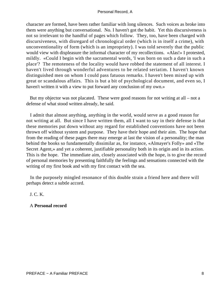character are formed, have been rather familiar with long silences. Such voices as broke into them were anything but conversational. No. I haven't got the habit. Yet this discursiveness is not so irrelevant to the handful of pages which follow. They, too, have been charged with discursiveness, with disregard of chronological order (which is in itself a crime), with unconventionality of form (which is an impropriety). I was told severely that the public would view with displeasure the informal character of my recollections. «Alas!» I protested, mildly. «Could I begin with the sacramental words, 'I was born on such a date in such a place'? The remoteness of the locality would have robbed the statement of all interest. I haven't lived through wonderful adventures to be related seriatim. I haven't known distinguished men on whom I could pass fatuous remarks. I haven't been mixed up with great or scandalous affairs. This is but a bit of psychological document, and even so, I haven't written it with a view to put forward any conclusion of my own.»

 But my objector was not placated. These were good reasons for not writing at all – not a defense of what stood written already, he said.

 I admit that almost anything, anything in the world, would serve as a good reason for not writing at all. But since I have written them, all I want to say in their defense is that these memories put down without any regard for established conventions have not been thrown off without system and purpose. They have their hope and their aim. The hope that from the reading of these pages there may emerge at last the vision of a personality; the man behind the books so fundamentally dissimilar as, for instance, «Almayer's Folly» and «The Secret Agent,» and yet a coherent, justifiable personality both in its origin and in its action. This is the hope. The immediate aim, closely associated with the hope, is to give the record of personal memories by presenting faithfully the feelings and sensations connected with the writing of my first book and with my first contact with the sea.

 In the purposely mingled resonance of this double strain a friend here and there will perhaps detect a subtle accord.

J. C. K.

A **Personal record**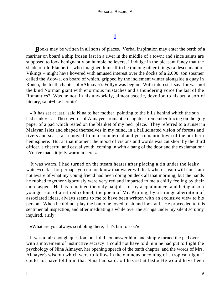# **[I](#page-89-0)**

*Books* may be written in all sorts of places. Verbal inspiration may enter the berth of a mariner on board a ship frozen fast in a river in the middle of a town; and since saints are supposed to look benignantly on humble believers, I indulge in the pleasant fancy that the shade of old Flaubert – who imagined himself to be (among other things) a descendant of Vikings – might have hovered with amused interest over the docks of a 2,000−ton steamer called the Adowa, on board of which, gripped by the inclement winter alongside a quay in Rouen, the tenth chapter of «Almayer's Folly» was begun. With interest, I say, for was not the kind Norman giant with enormous mustaches and a thundering voice the last of the Romantics? Was he not, in his unworldly, almost ascetic, devotion to his art, a sort of literary, saint−like hermit?

 «'It has set at last,' said Nina to her mother, pointing to the hills behind which the sun had sunk.» . . . These words of Almayer's romantic daughter I remember tracing on the gray paper of a pad which rested on the blanket of my bed−place. They referred to a sunset in Malayan Isles and shaped themselves in my mind, in a hallucinated vision of forests and rivers and seas, far removed from a commercial and yet romantic town of the northern hemisphere. But at that moment the mood of visions and words was cut short by the third officer, a cheerful and casual youth, coming in with a bang of the door and the exclamation: «You've made it jolly warm in here.»

 It was warm. I had turned on the steam heater after placing a tin under the leaky water−cock – for perhaps you do not know that water will leak where steam will not. I am not aware of what my young friend had been doing on deck all that morning, but the hands he rubbed together vigorously were very red and imparted to me a chilly feeling by their mere aspect. He has remained the only banjoist of my acquaintance, and being also a younger son of a retired colonel, the poem of Mr. Kipling, by a strange aberration of associated ideas, always seems to me to have been written with an exclusive view to his person. When he did not play the banjo he loved to sit and look at it. He proceeded to this sentimental inspection, and after meditating a while over the strings under my silent scrutiny inquired, airily:

«What are you always scribbling there, if it's fair to ask?»

 It was a fair enough question, but I did not answer him, and simply turned the pad over with a movement of instinctive secrecy: I could not have told him he had put to flight the psychology of Nina Almayer, her opening speech of the tenth chapter, and the words of Mrs. Almayer's wisdom which were to follow in the ominous oncoming of a tropical night. I could not have told him that Nina had said, «It has set at last.» He would have been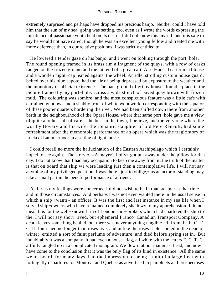extremely surprised and perhaps have dropped his precious banjo. Neither could I have told him that the sun of my sea−going was setting, too, even as I wrote the words expressing the impatience of passionate youth bent on its desire. I did not know this myself, and it is safe to say he would not have cared, though he was an excellent young fellow and treated me with more deference than, in our relative positions, I was strictly entitled to.

 He lowered a tender gaze on his banjo, and I went on looking through the port−hole. The round opening framed in its brass rim a fragment of the quays, with a row of casks ranged on the frozen ground and the tail end of a great cart. A red−nosed carter in a blouse and a woollen night−cap leaned against the wheel. An idle, strolling custom house guard, belted over his blue capote, had the air of being depressed by exposure to the weather and the monotony of official existence. The background of grimy houses found a place in the picture framed by my port−hole, across a wide stretch of paved quay brown with frozen mud. The colouring was sombre, and the most conspicuous feature was a little cafe with curtained windows and a shabby front of white woodwork, corresponding with the squalor of these poorer quarters bordering the river. We had been shifted down there from another berth in the neighbourhood of the Opera House, where that same port−hole gave me a view of quite another soft of cafe – the best in the town, I believe, and the very one where the worthy Bovary and his wife, the romantic daughter of old Pere Renault, had some refreshment after the memorable performance of an opera which was the tragic story of Lucia di Lammermoor in a setting of light music.

 I could recall no more the hallucination of the Eastern Archipelago which I certainly hoped to see again. The story of «Almayer's Folly» got put away under the pillow for that day. I do not know that I had any occupation to keep me away from it; the truth of the matter is that on board that ship we were leading just then a contemplative life. I will not say anything of my privileged position. I was there «just to oblige,» as an actor of standing may take a small part in the benefit performance of a friend.

 As far as my feelings were concerned I did not wish to be in that steamer at that time and in those circumstances. And perhaps I was not even wanted there in the usual sense in which a ship «wants» an officer. It was the first and last instance in my sea life when I served ship−owners who have remained completely shadowy to my apprehension. I do not mean this for the well−known firm of London ship−brokers which had chartered the ship to the, I will not say short−lived, but ephemeral Franco−Canadian Transport Company. A death leaves something behind, but there was never anything tangible left from the F. C. T. C. It flourished no longer than roses live, and unlike the roses it blossomed in the dead of winter, emitted a sort of faint perfume of adventure, and died before spring set in. But indubitably it was a company, it had even a house−flag, all white with the letters F. C. T. C. artfully tangled up in a complicated monogram. We flew it at our mainmast head, and now I have come to the conclusion that it was the only flag of its kind in existence. All the same we on board, for many days, had the impression of being a unit of a large fleet with fortnightly departures for Montreal and Quebec as advertised in pamphlets and prospectuses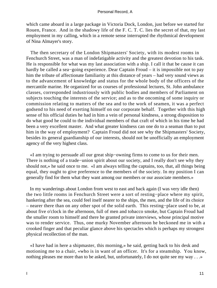which came aboard in a large package in Victoria Dock, London, just before we started for Rouen, France. And in the shadowy life of the F. C. T. C. lies the secret of that, my last employment in my calling, which in a remote sense interrupted the rhythmical development of Nina Almayer's story.

 The then secretary of the London Shipmasters' Society, with its modest rooms in Fenchurch Street, was a man of indefatigable activity and the greatest devotion to his task. He is responsible for what was my last association with a ship. I call it that be cause it can hardly be called a sea−going experience. Dear Captain Froud – it is impossible not to pay him the tribute of affectionate familiarity at this distance of years – had very sound views as to the advancement of knowledge and status for the whole body of the officers of the mercantile marine. He organized for us courses of professional lectures, St. John ambulance classes, corresponded industriously with public bodies and members of Parliament on subjects touching the interests of the service; and as to the oncoming of some inquiry or commission relating to matters of the sea and to the work of seamen, it was a perfect godsend to his need of exerting himself on our corporate behalf. Together with this high sense of his official duties he had in him a vein of personal kindness, a strong disposition to do what good he could to the individual members of that craft of which in his time he had been a very excellent master. And what greater kindness can one do to a seaman than to put him in the way of employment? Captain Froud did not see why the Shipmasters' Society, besides its general guardianship of our interests, should not be unofficially an employment agency of the very highest class.

 «I am trying to persuade all our great ship−owning firms to come to us for their men. There is nothing of a trade−union spirit about our society, and I really don't see why they should not,» he said once to me. «I am always telling the captains, too, that, all things being equal, they ought to give preference to the members of the society. In my position I can generally find for them what they want among our members or our associate members.»

 In my wanderings about London from west to east and back again (I was very idle then) the two little rooms in Fenchurch Street were a sort of resting−place where my spirit, hankering after the sea, could feel itself nearer to the ships, the men, and the life of its choice – nearer there than on any other spot of the solid earth. This resting−place used to be, at about five o'clock in the afternoon, full of men and tobacco smoke, but Captain Froud had the smaller room to himself and there he granted private interviews, whose principal motive was to render service. Thus, one murky November afternoon he beckoned me in with a crooked finger and that peculiar glance above his spectacles which is perhaps my strongest physical recollection of the man.

 «I have had in here a shipmaster, this morning,» he said, getting back to his desk and motioning me to a chair, «who is in want of an officer. It's for a steamship. You know, nothing pleases me more than to be asked, but, unfortunately, I do not quite see my way . . . »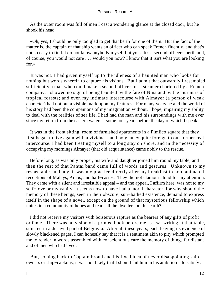As the outer room was full of men I cast a wondering glance at the closed door; but he shook his head.

 «Oh, yes, I should be only too glad to get that berth for one of them. But the fact of the matter is, the captain of that ship wants an officer who can speak French fluently, and that's not so easy to find. I do not know anybody myself but you. It's a second officer's berth and, of course, you would not care . . . would you now? I know that it isn't what you are looking for.»

 It was not. I had given myself up to the idleness of a haunted man who looks for nothing but words wherein to capture his visions. But I admit that outwardly I resembled sufficiently a man who could make a second officer for a steamer chartered by a French company. I showed no sign of being haunted by the fate of Nina and by the murmurs of tropical forests; and even my intimate intercourse with Almayer (a person of weak character) had not put a visible mark upon my features. For many years he and the world of his story had been the companions of my imagination without, I hope, impairing my ability to deal with the realities of sea life. I had had the man and his surroundings with me ever since my return from the eastern waters – some four years before the day of which I speak.

 It was in the front sitting−room of furnished apartments in a Pimlico square that they first began to live again with a vividness and poignancy quite foreign to our former real intercourse. I had been treating myself to a long stay on shore, and in the necessity of occupying my mornings Almayer (that old acquaintance) came nobly to the rescue.

 Before long, as was only proper, his wife and daughter joined him round my table, and then the rest of that Pantai band came full of words and gestures. Unknown to my respectable landlady, it was my practice directly after my breakfast to hold animated receptions of Malays, Arabs, and half−castes. They did not clamour aloud for my attention. They came with a silent and irresistible appeal – and the appeal, I affirm here, was not to my self−love or my vanity. It seems now to have had a moral character, for why should the memory of these beings, seen in their obscure, sun−bathed existence, demand to express itself in the shape of a novel, except on the ground of that mysterious fellowship which unites in a community of hopes and fears all the dwellers on this earth?

 I did not receive my visitors with boisterous rapture as the bearers of any gifts of profit or fame. There was no vision of a printed book before me as I sat writing at that table, situated in a decayed part of Belgravia. After all these years, each leaving its evidence of slowly blackened pages, I can honestly say that it is a sentiment akin to pity which prompted me to render in words assembled with conscientious care the memory of things far distant and of men who had lived.

 But, coming back to Captain Froud and his fixed idea of never disappointing ship owners or ship−captains, it was not likely that I should fail him in his ambition – to satisfy at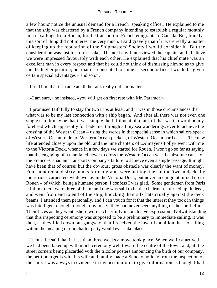a few hours' notice the unusual demand for a French−speaking officer. He explained to me that the ship was chartered by a French company intending to establish a regular monthly line of sailings from Rouen, for the transport of French emigrants to Canada. But, frankly, this sort of thing did not interest me very much. I said gravely that if it were really a matter of keeping up the reputation of the Shipmasters' Society I would consider it. But the consideration was just for form's sake. The next day I interviewed the captain, and I believe we were impressed favourably with each other. He explained that his chief mate was an excellent man in every respect and that he could not think of dismissing him so as to give me the higher position; but that if I consented to come as second officer I would be given certain special advantages – and so on.

I told him that if I came at all the rank really did not matter.

«I am sure,» he insisted, «you will get on first rate with Mr. Paramor.»

 I promised faithfully to stay for two trips at least, and it was in those circumstances that what was to be my last connection with a ship began. And after all there was not even one single trip. It may be that it was simply the fulfilment of a fate, of that written word on my forehead which apparently for bade me, through all my sea wanderings, ever to achieve the crossing of the Western Ocean – using the words in that special sense in which sailors speak of Western Ocean trade, of Western Ocean packets, of Western Ocean hard cases. The new life attended closely upon the old, and the nine chapters of «Almayer's Folly» went with me to the Victoria Dock, whence in a few days we started for Rouen. I won't go so far as saying that the engaging of a man fated never to cross the Western Ocean was the absolute cause of the Franco−Canadian Transport Company's failure to achieve even a single passage. It might have been that of course; but the obvious, gross obstacle was clearly the want of money. Four hundred and sixty bunks for emigrants were put together in the 'tween decks by industrious carpenters while we lay in the Victoria Dock, but never an emigrant turned up in Rouen – of which, being a humane person, I confess I was glad. Some gentlemen from Paris – I think there were three of them, and one was said to be the chairman – turned up, indeed, and went from end to end of the ship, knocking their silk hats cruelly against the deck beams. I attended them personally, and I can vouch for it that the interest they took in things was intelligent enough, though, obviously, they had never seen anything of the sort before. Their faces as they went ashore wore a cheerfully inconclusive expression. Notwithstanding that this inspecting ceremony was supposed to be a preliminary to immediate sailing, it was then, as they filed down our gangway, that I received the inward monition that no sailing within the meaning of our charter party would ever take place.

 It must be said that in less than three weeks a move took place. When we first arrived we had been taken up with much ceremony well toward the centre of the town, and, all the street corners being placarded with the tricolor posters announcing the birth of our company, the petit bourgeois with his wife and family made a Sunday holiday from the inspection of the ship. I was always in evidence in my best uniform to give information as though I had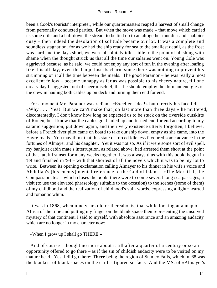been a Cook's tourists' interpreter, while our quartermasters reaped a harvest of small change from personally conducted parties. But when the move was made – that move which carried us some mile and a half down the stream to be tied up to an altogether muddier and shabbier quay – then indeed the desolation of solitude became our lot. It was a complete and soundless stagnation; for as we had the ship ready for sea to the smallest detail, as the frost was hard and the days short, we were absolutely idle – idle to the point of blushing with shame when the thought struck us that all the time our salaries went on. Young Cole was aggrieved because, as he said, we could not enjoy any sort of fun in the evening after loafing like this all day; even the banjo lost its charm since there was nothing to prevent his strumming on it all the time between the meals. The good Paramor – he was really a most excellent fellow – became unhappy as far as was possible to his cheery nature, till one dreary day I suggested, out of sheer mischief, that he should employ the dormant energies of the crew in hauling both cables up on deck and turning them end for end.

 For a moment Mr. Paramor was radiant. «Excellent idea!» but directly his face fell. «Why . . . Yes! But we can't make that job last more than three days,» he muttered, discontentedly. I don't know how long he expected us to be stuck on the riverside outskirts of Rouen, but I know that the cables got hauled up and turned end for end according to my satanic suggestion, put down again, and their very existence utterly forgotten, I believe, before a French river pilot came on board to take our ship down, empty as she came, into the Havre roads. You may think that this state of forced idleness favoured some advance in the fortunes of Almayer and his daughter. Yet it was not so. As if it were some sort of evil spell, my banjoist cabin mate's interruption, as related above, had arrested them short at the point of that fateful sunset for many weeks together. It was always thus with this book, begun in '89 and finished in '94 – with that shortest of all the novels which it was to be my lot to write. Between its opening exclamation calling Almayer to his dinner in his wife's voice and Abdullah's (his enemy) mental reference to the God of Islam – «The Merciful, the Compassionate» – which closes the book, there were to come several long sea passages, a visit (to use the elevated phraseology suitable to the occasion) to the scenes (some of them) of my childhood and the realization of childhood's vain words, expressing a light−hearted and romantic whim.

 It was in 1868, when nine years old or thereabouts, that while looking at a map of Africa of the time and putting my finger on the blank space then representing the unsolved mystery of that continent, I said to myself, with absolute assurance and an amazing audacity which are no longer in my character now:

«When I grow up I shall go THERE.»

 And of course I thought no more about it till after a quarter of a century or so an opportunity offered to go there – as if the sin of childish audacity were to be visited on my mature head. Yes. I did go there: **There** being the region of Stanley Falls, which in '68 was the blankest of blank spaces on the earth's figured surface. And the MS. of «Almayer's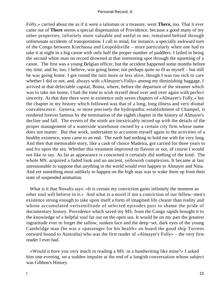Folly,» carried about me as if it were a talisman or a treasure, went **There,** too. That it ever came out of **There** seems a special dispensation of Providence, because a good many of my other properties, infinitely more valuable and useful to me, remained behind through unfortunate accidents of transportation. I call to mind, for instance, a specially awkward turn of the Congo between Kinchassa and Leopoldsville – more particularly when one had to take it at night in a big canoe with only half the proper number of paddlers. I failed in being the second white man on record drowned at that interesting spot through the upsetting of a canoe. The first was a young Belgian officer, but the accident happened some months before my time, and he, too, I believe, was going home; not perhaps quite so ill as myself – but still he was going home. I got round the turn more or less alive, though I was too sick to care whether I did or not, and, always with «Almayer's Folly» among my diminishing baggage, I arrived at that delectable capital, Boma, where, before the departure of the steamer which was to take me home, I had the time to wish myself dead over and over again with perfect sincerity. At that date there were in existence only seven chapters of «Almayer's Folly,» but the chapter in my history which followed was that of a long, long illness and very dismal convalescence. Geneva, or more precisely the hydropathic establishment of Champel, is rendered forever famous by the termination of the eighth chapter in the history of Almayer's decline and fall. The events of the ninth are inextricably mixed up with the details of the proper management of a waterside warehouse owned by a certain city firm whose name does not matter. But that work, undertaken to accustom myself again to the activities of a healthy existence, soon came to an end. The earth had nothing to hold me with for very long. And then that memorable story, like a cask of choice Madeira, got carried for three years to and fro upon the sea. Whether this treatment improved its flavour or not, of course I would not like to say. As far as appearance is concerned it certainly did nothing of the kind. The whole MS. acquired a faded look and an ancient, yellowish complexion. It became at last unreasonable to suppose that anything in the world would ever happen to Almayer and Nina. And yet something most unlikely to happen on the high seas was to wake them up from their state of suspended animation.

What is it that Novalis says: «It is certain my conviction gains infinitely the moment an other soul will believe in it.» And what is a novel if not a conviction of our fellow−men's existence strong enough to take upon itself a form of imagined life clearer than reality and whose accumulated verisimilitude of selected episodes puts to shame the pride of documentary history. Providence which saved my MS. from the Congo rapids brought it to the knowledge of a helpful soul far out on the open sea. It would be on my part the greatest ingratitude ever to forget the sallow, sunken face and the deep−set, dark eyes of the young Cambridge man (he was a «passenger for his health» on board the good ship Torrens outward bound to Australia) who was the first reader of «Almayer's Folly» – the very first reader I ever had.

 «Would it bore you very much in reading a MS. in a handwriting like mine?» I asked him one evening, on a sudden impulse at the end of a longish conversation whose subject was Gibbon's History.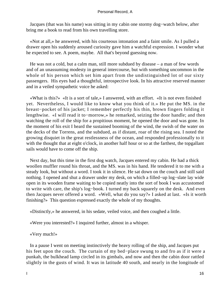Jacques (that was his name) was sitting in my cabin one stormy dog−watch below, after bring me a book to read from his own travelling store.

 «Not at all,» he answered, with his courteous intonation and a faint smile. As I pulled a drawer open his suddenly aroused curiosity gave him a watchful expression. I wonder what he expected to see. A poem, maybe. All that's beyond guessing now.

 He was not a cold, but a calm man, still more subdued by disease – a man of few words and of an unassuming modesty in general intercourse, but with something uncommon in the whole of his person which set him apart from the undistinguished lot of our sixty passengers. His eyes had a thoughtful, introspective look. In his attractive reserved manner and in a veiled sympathetic voice he asked:

 «What is this?» «It is a sort of tale,» I answered, with an effort. «It is not even finished yet. Nevertheless, I would like to know what you think of it.» He put the MS. in the breast−pocket of his jacket; I remember perfectly his thin, brown fingers folding it lengthwise. «I will read it to−morrow,» he remarked, seizing the door handle; and then watching the roll of the ship for a propitious moment, he opened the door and was gone. In the moment of his exit I heard the sustained booming of the wind, the swish of the water on the decks of the Torrens, and the subdued, as if distant, roar of the rising sea. I noted the growing disquiet in the great restlessness of the ocean, and responded professionally to it with the thought that at eight o'clock, in another half hour or so at the farthest, the topgallant sails would have to come off the ship.

 Next day, but this time in the first dog watch, Jacques entered my cabin. He had a thick woollen muffler round his throat, and the MS. was in his hand. He tendered it to me with a steady look, but without a word. I took it in silence. He sat down on the couch and still said nothing. I opened and shut a drawer under my desk, on which a filled−up log−slate lay wide open in its wooden frame waiting to be copied neatly into the sort of book I was accustomed to write with care, the ship's log−book. I turned my back squarely on the desk. And even then Jacques never offered a word. «Well, what do you say?» I asked at last. «Is it worth finishing?» This question expressed exactly the whole of my thoughts.

«Distinctly,» he answered, in his sedate, veiled voice, and then coughed a little.

«Were you interested?» I inquired further, almost in a whisper.

«Very much!»

 In a pause I went on meeting instinctively the heavy rolling of the ship, and Jacques put his feet upon the couch. The curtain of my bed−place swung to and fro as if it were a punkah, the bulkhead lamp circled in its gimbals, and now and then the cabin door rattled slightly in the gusts of wind. It was in latitude 40 south, and nearly in the longitude of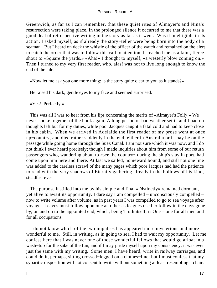Greenwich, as far as I can remember, that these quiet rites of Almayer's and Nina's resurrection were taking place. In the prolonged silence it occurred to me that there was a good deal of retrospective writing in the story as far as it went. Was it intelligible in its action, I asked myself, as if already the story−teller were being born into the body of a seaman. But I heard on deck the whistle of the officer of the watch and remained on the alert to catch the order that was to follow this call to attention. It reached me as a faint, fierce shout to «Square the yards.» «Aha!» I thought to myself, «a westerly blow coming on.» Then I turned to my very first reader, who, alas! was not to live long enough to know the end of the tale.

«Now let me ask you one more thing: is the story quite clear to you as it stands?»

He raised his dark, gentle eyes to my face and seemed surprised.

«Yes! Perfectly.»

 This was all I was to hear from his lips concerning the merits of «Almayer's Folly.» We never spoke together of the book again. A long period of bad weather set in and I had no thoughts left but for my duties, while poor Jacques caught a fatal cold and had to keep close in his cabin. When we arrived in Adelaide the first reader of my prose went at once up−country, and died rather suddenly in the end, either in Australia or it may be on the passage while going home through the Suez Canal. I am not sure which it was now, and I do not think I ever heard precisely; though I made inquiries about him from some of our return passengers who, wandering about to «see the country» during the ship's stay in port, had come upon him here and there. At last we sailed, homeward bound, and still not one line was added to the careless scrawl of the many pages which poor Jacques had had the patience to read with the very shadows of Eternity gathering already in the hollows of his kind, steadfast eyes.

 The purpose instilled into me by his simple and final «Distinctly» remained dormant, yet alive to await its opportunity. I dare say I am compelled – unconsciously compelled – now to write volume after volume, as in past years I was compelled to go to sea voyage after voyage. Leaves must follow upon one an other as leagues used to follow in the days gone by, on and on to the appointed end, which, being Truth itself, is One – one for all men and for all occupations.

 I do not know which of the two impulses has appeared more mysterious and more wonderful to me. Still, in writing, as in going to sea, I had to wait my opportunity. Let me confess here that I was never one of those wonderful fellows that would go afloat in a wash−tub for the sake of the fun, and if I may pride myself upon my consistency, it was ever just the same with my writing. Some men, I have heard, write in railway carriages, and could do it, perhaps, sitting crossed−legged on a clothes−line; but I must confess that my sybaritic disposition will not consent to write without something at least resembling a chair.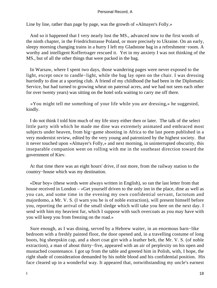Line by line, rather than page by page, was the growth of «Almayer's Folly.»

 And so it happened that I very nearly lost the MS., advanced now to the first words of the ninth chapter, in the Friedrichstrasse Poland, or more precisely to Ukraine. On an early, sleepy morning changing trains in a hurry I left my Gladstone bag in a refreshment−room. A worthy and intelligent Koffertrager rescued it. Yet in my anxiety I was not thinking of the MS., but of all the other things that were packed in the bag.

 In Warsaw, where I spent two days, those wandering pages were never exposed to the light, except once to candle−light, while the bag lay open on the chair. I was dressing hurriedly to dine at a sporting club. A friend of my childhood (he had been in the Diplomatic Service, but had turned to growing wheat on paternal acres, and we had not seen each other for over twenty years) was sitting on the hotel sofa waiting to carry me off there.

 «You might tell me something of your life while you are dressing,» he suggested, kindly.

 I do not think I told him much of my life story either then or later. The talk of the select little party with which he made me dine was extremely animated and embraced most subjects under heaven, from big−game shooting in Africa to the last poem published in a very modernist review, edited by the very young and patronized by the highest society. But it never touched upon «Almayer's Folly,» and next morning, in uninterrupted obscurity, this inseparable companion went on rolling with me in the southeast direction toward the government of Kiev.

 At that time there was an eight hours' drive, if not more, from the railway station to the country−house which was my destination.

 «Dear boy» (these words were always written in English), so ran the last letter from that house received in London – «Get yourself driven to the only inn in the place, dine as well as you can, and some time in the evening my own confidential servant, factotum and majordomo, a Mr. V. S. (I warn you he is of noble extraction), will present himself before you, reporting the arrival of the small sledge which will take you here on the next day. I send with him my heaviest fur, which I suppose with such overcoats as you may have with you will keep you from freezing on the road.»

 Sure enough, as I was dining, served by a Hebrew waiter, in an enormous barn−like bedroom with a freshly painted floor, the door opened and, in a travelling costume of long boots, big sheepskin cap, and a short coat girt with a leather belt, the Mr. V. S. (of noble extraction), a man of about thirty−five, appeared with an air of perplexity on his open and mustached countenance. I got up from the table and greeted him in Polish, with, I hope, the right shade of consideration demanded by his noble blood and his confidential position. His face cleared up in a wonderful way. It appeared that, notwithstanding my uncle's earnest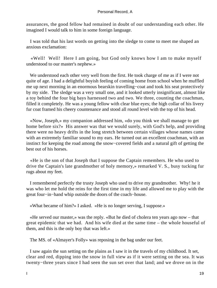assurances, the good fellow had remained in doubt of our understanding each other. He imagined I would talk to him in some foreign language.

 I was told that his last words on getting into the sledge to come to meet me shaped an anxious exclamation:

 «Well! Well! Here I am going, but God only knows how I am to make myself understood to our master's nephew.»

 We understood each other very well from the first. He took charge of me as if I were not quite of age. I had a delightful boyish feeling of coming home from school when he muffled me up next morning in an enormous bearskin travelling−coat and took his seat protectively by my side. The sledge was a very small one, and it looked utterly insignificant, almost like a toy behind the four big bays harnessed two and two. We three, counting the coachman, filled it completely. He was a young fellow with clear blue eyes; the high collar of his livery fur coat framed his cheery countenance and stood all round level with the top of his head.

 «Now, Joseph,» my companion addressed him, «do you think we shall manage to get home before six?» His answer was that we would surely, with God's help, and providing there were no heavy drifts in the long stretch between certain villages whose names came with an extremely familiar sound to my ears. He turned out an excellent coachman, with an instinct for keeping the road among the snow−covered fields and a natural gift of getting the best out of his horses.

 «He is the son of that Joseph that I suppose the Captain remembers. He who used to drive the Captain's late grandmother of holy memory,» remarked V. S., busy tucking fur rugs about my feet.

 I remembered perfectly the trusty Joseph who used to drive my grandmother. Why! he it was who let me hold the reins for the first time in my life and allowed me to play with the great four−in−hand whip outside the doors of the coach−house.

«What became of him?» I asked. «He is no longer serving, I suppose.»

 «He served our master,» was the reply. «But he died of cholera ten years ago now – that great epidemic that we had. And his wife died at the same time – the whole houseful of them, and this is the only boy that was left.»

The MS. of «Almayer's Folly» was reposing in the bag under our feet.

 I saw again the sun setting on the plains as I saw it in the travels of my childhood. It set, clear and red, dipping into the snow in full view as if it were setting on the sea. It was twenty−three years since I had seen the sun set over that land; and we drove on in the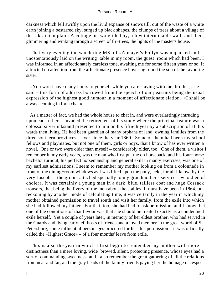darkness which fell swiftly upon the livid expanse of snows till, out of the waste of a white earth joining a bestarred sky, surged up black shapes, the clumps of trees about a village of the Ukrainian plain. A cottage or two glided by, a low interminable wall, and then, glimmering and winking through a screen of fir−trees, the lights of the master's house.

 That very evening the wandering MS. of «Almayer's Folly» was unpacked and unostentatiously laid on the writing−table in my room, the guest−room which had been, I was informed in an affectionately careless tone, awaiting me for some fifteen years or so. It attracted no attention from the affectionate presence hovering round the son of the favourite sister.

 «You won't have many hours to yourself while you are staying with me, brother,» he said – this form of address borrowed from the speech of our peasants being the usual expression of the highest good humour in a moment of affectionate elation. «I shall be always coming in for a chat.»

 As a matter of fact, we had the whole house to chat in, and were everlastingly intruding upon each other. I invaded the retirement of his study where the principal feature was a colossal silver inkstand presented to him on his fiftieth year by a subscription of all his wards then living. He had been guardian of many orphans of land−owning families from the three southern provinces – ever since the year 1860. Some of them had been my school fellows and playmates, but not one of them, girls or boys, that I know of has ever written a novel. One or two were older than myself – considerably older, too. One of them, a visitor I remember in my early years, was the man who first put me on horseback, and his four−horse bachelor turnout, his perfect horsemanship and general skill in manly exercises, was one of my earliest admirations. I seem to remember my mother looking on from a colonnade in front of the dining−room windows as I was lifted upon the pony, held, for all I know, by the very Joseph – the groom attached specially to my grandmother's service – who died of cholera. It was certainly a young man in a dark−blue, tailless coat and huge Cossack trousers, that being the livery of the men about the stables. It must have been in 1864, but reckoning by another mode of calculating time, it was certainly in the year in which my mother obtained permission to travel south and visit her family, from the exile into which she had followed my father. For that, too, she had had to ask permission, and I know that one of the conditions of that favour was that she should be treated exactly as a condemned exile herself. Yet a couple of years later, in memory of her eldest brother, who had served in the Guards and dying early left hosts of friends and a loved memory in the great world of St. Petersburg, some influential personages procured for her this permission – it was officially called the «Highest Grace» – of a four months' leave from exile.

 This is also the year in which I first begin to remember my mother with more distinctness than a mere loving, wide−browed, silent, protecting presence, whose eyes had a sort of commanding sweetness; and I also remember the great gathering of all the relations from near and far, and the gray heads of the family friends paying her the homage of respect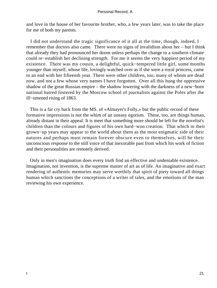and love in the house of her favourite brother, who, a few years later, was to take the place for me of both my parents.

 I did not understand the tragic significance of it all at the time, though, indeed, I remember that doctors also came. There were no signs of invalidism about her – but I think that already they had pronounced her doom unless perhaps the change to a southern climate could re−establish her declining strength. For me it seems the very happiest period of my existence. There was my cousin, a delightful, quick−tempered little girl, some months younger than myself, whose life, lovingly watched over as if she were a royal princess, came to an end with her fifteenth year. There were other children, too, many of whom are dead now, and not a few whose very names I have forgotten. Over all this hung the oppressive shadow of the great Russian empire – the shadow lowering with the darkness of a new−born national hatred fostered by the Moscow school of journalists against the Poles after the ill−omened rising of 1863.

 This is a far cry back from the MS. of «Almayer's Folly,» but the public record of these formative impressions is not the whim of an uneasy egotism. These, too, are things human, already distant in their appeal. It is meet that something more should be left for the novelist's children than the colours and figures of his own hard−won creation. That which in their grown−up years may appear to the world about them as the most enigmatic side of their natures and perhaps must remain forever obscure even to themselves, will be their unconscious response to the still voice of that inexorable past from which his work of fiction and their personalities are remotely derived.

 Only in men's imagination does every truth find an effective and undeniable existence. Imagination, not invention, is the supreme master of art as of life. An imaginative and exact rendering of authentic memories may serve worthily that spirit of piety toward all things human which sanctions the conceptions of a writer of tales, and the emotions of the man reviewing his own experience.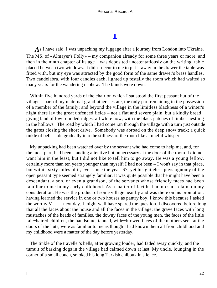# **[II](#page-89-0)**

*A*s I have said, I was unpacking my luggage after a journey from London into Ukraine. The MS. of «Almayer's Folly» – my companion already for some three years or more, and then in the ninth chapter of its age – was deposited unostentatiously on the writing−table placed between two windows. It didn't occur to me to put it away in the drawer the table was fitted with, but my eye was attracted by the good form of the same drawer's brass handles. Two candelabra, with four candles each, lighted up festally the room which had waited so many years for the wandering nephew. The blinds were down.

 Within five hundred yards of the chair on which I sat stood the first peasant hut of the village – part of my maternal grandfather's estate, the only part remaining in the possession of a member of the family; and beyond the village in the limitless blackness of a winter's night there lay the great unfenced fields – not a flat and severe plain, but a kindly bread− giving land of low rounded ridges, all white now, with the black patches of timber nestling in the hollows. The road by which I had come ran through the village with a turn just outside the gates closing the short drive. Somebody was abroad on the deep snow track; a quick tinkle of bells stole gradually into the stillness of the room like a tuneful whisper.

 My unpacking had been watched over by the servant who had come to help me, and, for the most part, had been standing attentive but unnecessary at the door of the room. I did not want him in the least, but I did not like to tell him to go away. He was a young fellow, certainly more than ten years younger than myself; I had not been – I won't say in that place, but within sixty miles of it, ever since the year '67; yet his guileless physiognomy of the open peasant type seemed strangely familiar. It was quite possible that he might have been a descendant, a son, or even a grandson, of the servants whose friendly faces had been familiar to me in my early childhood. As a matter of fact he had no such claim on my consideration. He was the product of some village near by and was there on his promotion, having learned the service in one or two houses as pantry boy. I know this because I asked the worthy  $V -$  – next day. I might well have spared the question. I discovered before long that all the faces about the house and all the faces in the village: the grave faces with long mustaches of the heads of families, the downy faces of the young men, the faces of the little fair−haired children, the handsome, tanned, wide−browed faces of the mothers seen at the doors of the huts, were as familiar to me as though I had known them all from childhood and my childhood were a matter of the day before yesterday.

 The tinkle of the traveller's bells, after growing louder, had faded away quickly, and the tumult of barking dogs in the village had calmed down at last. My uncle, lounging in the corner of a small couch, smoked his long Turkish chibouk in silence.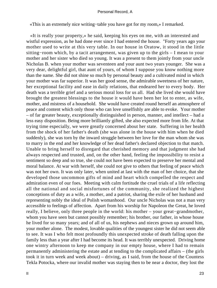«This is an extremely nice writing−table you have got for my room,» I remarked.

 «It is really your property,» he said, keeping his eyes on me, with an interested and wistful expression, as he had done ever since I had entered the house. "Forty years ago your mother used to write at this very table. In our house in Oratow, it stood in the little sitting−room which, by a tacit arrangement, was given up to the girls – I mean to your mother and her sister who died so young. It was a present to them jointly from your uncle Nicholas B. when your mother was seventeen and your aunt two years younger. She was a very dear, delightful girl, that aunt of yours, of whom I suppose you know nothing more than the name. She did not shine so much by personal beauty and a cultivated mind in which your mother was far superior. It was her good sense, the admirable sweetness of her nature, her exceptional facility and ease in daily relations, that endeared her to every body. Her death was a terrible grief and a serious moral loss for us all. Had she lived she would have brought the greatest blessings to the house it would have been her lot to enter, as wife, mother, and mistress of a household. She would have created round herself an atmosphere of peace and content which only those who can love unselfishly are able to evoke. Your mother – of far greater beauty, exceptionally distinguished in person, manner, and intellect – had a less easy disposition. Being more brilliantly gifted, she also expected more from life. At that trying time especially, we were greatly concerned about her state. Suffering in her health from the shock of her father's death (she was alone in the house with him when he died suddenly), she was torn by the inward struggle between her love for the man whom she was to marry in the end and her knowledge of her dead father's declared objection to that match. Unable to bring herself to disregard that cherished memory and that judgment she had always respected and trusted, and, on the other hand, feeling the impossibility to resist a sentiment so deep and so true, she could not have been expected to preserve her mental and moral balance. At war with herself, she could not give to others that feeling of peace which was not her own. It was only later, when united at last with the man of her choice, that she developed those uncommon gifts of mind and heart which compelled the respect and admiration even of our foes. Meeting with calm fortitude the cruel trials of a life reflecting all the national and social misfortunes of the community, she realized the highest conceptions of duty as a wife, a mother, and a patriot, sharing the exile of her husband and representing nobly the ideal of Polish womanhood. Our uncle Nicholas was not a man very accessible to feelings of affection. Apart from his worship for Napoleon the Great, he loved really, I believe, only three people in the world: his mother – your great−grandmother, whom you have seen but cannot possibly remember; his brother, our father, in whose house he lived for so many years; and of all of us, his nephews and nieces grown up around him, your mother alone. The modest, lovable qualities of the youngest sister he did not seem able to see. It was I who felt most profoundly this unexpected stroke of death falling upon the family less than a year after I had become its head. It was terribly unexpected. Driving home one wintry afternoon to keep me company in our empty house, where I had to remain permanently administering the estate and at tending to the complicated affairs – (the girls took it in turn week and week about) – driving, as I said, from the house of the Countess Tekla Potocka, where our invalid mother was staying then to be near a doctor, they lost the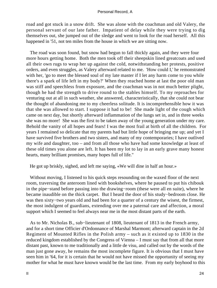road and got stuck in a snow drift. She was alone with the coachman and old Valery, the personal servant of our late father. Impatient of delay while they were trying to dig themselves out, she jumped out of the sledge and went to look for the road herself. All this happened in '51, not ten miles from the house in which we are sitting now.

 The road was soon found, but snow had begun to fall thickly again, and they were four more hours getting home. Both the men took off their sheepskin lined greatcoats and used all their own rugs to wrap her up against the cold, notwithstanding her protests, positive orders, and even struggles, as Valery afterward related to me. 'How could I,' he remonstrated with her, 'go to meet the blessed soul of my late master if I let any harm come to you while there's a spark of life left in my body?' When they reached home at last the poor old man was stiff and speechless from exposure, and the coachman was in not much better plight, though he had the strength to drive round to the stables himself. To my reproaches for venturing out at all in such weather, she answered, characteristically, that she could not bear the thought of abandoning me to my cheerless solitude. It is incomprehensible how it was that she was allowed to start. I suppose it had to be! She made light of the cough which came on next day, but shortly afterward inflammation of the lungs set in, and in three weeks she was no more! She was the first to be taken away of the young generation under my care. Behold the vanity of all hopes and fears! I was the most frail at birth of all the children. For years I remained so delicate that my parents had but little hope of bringing me up; and yet I have survived five brothers and two sisters, and many of my contemporaries; I have outlived my wife and daughter, too – and from all those who have had some knowledge at least of these old times you alone are left. It has been my lot to lay in an early grave many honest hearts, many brilliant promises, many hopes full of life."

He got up briskly, sighed, and left me saying, «We will dine in half an hour.»

 Without moving, I listened to his quick steps resounding on the waxed floor of the next room, traversing the anteroom lined with bookshelves, where he paused to put his chibouk in the pipe−stand before passing into the drawing−room (these were all en suite), where he became inaudible on the thick carpet. But I heard the door of his study−bedroom close. He was then sixty−two years old and had been for a quarter of a century the wisest, the firmest, the most indulgent of guardians, extending over me a paternal care and affection, a moral support which I seemed to feel always near me in the most distant parts of the earth.

 As to Mr. Nicholas B., sub−lieutenant of 1808, lieutenant of 1813 in the French army, and for a short time Officier d'Ordonnance of Marshal Marmont; afterward captain in the 2d Regiment of Mounted Rifles in the Polish army – such as it existed up to 1830 in the reduced kingdom established by the Congress of Vienna – I must say that from all that more distant past, known to me traditionally and a little de visu, and called out by the words of the man just gone away, he remains the most incomplete figure. It is obvious that I must have seen him in '64, for it is certain that he would not have missed the opportunity of seeing my mother for what he must have known would be the last time. From my early boyhood to this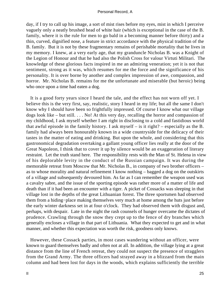day, if I try to call up his image, a sort of mist rises before my eyes, mist in which I perceive vaguely only a neatly brushed head of white hair (which is exceptional in the case of the B. family, where it is the rule for men to go bald in a becoming manner before thirty) and a thin, curved, dignified nose, a feature in strict accordance with the physical tradition of the B. family. But it is not by these fragmentary remains of perishable mortality that he lives in my memory. I knew, at a very early age, that my granduncle Nicholas B. was a Knight of the Legion of Honour and that he had also the Polish Cross for valour Virtuti Militari. The knowledge of these glorious facts inspired in me an admiring veneration; yet it is not that sentiment, strong as it was, which resumes for me the force and the significance of his personality. It is over borne by another and complex impression of awe, compassion, and horror. Mr. Nicholas B. remains for me the unfortunate and miserable (but heroic) being who once upon a time had eaten a dog.

 It is a good forty years since I heard the tale, and the effect has not worn off yet. I believe this is the very first, say, realistic, story I heard in my life; but all the same I don't know why I should have been so frightfully impressed. Of course I know what our village dogs look like – but still. . . . No! At this very day, recalling the horror and compassion of my childhood, I ask myself whether I am right in disclosing to a cold and fastidious world that awful episode in the family history. I ask myself – is it right? – especially as the B. family had always been honourably known in a wide countryside for the delicacy of their tastes in the matter of eating and drinking. But upon the whole, and considering that this gastronomical degradation overtaking a gallant young officer lies really at the door of the Great Napoleon, I think that to cover it up by silence would be an exaggeration of literary restraint. Let the truth stand here. The responsibility rests with the Man of St. Helena in view of his deplorable levity in the conduct of the Russian campaign. It was during the memorable retreat from Moscow that Mr. Nicholas B., in company of two brother officers – as to whose morality and natural refinement I know nothing – bagged a dog on the outskirts of a village and subsequently devoured him. As far as I can remember the weapon used was a cavalry sabre, and the issue of the sporting episode was rather more of a matter of life and death than if it had been an encounter with a tiger. A picket of Cossacks was sleeping in that village lost in the depths of the great Lithuanian forest. The three sportsmen had observed them from a hiding−place making themselves very much at home among the huts just before the early winter darkness set in at four o'clock. They had observed them with disgust and, perhaps, with despair. Late in the night the rash counsels of hunger overcame the dictates of prudence. Crawling through the snow they crept up to the fence of dry branches which generally encloses a village in that part of Lithuania. What they expected to get and in what manner, and whether this expectation was worth the risk, goodness only knows.

 However, these Cossack parties, in most cases wandering without an officer, were known to guard themselves badly and often not at all. In addition, the village lying at a great distance from the line of French retreat, they could not suspect the presence of stragglers from the Grand Army. The three officers had strayed away in a blizzard from the main column and had been lost for days in the woods, which explains sufficiently the terrible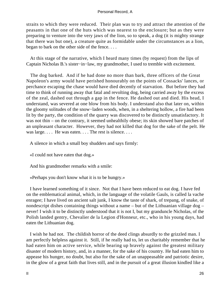straits to which they were reduced. Their plan was to try and attract the attention of the peasants in that one of the huts which was nearest to the enclosure; but as they were preparing to venture into the very jaws of the lion, so to speak, a dog (it is mighty strange that there was but one), a creature quite as formidable under the circumstances as a lion, began to bark on the other side of the fence. . . .

 At this stage of the narrative, which I heard many times (by request) from the lips of Captain Nicholas B.'s sister−in−law, my grandmother, I used to tremble with excitement.

 The dog barked. And if he had done no more than bark, three officers of the Great Napoleon's army would have perished honourably on the points of Cossacks' lances, or perchance escaping the chase would have died decently of starvation. But before they had time to think of running away that fatal and revolting dog, being carried away by the excess of the zeal, dashed out through a gap in the fence. He dashed out and died. His head, I understand, was severed at one blow from his body. I understand also that later on, within the gloomy solitudes of the snow−laden woods, when, in a sheltering hollow, a fire had been lit by the party, the condition of the quarry was discovered to be distinctly unsatisfactory. It was not thin – on the contrary, it seemed unhealthily obese; its skin showed bare patches of an unpleasant character. However, they had not killed that dog for the sake of the pelt. He was large. . . . He was eaten. . . . The rest is silence. . . .

A silence in which a small boy shudders and says firmly:

«I could not have eaten that dog.»

And his grandmother remarks with a smile:

«Perhaps you don't know what it is to be hungry.»

 I have learned something of it since. Not that I have been reduced to eat dog. I have fed on the emblematical animal, which, in the language of the volatile Gauls, is called la vache enragee; I have lived on ancient salt junk, I know the taste of shark, of trepang, of snake, of nondescript dishes containing things without a name – but of the Lithuanian village dog – never! I wish it to be distinctly understood that it is not I, but my granduncle Nicholas, of the Polish landed gentry, Chevalier de la Legion d'Honneur, etc., who in his young days, had eaten the Lithuanian dog.

 I wish he had not. The childish horror of the deed clings absurdly to the grizzled man. I am perfectly helpless against it. Still, if he really had to, let us charitably remember that he had eaten him on active service, while bearing up bravely against the greatest military disaster of modern history, and, in a manner, for the sake of his country. He had eaten him to appease his hunger, no doubt, but also for the sake of an unappeasable and patriotic desire, in the glow of a great faith that lives still, and in the pursuit of a great illusion kindled like a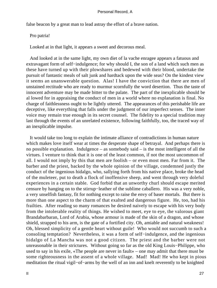false beacon by a great man to lead astray the effort of a brave nation.

Pro patria!

Looked at in that light, it appears a sweet and decorous meal.

 And looked at in the same light, my own diet of la vache enragee appears a fatuous and extravagant form of self−indulgence; for why should I, the son of a land which such men as these have turned up with their plowshares and bedewed with their blood, undertake the pursuit of fantastic meals of salt junk and hardtack upon the wide seas? On the kindest view it seems an unanswerable question. Alas! I have the conviction that there are men of unstained rectitude who are ready to murmur scornfully the word desertion. Thus the taste of innocent adventure may be made bitter to the palate. The part of the inexplicable should be al lowed for in appraising the conduct of men in a world where no explanation is final. No charge of faithlessness ought to be lightly uttered. The appearances of this perishable life are deceptive, like everything that falls under the judgment of our imperfect senses. The inner voice may remain true enough in its secret counsel. The fidelity to a special tradition may last through the events of an unrelated existence, following faithfully, too, the traced way of an inexplicable impulse.

 It would take too long to explain the intimate alliance of contradictions in human nature which makes love itself wear at times the desperate shape of betrayal. And perhaps there is no possible explanation. Indulgence – as somebody said – is the most intelligent of all the virtues. I venture to think that it is one of the least common, if not the most uncommon of all. I would not imply by this that men are foolish – or even most men. Far from it. The barber and the priest, backed by the whole opinion of the village, condemned justly the conduct of the ingenious hidalgo, who, sallying forth from his native place, broke the head of the muleteer, put to death a flock of inoffensive sheep, and went through very doleful experiences in a certain stable. God forbid that an unworthy churl should escape merited censure by hanging on to the stirrup−leather of the sublime caballero. His was a very noble, a very unselfish fantasy, fit for nothing except to raise the envy of baser mortals. But there is more than one aspect to the charm of that exalted and dangerous figure. He, too, had his frailties. After reading so many romances he desired naively to escape with his very body from the intolerable reality of things. He wished to meet, eye to eye, the valorous giant Brandabarbaran, Lord of Arabia, whose armour is made of the skin of a dragon, and whose shield, strapped to his arm, is the gate of a fortified city. Oh, amiable and natural weakness! Oh, blessed simplicity of a gentle heart without guile! Who would not succumb to such a consoling temptation? Nevertheless, it was a form of self−indulgence, and the ingenious hidalgo of La Mancha was not a good citizen. The priest and the barber were not unreasonable in their strictures. Without going so far as the old King Louis−Philippe, who used to say in his exile, «The people are never in fault» – one may admit that there must be some righteousness in the assent of a whole village. Mad! Mad! He who kept in pious meditation the ritual vigil−of−arms by the well of an inn and knelt reverently to be knighted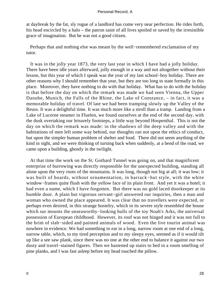at daybreak by the fat, sly rogue of a landlord has come very near perfection. He rides forth, his head encircled by a halo – the patron saint of all lives spoiled or saved by the irresistible grace of imagination. But he was not a good citizen.

 Perhaps that and nothing else was meant by the well−remembered exclamation of my tutor.

 It was in the jolly year 1873, the very last year in which I have had a jolly holiday. There have been idle years afterward, jolly enough in a way and not altogether without their lesson, but this year of which I speak was the year of my last school−boy holiday. There are other reasons why I should remember that year, but they are too long to state formally in this place. Moreover, they have nothing to do with that holiday. What has to do with the holiday is that before the day on which the remark was made we had seen Vienna, the Upper Danube, Munich, the Falls of the Rhine, the Lake of Constance, – in fact, it was a memorable holiday of travel. Of late we had been tramping slowly up the Valley of the Reuss. It was a delightful time. It was much more like a stroll than a tramp. Landing from a Lake of Lucerne steamer in Fluelen, we found ourselves at the end of the second day, with the dusk overtaking our leisurely footsteps, a little way beyond Hospenthal. This is not the day on which the remark was made: in the shadows of the deep valley and with the habitations of men left some way behind, our thoughts ran not upon the ethics of conduct, but upon the simpler human problem of shelter and food. There did not seem anything of the kind in sight, and we were thinking of turning back when suddenly, at a bend of the road, we came upon a building, ghostly in the twilight.

 At that time the work on the St. Gothard Tunnel was going on, and that magnificent enterprise of burrowing was directly responsible for the unexpected building, standing all alone upon the very roots of the mountains. It was long, though not big at all; it was low; it was built of boards, without ornamentation, in barrack−hut style, with the white window−frames quite flush with the yellow face of its plain front. And yet it was a hotel; it had even a name, which I have forgotten. But there was no gold laced doorkeeper at its humble door. A plain but vigorous servant−girl answered our inquiries, then a man and woman who owned the place appeared. It was clear that no travellers were expected, or perhaps even desired, in this strange hostelry, which in its severe style resembled the house which sur mounts the unseaworthy−looking hulls of the toy Noah's Arks, the universal possession of European childhood. However, its roof was not hinged and it was not full to the brim of slab−sided and painted animals of wood. Even the live tourist animal was nowhere in evidence. We had something to eat in a long, narrow room at one end of a long, narrow table, which, to my tired perception and to my sleepy eyes, seemed as if it would tilt up like a see saw plank, since there was no one at the other end to balance it against our two dusty and travel−stained figures. Then we hastened up stairs to bed in a room smelling of pine planks, and I was fast asleep before my head touched the pillow.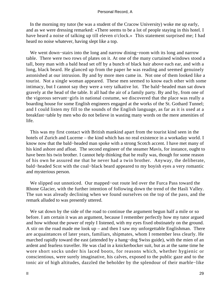In the morning my tutor (he was a student of the Cracow University) woke me up early, and as we were dressing remarked: «There seems to be a lot of people staying in this hotel. I have heard a noise of talking up till eleven o'clock.» This statement surprised me; I had heard no noise whatever, having slept like a top.

 We went down−stairs into the long and narrow dining−room with its long and narrow table. There were two rows of plates on it. At one of the many curtained windows stood a tall, bony man with a bald head set off by a bunch of black hair above each ear, and with a long, black beard. He glanced up from the paper he was reading and seemed genuinely astonished at our intrusion. By and by more men came in. Not one of them looked like a tourist. Not a single woman appeared. These men seemed to know each other with some intimacy, but I cannot say they were a very talkative lot. The bald−headed man sat down gravely at the head of the table. It all had the air of a family party. By and by, from one of the vigorous servant−girls in national costume, we discovered that the place was really a boarding house for some English engineers engaged at the works of the St. Gothard Tunnel; and I could listen my fill to the sounds of the English language, as far as it is used at a breakfast−table by men who do not believe in wasting many words on the mere amenities of life.

 This was my first contact with British mankind apart from the tourist kind seen in the hotels of Zurich and Lucerne – the kind which has no real existence in a workaday world. I know now that the bald−headed man spoke with a strong Scotch accent. I have met many of his kind ashore and afloat. The second engineer of the steamer Mavis, for instance, ought to have been his twin brother. I cannot help thinking that he really was, though for some reason of his own he assured me that he never had a twin brother. Anyway, the deliberate, bald−headed Scot with the coal−black beard appeared to my boyish eyes a very romantic and mysterious person.

 We slipped out unnoticed. Our mapped−out route led over the Furca Pass toward the Rhone Glacier, with the further intention of following down the trend of the Hasli Valley. The sun was already declining when we found ourselves on the top of the pass, and the remark alluded to was presently uttered.

 We sat down by the side of the road to continue the argument begun half a mile or so before. I am certain it was an argument, because I remember perfectly how my tutor argued and how without the power of reply I listened, with my eyes fixed obstinately on the ground. A stir on the road made me look up – and then I saw my unforgettable Englishman. There are acquaintances of later years, familiars, shipmates, whom I remember less clearly. He marched rapidly toward the east (attended by a hang−dog Swiss guide), with the mien of an ardent and fearless traveller. He was clad in a knickerbocker suit, but as at the same time he wore short socks under his laced boots, for reasons which, whether hygienic or conscientious, were surely imaginative, his calves, exposed to the public gaze and to the tonic air of high altitudes, dazzled the beholder by the splendour of their marble−like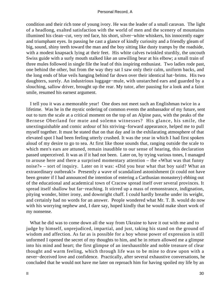condition and their rich tone of young ivory. He was the leader of a small caravan. The light of a headlong, exalted satisfaction with the world of men and the scenery of mountains illumined his clean−cut, very red face, his short, silver−white whiskers, his innocently eager and triumphant eyes. In passing he cast a glance of kindly curiosity and a friendly gleam of big, sound, shiny teeth toward the man and the boy sitting like dusty tramps by the roadside, with a modest knapsack lying at their feet. His white calves twinkled sturdily, the uncouth Swiss guide with a surly mouth stalked like an unwilling bear at his elbow; a small train of three mules followed in single file the lead of this inspiring enthusiast. Two ladies rode past, one behind the other, but from the way they sat I saw only their calm, uniform backs, and the long ends of blue veils hanging behind far down over their identical hat−brims. His two daughters, surely. An industrious luggage−mule, with unstarched ears and guarded by a slouching, sallow driver, brought up the rear. My tutor, after pausing for a look and a faint smile, resumed his earnest argument.

 I tell you it was a memorable year! One does not meet such an Englishman twice in a lifetime. Was he in the mystic ordering of common events the ambassador of my future, sent out to turn the scale at a critical moment on the top of an Alpine pass, with the peaks of the Bernese Oberland for mute and solemn witnesses? His glance, his smile, the unextinguishable and comic ardour of his striving−forward appearance, helped me to pull myself together. It must be stated that on that day and in the exhilarating atmosphere of that elevated spot I had been feeling utterly crushed. It was the year in which I had first spoken aloud of my desire to go to sea. At first like those sounds that, ranging outside the scale to which men's ears are attuned, remain inaudible to our sense of hearing, this declaration passed unperceived. It was as if it had not been. Later on, by trying various tones, I managed to arouse here and there a surprised momentary attention – the «What was that funny noise?» – sort of inquiry. Later on it was: «Did you hear what that boy said? What an extraordinary outbreak!» Presently a wave of scandalized astonishment (it could not have been greater if I had announced the intention of entering a Carthusian monastery) ebbing out of the educational and academical town of Cracow spread itself over several provinces. It spread itself shallow but far−reaching. It stirred up a mass of remonstrance, indignation, pitying wonder, bitter irony, and downright chaff. I could hardly breathe under its weight, and certainly had no words for an answer. People wondered what Mr. T. B. would do now with his worrying nephew and, I dare say, hoped kindly that he would make short work of my nonsense.

 What he did was to come down all the way from Ukraine to have it out with me and to judge by himself, unprejudiced, impartial, and just, taking his stand on the ground of wisdom and affection. As far as is possible for a boy whose power of expression is still unformed I opened the secret of my thoughts to him, and he in return allowed me a glimpse into his mind and heart; the first glimpse of an inexhaustible and noble treasure of clear thought and warm feeling, which through life was to be mine to draw upon with a never−deceived love and confidence. Practically, after several exhaustive conversations, he concluded that he would not have me later on reproach him for having spoiled my life by an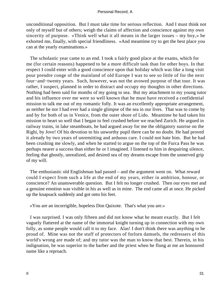unconditional opposition. But I must take time for serious reflection. And I must think not only of myself but of others; weigh the claims of affection and conscience against my own sincerity of purpose. «Think well what it all means in the larger issues – my boy,» he exhorted me, finally, with special friendliness. «And meantime try to get the best place you can at the yearly examinations.»

 The scholastic year came to an end. I took a fairly good place at the exams, which for me (for certain reasons) happened to be a more difficult task than for other boys. In that respect I could enter with a good conscience upon that holiday which was like a long visit pour prendre conge of the mainland of old Europe I was to see so little of for the next four−and−twenty years. Such, however, was not the avowed purpose of that tour. It was rather, I suspect, planned in order to distract and occupy my thoughts in other directions. Nothing had been said for months of my going to sea. But my attachment to my young tutor and his influence over me were so well known that he must have received a confidential mission to talk me out of my romantic folly. It was an excellently appropriate arrangement, as neither he nor I had ever had a single glimpse of the sea in our lives. That was to come by and by for both of us in Venice, from the outer shore of Lido. Meantime he had taken his mission to heart so well that I began to feel crushed before we reached Zurich. He argued in railway trains, in lake steamboats, he had argued away for me the obligatory sunrise on the Righi, by Jove! Of his devotion to his unworthy pupil there can be no doubt. He had proved it already by two years of unremitting and arduous care. I could not hate him. But he had been crushing me slowly, and when he started to argue on the top of the Furca Pass he was perhaps nearer a success than either he or I imagined. I listened to him in despairing silence, feeling that ghostly, unrealized, and desired sea of my dreams escape from the unnerved grip of my will.

 The enthusiastic old Englishman had passed – and the argument went on. What reward could I expect from such a life at the end of my years, either in ambition, honour, or conscience? An unanswerable question. But I felt no longer crushed. Then our eyes met and a genuine emotion was visible in his as well as in mine. The end came all at once. He picked up the knapsack suddenly and got onto his feet.

«You are an incorrigible, hopeless Don Quixote. That's what you are.»

 I was surprised. I was only fifteen and did not know what he meant exactly. But I felt vaguely flattered at the name of the immortal knight turning up in connection with my own folly, as some people would call it to my face. Alas! I don't think there was anything to be proud of. Mine was not the stuff of protectors of forlorn damsels, the redressers of this world's wrong are made of; and my tutor was the man to know that best. Therein, in his indignation, he was superior to the barber and the priest when he flung at me an honoured name like a reproach.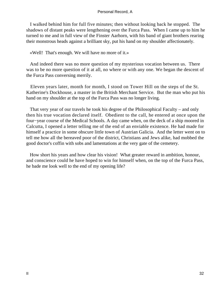I walked behind him for full five minutes; then without looking back he stopped. The shadows of distant peaks were lengthening over the Furca Pass. When I came up to him he turned to me and in full view of the Finster Aarhorn, with his band of giant brothers rearing their monstrous heads against a brilliant sky, put his hand on my shoulder affectionately.

«Well! That's enough. We will have no more of it.»

 And indeed there was no more question of my mysterious vocation between us. There was to be no more question of it at all, no where or with any one. We began the descent of the Furca Pass conversing merrily.

 Eleven years later, month for month, I stood on Tower Hill on the steps of the St. Katherine's Dockhouse, a master in the British Merchant Service. But the man who put his hand on my shoulder at the top of the Furca Pass was no longer living.

 That very year of our travels he took his degree of the Philosophical Faculty – and only then his true vocation declared itself. Obedient to the call, he entered at once upon the four−year course of the Medical Schools. A day came when, on the deck of a ship moored in Calcutta, I opened a letter telling me of the end of an enviable existence. He had made for himself a practice in some obscure little town of Austrian Galicia. And the letter went on to tell me how all the bereaved poor of the district, Christians and Jews alike, had mobbed the good doctor's coffin with sobs and lamentations at the very gate of the cemetery.

 How short his years and how clear his vision! What greater reward in ambition, honour, and conscience could he have hoped to win for himself when, on the top of the Furca Pass, he bade me look well to the end of my opening life?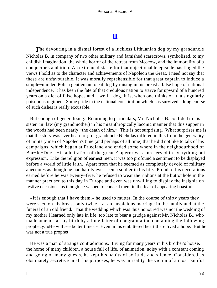# **[III](#page-89-0)**

**The devouring in a dismal forest of a luckless Lithuanian dog by my granduncle** Nicholas B. in company of two other military and famished scarecrows, symbolized, to my childish imagination, the whole horror of the retreat from Moscow, and the immorality of a conqueror's ambition. An extreme distaste for that objectionable episode has tinged the views I hold as to the character and achievements of Napoleon the Great. I need not say that these are unfavourable. It was morally reprehensible for that great captain to induce a simple−minded Polish gentleman to eat dog by raising in his breast a false hope of national independence. It has been the fate of that credulous nation to starve for upward of a hundred years on a diet of false hopes and – well – dog. It is, when one thinks of it, a singularly poisonous regimen. Some pride in the national constitution which has survived a long course of such dishes is really excusable.

 But enough of generalizing. Returning to particulars, Mr. Nicholas B. confided to his sister−in−law (my grandmother) in his misanthropically laconic manner that this supper in the woods had been nearly «the death of him.» This is not surprising. What surprises me is that the story was ever heard of; for granduncle Nicholas differed in this from the generality of military men of Napoleon's time (and perhaps of all time) that he did not like to talk of his campaigns, which began at Friedland and ended some where in the neighbourhood of Bar−le−Duc. His admiration of the great Emperor was unreserved in everything but expression. Like the religion of earnest men, it was too profound a sentiment to be displayed before a world of little faith. Apart from that he seemed as completely devoid of military anecdotes as though he had hardly ever seen a soldier in his life. Proud of his decorations earned before he was twenty−five, he refused to wear the ribbons at the buttonhole in the manner practised to this day in Europe and even was unwilling to display the insignia on festive occasions, as though he wished to conceal them in the fear of appearing boastful.

 «It is enough that I have them,» he used to mutter. In the course of thirty years they were seen on his breast only twice – at an auspicious marriage in the family and at the funeral of an old friend. That the wedding which was thus honoured was not the wedding of my mother I learned only late in life, too late to bear a grudge against Mr. Nicholas B., who made amends at my birth by a long letter of congratulation containing the following prophecy: «He will see better times.» Even in his embittered heart there lived a hope. But he was not a true prophet.

 He was a man of strange contradictions. Living for many years in his brother's house, the home of many children, a house full of life, of animation, noisy with a constant coming and going of many guests, he kept his habits of solitude and silence. Considered as obstinately secretive in all his purposes, he was in reality the victim of a most painful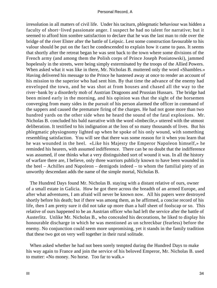irresolution in all matters of civil life. Under his taciturn, phlegmatic behaviour was hidden a faculty of short−lived passionate anger. I suspect he had no talent for narrative; but it seemed to afford him sombre satisfaction to declare that he was the last man to ride over the bridge of the river Elster after the battle of Leipsic. Lest some construction favourable to his valour should be put on the fact he condescended to explain how it came to pass. It seems that shortly after the retreat began he was sent back to the town where some divisions of the French army (and among them the Polish corps of Prince Joseph Poniatowski), jammed hopelessly in the streets, were being simply exterminated by the troops of the Allied Powers. When asked what it was like in there, Mr. Nicholas B. muttered only the word «Shambles.» Having delivered his message to the Prince he hastened away at once to render an account of his mission to the superior who had sent him. By that time the advance of the enemy had enveloped the town, and he was shot at from houses and chased all the way to the river−bank by a disorderly mob of Austrian Dragoons and Prussian Hussars. The bridge had been mined early in the morning, and his opinion was that the sight of the horsemen converging from many sides in the pursuit of his person alarmed the officer in command of the sappers and caused the premature firing of the charges. He had not gone more than two hundred yards on the other side when he heard the sound of the fatal explosions. Mr. Nicholas B. concluded his bald narrative with the word «Imbecile,» uttered with the utmost deliberation. It testified to his indignation at the loss of so many thousands of lives. But his phlegmatic physiognomy lighted up when he spoke of his only wound, with something resembling satisfaction. You will see that there was some reason for it when you learn that he was wounded in the heel. «Like his Majesty the Emperor Napoleon himself,» he reminded his hearers, with assumed indifference. There can be no doubt that the indifference was assumed, if one thinks what a very distinguished sort of wound it was. In all the history of warfare there are, I believe, only three warriors publicly known to have been wounded in the heel – Achilles and Napoleon – demigods indeed – to whom the familial piety of an unworthy descendant adds the name of the simple mortal, Nicholas B.

 The Hundred Days found Mr. Nicholas B. staying with a distant relative of ours, owner of a small estate in Galicia. How he got there across the breadth of an armed Europe, and after what adventures, I am afraid will never be known now. All his papers were destroyed shortly before his death; but if there was among them, as he affirmed, a concise record of his life, then I am pretty sure it did not take up more than a half sheet of foolscap or so. This relative of ours happened to be an Austrian officer who had left the service after the battle of Austerlitz. Unlike Mr. Nicholas B., who concealed his decorations, he liked to display his honourable discharge in which he was mentioned as un schreckbar (fearless) before the enemy. No conjunction could seem more unpromising, yet it stands in the family tradition that these two got on very well together in their rural solitude.

 When asked whether he had not been sorely tempted during the Hundred Days to make his way again to France and join the service of his beloved Emperor, Mr. Nicholas B. used to mutter: «No money. No horse. Too far to walk.»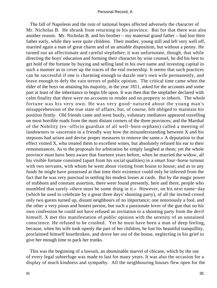The fall of Napoleon and the ruin of national hopes affected adversely the character of Mr. Nicholas B. He shrank from returning to his province. But for that there was also another reason. Mr. Nicholas B. and his brother – my maternal grand father – had lost their father early, while they were quite children. Their mother, young still and left very well off, married again a man of great charm and of an amiable disposition, but without a penny. He turned out an affectionate and careful stepfather; it was unfortunate, though, that while directing the boys' education and forming their character by wise counsel, he did his best to get hold of the fortune by buying and selling land in his own name and investing capital in such a manner as to cover up the traces of the real ownership. It seems that such practices can be successful if one is charming enough to dazzle one's own wife permanently, and brave enough to defy the vain terrors of public opinion. The critical time came when the elder of the boys on attaining his majority, in the year 1811, asked for the accounts and some part at least of the inheritance to begin life upon. It was then that the stepfather declared with calm finality that there were no accounts to render and no property to inherit. The whole fortune was his very own. He was very good−natured about the young man's misapprehension of the true state of affairs, but, of course, felt obliged to maintain his position firmly. Old friends came and went busily, voluntary mediators appeared travelling on most horrible roads from the most distant corners of the three provinces; and the Marshal of the Nobility (ex−officio guardian of all well−born orphans) called a meeting of landowners to «ascertain in a friendly way how the misunderstanding between X and his stepsons had arisen and devise proper measures to remove the same.» A deputation to that effect visited X, who treated them to excellent wines, but absolutely refused his ear to their remonstrances. As to the proposals for arbitration he simply laughed at them; yet the whole province must have been aware that fourteen years before, when he married the widow, all his visible fortune consisted (apart from his social qualities) in a smart four−horse turnout with two servants, with whom he went about visiting from house to house; and as to any funds he might have possessed at that time their existence could only be inferred from the fact that he was very punctual in settling his modest losses at cards. But by the magic power of stubborn and constant assertion, there were found presently, here and there, people who mumbled that surely «there must be some thing in it.» However, on his next name−day (which he used to celebrate by a great three days' shooting party), of all the invited crowd only two guests turned up, distant neighbours of no importance; one notoriously a fool, and the other a very pious and honest person, but such a passionate lover of the gun that on his own confession he could not have refused an invitation to a shooting party from the devil himself. X met this manifestation of public opinion with the serenity of an unstained conscience. He refused to be crushed. Yet he must have been a man of deep feeling, because, when his wife took openly the part of her children, he lost his beautiful tranquillity, proclaimed himself heartbroken, and drove her out of the house, neglecting in his grief to give her enough time to pack her trunks.

 This was the beginning of a lawsuit, an abominable marvel of chicane, which by the use of every legal subterfuge was made to last for many years. It was also the occasion for a display of much kindness and sympathy. All the neighbouring houses flew open for the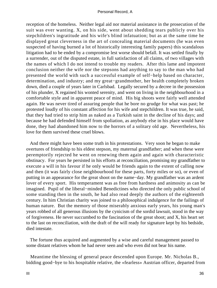reception of the homeless. Neither legal aid nor material assistance in the prosecution of the suit was ever wanting. X, on his side, went about shedding tears publicly over his stepchildren's ingratitude and his wife's blind infatuation; but as at the same time he displayed great cleverness in the art of concealing material documents (he was even suspected of having burned a lot of historically interesting family papers) this scandalous litigation had to be ended by a compromise lest worse should befall. It was settled finally by a surrender, out of the disputed estate, in full satisfaction of all claims, of two villages with the names of which I do not intend to trouble my readers. After this lame and impotent conclusion neither the wife nor the stepsons had anything to say to the man who had presented the world with such a successful example of self−help based on character, determination, and industry; and my great−grandmother, her health completely broken down, died a couple of years later in Carlsbad. Legally secured by a decree in the possession of his plunder, X regained his wonted serenity, and went on living in the neighbourhood in a comfortable style and in apparent peace of mind. His big shoots were fairly well attended again. He was never tired of assuring people that he bore no grudge for what was past; he protested loudly of his constant affection for his wife and stepchildren. It was true, he said, that they had tried to strip him as naked as a Turkish saint in the decline of his days; and because he had defended himself from spoliation, as anybody else in his place would have done, they had abandoned him now to the horrors of a solitary old age. Nevertheless, his love for them survived these cruel blows.

 And there might have been some truth in his protestations. Very soon he began to make overtures of friendship to his eldest stepson, my maternal grandfather; and when these were peremptorily rejected he went on renewing them again and again with characteristic obstinacy. For years he persisted in his efforts at reconciliation, promising my grandfather to execute a will in his favour if he only would be friends again to the extent of calling now and then (it was fairly close neighbourhood for these parts, forty miles or so), or even of putting in an appearance for the great shoot on the name−day. My grandfather was an ardent lover of every sport. His temperament was as free from hardness and animosity as can be imagined. Pupil of the liberal−minded Benedictines who directed the only public school of some standing then in the south, he had also read deeply the authors of the eighteenth century. In him Christian charity was joined to a philosophical indulgence for the failings of human nature. But the memory of those miserably anxious early years, his young man's years robbed of all generous illusions by the cynicism of the sordid lawsuit, stood in the way of forgiveness. He never succumbed to the fascination of the great shoot; and X, his heart set to the last on reconciliation, with the draft of the will ready for signature kept by his bedside, died intestate.

 The fortune thus acquired and augmented by a wise and careful management passed to some distant relatives whom he had never seen and who even did not bear his name.

 Meantime the blessing of general peace descended upon Europe. Mr. Nicholas B., bidding good−bye to his hospitable relative, the «fearless» Austrian officer, departed from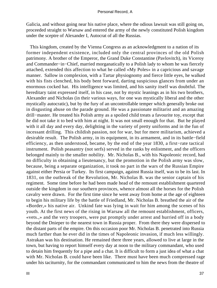Galicia, and without going near his native place, where the odious lawsuit was still going on, proceeded straight to Warsaw and entered the army of the newly constituted Polish kingdom under the sceptre of Alexander I, Autocrat of all the Russias.

 This kingdom, created by the Vienna Congress as an acknowledgment to a nation of its former independent existence, included only the central provinces of the old Polish patrimony. A brother of the Emperor, the Grand Duke Constantine (Pavlovitch), its Viceroy and Commander−in−Chief, married morganatically to a Polish lady to whom he was fiercely attached, extended this affection to what he called «My Poles» in a capricious and savage manner. Sallow in complexion, with a Tartar physiognomy and fierce little eyes, he walked with his fists clenched, his body bent forward, darting suspicious glances from under an enormous cocked hat. His intelligence was limited, and his sanity itself was doubtful. The hereditary taint expressed itself, in his case, not by mystic leanings as in his two brothers, Alexander and Nicholas (in their various ways, for one was mystically liberal and the other mystically autocratic), but by the fury of an uncontrollable temper which generally broke out in disgusting abuse on the parade ground. He was a passionate militarist and an amazing drill−master. He treated his Polish army as a spoiled child treats a favourite toy, except that he did not take it to bed with him at night. It was not small enough for that. But he played with it all day and every day, delighting in the variety of pretty uniforms and in the fun of incessant drilling. This childish passion, not for war, but for mere militarism, achieved a desirable result. The Polish army, in its equipment, in its armament, and in its battle−field efficiency, as then understood, became, by the end of the year 1830, a first−rate tactical instrument. Polish peasantry (not serfs) served in the ranks by enlistment, and the officers belonged mainly to the smaller nobility. Mr. Nicholas B., with his Napoleonic record, had no difficulty in obtaining a lieutenancy, but the promotion in the Polish army was slow, because, being a separate organization, it took no part in the wars of the Russian Empire against either Persia or Turkey. Its first campaign, against Russia itself, was to be its last. In 1831, on the outbreak of the Revolution, Mr. Nicholas B. was the senior captain of his regiment. Some time before he had been made head of the remount establishment quartered outside the kingdom in our southern provinces, whence almost all the horses for the Polish cavalry were drawn. For the first time since he went away from home at the age of eighteen to begin his military life by the battle of Friedland, Mr. Nicholas B. breathed the air of the «Border,» his native air. Unkind fate was lying in wait for him among the scenes of his youth. At the first news of the rising in Warsaw all the remount establishment, officers, «vets.,» and the very troopers, were put promptly under arrest and hurried off in a body beyond the Dnieper to the nearest town in Russia proper. From there they were dispersed to the distant parts of the empire. On this occasion poor Mr. Nicholas B. penetrated into Russia much farther than he ever did in the times of Napoleonic invasion, if much less willingly. Astrakan was his destination. He remained there three years, allowed to live at large in the town, but having to report himself every day at noon to the military commandant, who used to detain him frequently for a pipe and a chat. It is difficult to form a just idea of what a chat with Mr. Nicholas B. could have been like. There must have been much compressed rage under his taciturnity, for the commandant communicated to him the news from the theatre of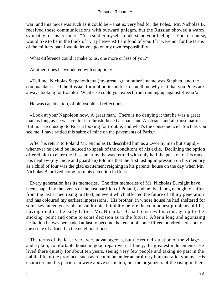war, and this news was such as it could be – that is, very bad for the Poles. Mr. Nicholas B. received these communications with outward phlegm, but the Russian showed a warm sympathy for his prisoner. "As a soldier myself I understand your feelings. You, of course, would like to be in the thick of it. By heavens! I am fond of you. If it were not for the terms of the military oath I would let you go on my own responsibility.

What difference could it make to us, one more or less of you?"

At other times he wondered with simplicity.

 «Tell me, Nicholas Stepanovitch» (my great−grandfather's name was Stephen, and the commandant used the Russian form of polite address) – «tell me why is it that you Poles are always looking for trouble? What else could you expect from running up against Russia?»

He was capable, too, of philosophical reflections.

 «Look at your Napoleon now. A great man. There is no denying it that he was a great man as long as he was content to thrash those Germans and Austrians and all those nations. But no! He must go to Russia looking for trouble, and what's the consequence? Such as you see me; I have rattled this sabre of mine on the pavements of Paris.»

 After his return to Poland Mr. Nicholas B. described him as a «worthy man but stupid,» whenever he could be induced to speak of the conditions of his exile. Declining the option offered him to enter the Russian army, he was retired with only half the pension of his rank. His nephew (my uncle and guardian) told me that the first lasting impression on his memory as a child of four was the glad excitement reigning in his parents' house on the day when Mr. Nicholas B. arrived home from his detention in Russia.

 Every generation has its memories. The first memories of Mr. Nicholas B. might have been shaped by the events of the last partition of Poland, and he lived long enough to suffer from the last armed rising in 1863, an event which affected the future of all my generation and has coloured my earliest impressions. His brother, in whose house he had sheltered for some seventeen years his misanthropical timidity before the commonest problems of life, having died in the early fifties, Mr. Nicholas B. had to screw his courage up to the sticking−point and come to some decision as to the future. After a long and agonizing hesitation he was persuaded at last to become the tenant of some fifteen hundred acres out of the estate of a friend in the neighbourhood.

 The terms of the lease were very advantageous, but the retired situation of the village and a plain, comfortable house in good repair were, I fancy, the greatest inducements. He lived there quietly for about ten years, seeing very few people and taking no part in the public life of the province, such as it could be under an arbitrary bureaucratic tyranny. His character and his patriotism were above suspicion; but the organizers of the rising in their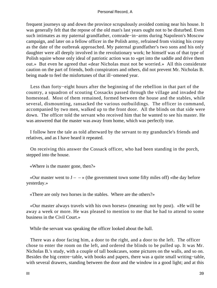frequent journeys up and down the province scrupulously avoided coming near his house. It was generally felt that the repose of the old man's last years ought not to be disturbed. Even such intimates as my paternal grandfather, comrade−in−arms during Napoleon's Moscow campaign, and later on a fellow officer in the Polish army, refrained from visiting his crony as the date of the outbreak approached. My paternal grandfather's two sons and his only daughter were all deeply involved in the revolutionary work; he himself was of that type of Polish squire whose only ideal of patriotic action was to «get into the saddle and drive them out.» But even he agreed that «dear Nicholas must not be worried.» All this considerate caution on the part of friends, both conspirators and others, did not prevent Mr. Nicholas B. being made to feel the misfortunes of that ill−omened year.

 Less than forty−eight hours after the beginning of the rebellion in that part of the country, a squadron of scouting Cossacks passed through the village and invaded the homestead. Most of them remained, formed between the house and the stables, while several, dismounting, ransacked the various outbuildings. The officer in command, accompanied by two men, walked up to the front door. All the blinds on that side were down. The officer told the servant who received him that he wanted to see his master. He was answered that the master was away from home, which was perfectly true.

 I follow here the tale as told afterward by the servant to my granduncle's friends and relatives, and as I have heard it repeated.

 On receiving this answer the Cossack officer, who had been standing in the porch, stepped into the house.

«Where is the master gone, then?»

«Our master went to  $J - \rightarrow$  (the government town some fifty miles off) «the day before yesterday.»

«There are only two horses in the stables. Where are the others?»

 «Our master always travels with his own horses» (meaning: not by post). «He will be away a week or more. He was pleased to mention to me that he had to attend to some business in the Civil Court.»

While the servant was speaking the officer looked about the hall.

 There was a door facing him, a door to the right, and a door to the left. The officer chose to enter the room on the left, and ordered the blinds to be pulled up. It was Mr. Nicholas B.'s study, with a couple of tall bookcases, some pictures on the walls, and so on. Besides the big centre−table, with books and papers, there was a quite small writing−table, with several drawers, standing between the door and the window in a good light; and at this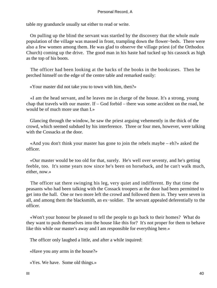table my granduncle usually sat either to read or write.

 On pulling up the blind the servant was startled by the discovery that the whole male population of the village was massed in front, trampling down the flower−beds. There were also a few women among them. He was glad to observe the village priest (of the Orthodox Church) coming up the drive. The good man in his haste had tucked up his cassock as high as the top of his boots.

 The officer had been looking at the backs of the books in the bookcases. Then he perched himself on the edge of the centre table and remarked easily:

«Your master did not take you to town with him, then?»

 «I am the head servant, and he leaves me in charge of the house. It's a strong, young chap that travels with our master. If – God forbid – there was some accident on the road, he would be of much more use than I.»

 Glancing through the window, he saw the priest arguing vehemently in the thick of the crowd, which seemed subdued by his interference. Three or four men, however, were talking with the Cossacks at the door.

 «And you don't think your master has gone to join the rebels maybe – eh?» asked the officer.

 «Our master would be too old for that, surely. He's well over seventy, and he's getting feeble, too. It's some years now since he's been on horseback, and he can't walk much, either, now.»

 The officer sat there swinging his leg, very quiet and indifferent. By that time the peasants who had been talking with the Cossack troopers at the door had been permitted to get into the hall. One or two more left the crowd and followed them in. They were seven in all, and among them the blacksmith, an ex−soldier. The servant appealed deferentially to the officer.

 «Won't your honour be pleased to tell the people to go back to their homes? What do they want to push themselves into the house like this for? It's not proper for them to behave like this while our master's away and I am responsible for everything here.»

The officer only laughed a little, and after a while inquired:

«Have you any arms in the house?»

«Yes. We have. Some old things.»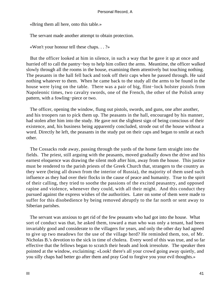«Bring them all here, onto this table.»

The servant made another attempt to obtain protection.

«Won't your honour tell these chaps. . . ?»

 But the officer looked at him in silence, in such a way that he gave it up at once and hurried off to call the pantry−boy to help him collect the arms. Meantime, the officer walked slowly through all the rooms in the house, examining them attentively but touching nothing. The peasants in the hall fell back and took off their caps when he passed through. He said nothing whatever to them. When he came back to the study all the arms to be found in the house were lying on the table. There was a pair of big, flint−lock holster pistols from Napoleonic times, two cavalry swords, one of the French, the other of the Polish army pattern, with a fowling−piece or two.

 The officer, opening the window, flung out pistols, swords, and guns, one after another, and his troopers ran to pick them up. The peasants in the hall, encouraged by his manner, had stolen after him into the study. He gave not the slightest sign of being conscious of their existence, and, his business being apparently concluded, strode out of the house without a word. Directly he left, the peasants in the study put on their caps and began to smile at each other.

 The Cossacks rode away, passing through the yards of the home farm straight into the fields. The priest, still arguing with the peasants, moved gradually down the drive and his earnest eloquence was drawing the silent mob after him, away from the house. This justice must be rendered to the parish priests of the Greek Church that, strangers to the country as they were (being all drawn from the interior of Russia), the majority of them used such influence as they had over their flocks in the cause of peace and humanity. True to the spirit of their calling, they tried to soothe the passions of the excited peasantry, and opposed rapine and violence, whenever they could, with all their might. And this conduct they pursued against the express wishes of the authorities. Later on some of them were made to suffer for this disobedience by being removed abruptly to the far north or sent away to Siberian parishes.

 The servant was anxious to get rid of the few peasants who had got into the house. What sort of conduct was that, he asked them, toward a man who was only a tenant, had been invariably good and considerate to the villagers for years, and only the other day had agreed to give up two meadows for the use of the village herd? He reminded them, too, of Mr. Nicholas B.'s devotion to the sick in time of cholera. Every word of this was true, and so far effective that the fellows began to scratch their heads and look irresolute. The speaker then pointed at the window, exclaiming: «Look! there's all your crowd going away quietly, and you silly chaps had better go after them and pray God to forgive you your evil thoughts.»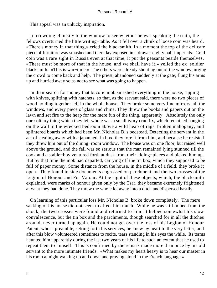This appeal was an unlucky inspiration.

 In crowding clumsily to the window to see whether he was speaking the truth, the fellows overturned the little writing−table. As it fell over a chink of loose coin was heard. «There's money in that thing,» cried the blacksmith. In a moment the top of the delicate piece of furniture was smashed and there lay exposed in a drawer eighty half imperials. Gold coin was a rare sight in Russia even at that time; it put the peasants beside themselves. «There must be more of that in the house, and we shall have it,» yelled the ex−soldier blacksmith. «This is war−time.» The others were already shouting out of the window, urging the crowd to come back and help. The priest, abandoned suddenly at the gate, flung his arms up and hurried away so as not to see what was going to happen.

 In their search for money that bucolic mob smashed everything in the house, ripping with knives, splitting with hatchets, so that, as the servant said, there were no two pieces of wood holding together left in the whole house. They broke some very fine mirrors, all the windows, and every piece of glass and china. They threw the books and papers out on the lawn and set fire to the heap for the mere fun of the thing, apparently. Absolutely the only one solitary thing which they left whole was a small ivory crucifix, which remained hanging on the wall in the wrecked bedroom above a wild heap of rags, broken mahogany, and splintered boards which had been Mr. Nicholas B.'s bedstead. Detecting the servant in the act of stealing away with a japanned tin box, they tore it from him, and because he resisted they threw him out of the dining−room window. The house was on one floor, but raised well above the ground, and the fall was so serious that the man remained lying stunned till the cook and a stable−boy ventured forth at dusk from their hiding−places and picked him up. But by that time the mob had departed, carrying off the tin box, which they supposed to be full of paper money. Some distance from the house, in the middle of a field, they broke it open. They found in side documents engrossed on parchment and the two crosses of the Legion of Honour and For Valour. At the sight of these objects, which, the blacksmith explained, were marks of honour given only by the Tsar, they became extremely frightened at what they had done. They threw the whole lot away into a ditch and dispersed hastily.

 On learning of this particular loss Mr. Nicholas B. broke down completely. The mere sacking of his house did not seem to affect him much. While he was still in bed from the shock, the two crosses were found and returned to him. It helped somewhat his slow convalescence, but the tin box and the parchments, though searched for in all the ditches around, never turned up again. He could not get over the loss of his Legion of Honour Patent, whose preamble, setting forth his services, he knew by heart to the very letter, and after this blow volunteered sometimes to recite, tears standing in his eyes the while. Its terms haunted him apparently during the last two years of his life to such an extent that he used to repeat them to himself. This is confirmed by the remark made more than once by his old servant to the more intimate friends. «What makes my heart heavy is to hear our master in his room at night walking up and down and praying aloud in the French language.»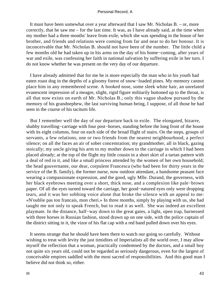It must have been somewhat over a year afterward that I saw Mr. Nicholas B. – or, more correctly, that he saw me – for the last time. It was, as I have already said, at the time when my mother had a three months' leave from exile, which she was spending in the house of her brother, and friends and relations were coming from far and near to do her honour. It is inconceivable that Mr. Nicholas B. should not have been of the number. The little child a few months old he had taken up in his arms on the day of his home−coming, after years of war and exile, was confessing her faith in national salvation by suffering exile in her turn. I do not know whether he was present on the very day of our departure.

 I have already admitted that for me he is more especially the man who in his youth had eaten roast dog in the depths of a gloomy forest of snow−loaded pines. My memory cannot place him in any remembered scene. A hooked nose, some sleek white hair, an unrelated evanescent impression of a meagre, slight, rigid figure militarily buttoned up to the throat, is all that now exists on earth of Mr. Nicholas B.; only this vague shadow pursued by the memory of his grandnephew, the last surviving human being, I suppose, of all those he had seen in the course of his taciturn life.

 But I remember well the day of our departure back to exile. The elongated, bizarre, shabby travelling−carriage with four post−horses, standing before the long front of the house with its eight columns, four on each side of the broad flight of stairs. On the steps, groups of servants, a few relations, one or two friends from the nearest neighbourhood, a perfect silence; on all the faces an air of sober concentration; my grandmother, all in black, gazing stoically; my uncle giving his arm to my mother down to the carriage in which I had been placed already; at the top of the flight my little cousin in a short skirt of a tartan pattern with a deal of red in it, and like a small princess attended by the women of her own household; the head gouvernante, our dear, corpulent Francesca (who had been for thirty years in the service of the B. family), the former nurse, now outdoor attendant, a handsome peasant face wearing a compassionate expression, and the good, ugly Mlle. Durand, the governess, with her black eyebrows meeting over a short, thick nose, and a complexion like pale−brown paper. Of all the eyes turned toward the carriage, her good−natured eyes only were dropping tears, and it was her sobbing voice alone that broke the silence with an appeal to me: «N'oublie pas ton francais, mon cheri.» In three months, simply by playing with us, she had taught me not only to speak French, but to read it as well. She was indeed an excellent playmate. In the distance, half−way down to the great gates, a light, open trap, harnessed with three horses in Russian fashion, stood drawn up on one side, with the police captain of the district sitting in it, the vizor of his flat cap with a red band pulled down over his eyes.

 It seems strange that he should have been there to watch our going so carefully. Without wishing to treat with levity the just timidites of Imperialists all the world over, I may allow myself the reflection that a woman, practically condemned by the doctors, and a small boy not quite six years old, could not be regarded as seriously dangerous, even for the largest of conceivable empires saddled with the most sacred of responsibilities. And this good man I believe did not think so, either.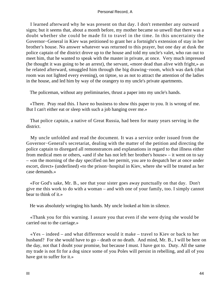I learned afterward why he was present on that day. I don't remember any outward signs; but it seems that, about a month before, my mother became so unwell that there was a doubt whether she could be made fit to travel in the time. In this uncertainty the Governor−General in Kiev was petitioned to grant her a fortnight's extension of stay in her brother's house. No answer whatever was returned to this prayer, but one day at dusk the police captain of the district drove up to the house and told my uncle's valet, who ran out to meet him, that he wanted to speak with the master in private, at once. Very much impressed (he thought it was going to be an arrest), the servant, «more dead than alive with fright,» as he related afterward, smuggled him through the big drawing−room, which was dark (that room was not lighted every evening), on tiptoe, so as not to attract the attention of the ladies in the house, and led him by way of the orangery to my uncle's private apartments.

The policeman, without any preliminaries, thrust a paper into my uncle's hands.

 «There. Pray read this. I have no business to show this paper to you. It is wrong of me. But I can't either eat or sleep with such a job hanging over me.»

 That police captain, a native of Great Russia, had been for many years serving in the district.

 My uncle unfolded and read the document. It was a service order issued from the Governor−General's secretariat, dealing with the matter of the petition and directing the police captain to disregard all remonstrances and explanations in regard to that illness either from medical men or others, «and if she has not left her brother's house» – it went on to say – «on the morning of the day specified on her permit, you are to despatch her at once under escort, direct» (underlined) «to the prison−hospital in Kiev, where she will be treated as her case demands.»

 «For God's sake, Mr. B., see that your sister goes away punctually on that day. Don't give me this work to do with a woman – and with one of your family, too. I simply cannot bear to think of it.»

He was absolutely wringing his hands. My uncle looked at him in silence.

 «Thank you for this warning. I assure you that even if she were dying she would be carried out to the carriage.»

 «Yes – indeed – and what difference would it make – travel to Kiev or back to her husband? For she would have to go – death or no death. And mind, Mr. B., I will be here on the day, not that I doubt your promise, but because I must. I have got to. Duty. All the same my trade is not fit for a dog since some of you Poles will persist in rebelling, and all of you have got to suffer for it.»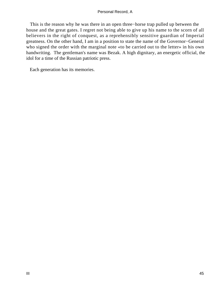This is the reason why he was there in an open three−horse trap pulled up between the house and the great gates. I regret not being able to give up his name to the scorn of all believers in the right of conquest, as a reprehensibly sensitive guardian of Imperial greatness. On the other hand, I am in a position to state the name of the Governor−General who signed the order with the marginal note «to be carried out to the letter» in his own handwriting. The gentleman's name was Bezak. A high dignitary, an energetic official, the idol for a time of the Russian patriotic press.

Each generation has its memories.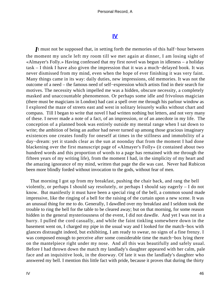# **[IV](#page-89-0)**

*I*t must not be supposed that, in setting forth the memories of this half−hour between the moment my uncle left my room till we met again at dinner, I am losing sight of «Almayer's Folly.» Having confessed that my first novel was begun in idleness – a holiday task – I think I have also given the impression that it was a much−delayed book. It was never dismissed from my mind, even when the hope of ever finishing it was very faint. Many things came in its way: daily duties, new impressions, old memories. It was not the outcome of a need – the famous need of self−expression which artists find in their search for motives. The necessity which impelled me was a hidden, obscure necessity, a completely masked and unaccountable phenomenon. Or perhaps some idle and frivolous magician (there must be magicians in London) had cast a spell over me through his parlour window as I explored the maze of streets east and west in solitary leisurely walks without chart and compass. Till I began to write that novel I had written nothing but letters, and not very many of these. I never made a note of a fact, of an impression, or of an anecdote in my life. The conception of a planned book was entirely outside my mental range when I sat down to write; the ambition of being an author had never turned up among those gracious imaginary existences one creates fondly for oneself at times in the stillness and immobility of a day−dream: yet it stands clear as the sun at noonday that from the moment I had done blackening over the first manuscript page of «Almayer's Folly» (it contained about two hundred words and this proportion of words to a page has remained with me through the fifteen years of my writing life), from the moment I had, in the simplicity of my heart and the amazing ignorance of my mind, written that page the die was cast. Never had Rubicon been more blindly forded without invocation to the gods, without fear of men.

 That morning I got up from my breakfast, pushing the chair back, and rang the bell violently, or perhaps I should say resolutely, or perhaps I should say eagerly – I do not know. But manifestly it must have been a special ring of the bell, a common sound made impressive, like the ringing of a bell for the raising of the curtain upon a new scene. It was an unusual thing for me to do. Generally, I dawdled over my breakfast and I seldom took the trouble to ring the bell for the table to be cleared away; but on that morning, for some reason hidden in the general mysteriousness of the event, I did not dawdle. And yet I was not in a hurry. I pulled the cord casually, and while the faint tinkling somewhere down in the basement went on, I charged my pipe in the usual way and I looked for the match−box with glances distraught indeed, but exhibiting, I am ready to swear, no signs of a fine frenzy. I was composed enough to perceive after some considerable time the match−box lying there on the mantelpiece right under my nose. And all this was beautifully and safely usual. Before I had thrown down the match my landlady's daughter appeared with her calm, pale face and an inquisitive look, in the doorway. Of late it was the landlady's daughter who answered my bell. I mention this little fact with pride, because it proves that during the thirty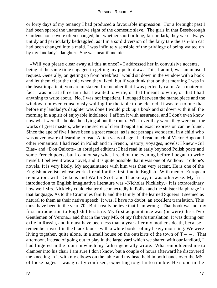or forty days of my tenancy I had produced a favourable impression. For a fortnight past I had been spared the unattractive sight of the domestic slave. The girls in that Bessborough Gardens house were often changed, but whether short or long, fair or dark, they were always untidy and particularly bedraggled, as if in a sordid version of the fairy tale the ash−bin cat had been changed into a maid. I was infinitely sensible of the privilege of being waited on by my landlady's daughter. She was neat if anemic.

 «Will you please clear away all this at once?» I addressed her in convulsive accents, being at the same time engaged in getting my pipe to draw. This, I admit, was an unusual request. Generally, on getting up from breakfast I would sit down in the window with a book and let them clear the table when they liked; but if you think that on that morning I was in the least impatient, you are mistaken. I remember that I was perfectly calm. As a matter of fact I was not at all certain that I wanted to write, or that I meant to write, or that I had anything to write about. No, I was not impatient. I lounged between the mantelpiece and the window, not even consciously waiting for the table to be cleared. It was ten to one that before my landlady's daughter was done I would pick up a book and sit down with it all the morning in a spirit of enjoyable indolence. I affirm it with assurance, and I don't even know now what were the books then lying about the room. What ever they were, they were not the works of great masters, where the secret of clear thought and exact expression can be found. Since the age of five I have been a great reader, as is not perhaps wonderful in a child who was never aware of learning to read. At ten years of age I had read much of Victor Hugo and other romantics. I had read in Polish and in French, history, voyages, novels; I knew «Gil Blas» and «Don Quixote» in abridged editions; I had read in early boyhood Polish poets and some French poets, but I cannot say what I read on the evening before I began to write myself. I believe it was a novel, and it is quite possible that it was one of Anthony Trollope's novels. It is very likely. My acquaintance with him was then very recent. He is one of the English novelists whose works I read for the first time in English. With men of European reputation, with Dickens and Walter Scott and Thackeray, it was otherwise. My first introduction to English imaginative literature was «Nicholas Nickleby.» It is extraordinary how well Mrs. Nickleby could chatter disconnectedly in Polish and the sinister Ralph rage in that language. As to the Crummles family and the family of the learned Squeers it seemed as natural to them as their native speech. It was, I have no doubt, an excellent translation. This must have been in the year '70. But I really believe that I am wrong. That book was not my first introduction to English literature. My first acquaintance was (or were) the «Two Gentlemen of Verona,» and that in the very MS. of my father's translation. It was during our exile in Russia, and it must have been less than a year after my mother's death, because I remember myself in the black blouse with a white border of my heavy mourning. We were living together, quite alone, in a small house on the outskirts of the town of  $T - -$ . That afternoon, instead of going out to play in the large yard which we shared with our landlord, I had lingered in the room in which my father generally wrote. What emboldened me to clamber into his chair I am sure I don't know, but a couple of hours afterward he discovered me kneeling in it with my elbows on the table and my head held in both hands over the MS. of loose pages. I was greatly confused, expecting to get into trouble. He stood in the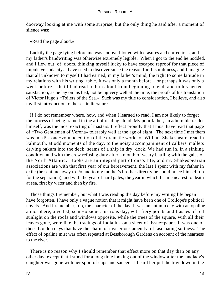doorway looking at me with some surprise, but the only thing he said after a moment of silence was:

«Read the page aloud.»

 Luckily the page lying before me was not overblotted with erasures and corrections, and my father's handwriting was otherwise extremely legible. When I got to the end he nodded, and I flew out−of−doors, thinking myself lucky to have escaped reproof for that piece of impulsive audacity. I have tried to discover since the reason for this mildness, and I imagine that all unknown to myself I had earned, in my father's mind, the right to some latitude in my relations with his writing−table. It was only a month before – or perhaps it was only a week before – that I had read to him aloud from beginning to end, and to his perfect satisfaction, as he lay on his bed, not being very well at the time, the proofs of his translation of Victor Hugo's «Toilers of the Sea.» Such was my title to consideration, I believe, and also my first introduction to the sea in literature.

 If I do not remember where, how, and when I learned to read, I am not likely to forget the process of being trained in the art of reading aloud. My poor father, an admirable reader himself, was the most exacting of masters. I reflect proudly that I must have read that page of «Two Gentlemen of Verona» tolerably well at the age of eight. The next time I met them was in a 5s. one−volume edition of the dramatic works of William Shakespeare, read in Falmouth, at odd moments of the day, to the noisy accompaniment of calkers' mallets driving oakum into the deck−seams of a ship in dry−dock. We had run in, in a sinking condition and with the crew refusing duty after a month of weary battling with the gales of the North Atlantic. Books are an integral part of one's life, and my Shakespearian associations are with that first year of our bereavement, the last I spent with my father in exile (he sent me away to Poland to my mother's brother directly he could brace himself up for the separation), and with the year of hard gales, the year in which I came nearest to death at sea, first by water and then by fire.

 Those things I remember, but what I was reading the day before my writing life began I have forgotten. I have only a vague notion that it might have been one of Trollope's political novels. And I remember, too, the character of the day. It was an autumn day with an opaline atmosphere, a veiled, semi−opaque, lustrous day, with fiery points and flashes of red sunlight on the roofs and windows opposite, while the trees of the square, with all their leaves gone, were like the tracings of India ink on a sheet of tissue−paper. It was one of those London days that have the charm of mysterious amenity, of fascinating softness. The effect of opaline mist was often repeated at Bessborough Gardens on account of the nearness to the river.

 There is no reason why I should remember that effect more on that day than on any other day, except that I stood for a long time looking out of the window after the landlady's daughter was gone with her spoil of cups and saucers. I heard her put the tray down in the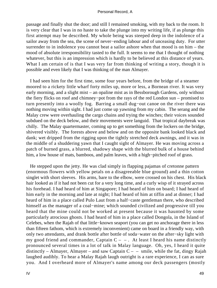passage and finally shut the door; and still I remained smoking, with my back to the room. It is very clear that I was in no haste to take the plunge into my writing life, if as plunge this first attempt may be described. My whole being was steeped deep in the indolence of a sailor away from the sea, the scene of never−ending labour and of unceasing duty. For utter surrender to in indolence you cannot beat a sailor ashore when that mood is on him – the mood of absolute irresponsibility tasted to the full. It seems to me that I thought of nothing whatever, but this is an impression which is hardly to be believed at this distance of years. What I am certain of is that I was very far from thinking of writing a story, though it is possible and even likely that I was thinking of the man Almayer.

 I had seen him for the first time, some four years before, from the bridge of a steamer moored to a rickety little wharf forty miles up, more or less, a Bornean river. It was very early morning, and a slight mist – an opaline mist as in Bessborough Gardens, only without the fiery flicks on roof and chimney−pot from the rays of the red London sun – promised to turn presently into a woolly fog. Barring a small dug−out canoe on the river there was nothing moving within sight. I had just come up yawning from my cabin. The serang and the Malay crew were overhauling the cargo chains and trying the winches; their voices sounded subdued on the deck below, and their movements were languid. That tropical daybreak was chilly. The Malay quartermaster, coming up to get something from the lockers on the bridge, shivered visibly. The forests above and below and on the opposite bank looked black and dank; wet dripped from the rigging upon the tightly stretched deck awnings, and it was in the middle of a shuddering yawn that I caught sight of Almayer. He was moving across a patch of burned grass, a blurred, shadowy shape with the blurred bulk of a house behind him, a low house of mats, bamboos, and palm leaves, with a high−pitched roof of grass.

 He stepped upon the jetty. He was clad simply in flapping pajamas of cretonne pattern (enormous flowers with yellow petals on a disagreeable blue ground) and a thin cotton singlet with short sleeves. His arms, bare to the elbow, were crossed on his chest. His black hair looked as if it had not been cut for a very long time, and a curly wisp of it strayed across his forehead. I had heard of him at Singapore; I had heard of him on board; I had heard of him early in the morning and late at night; I had heard of him at tiffin and at dinner; I had heard of him in a place called Pulo Laut from a half−caste gentleman there, who described himself as the manager of a coal−mine; which sounded civilized and progressive till you heard that the mine could not be worked at present because it was haunted by some particularly atrocious ghosts. I had heard of him in a place called Dongola, in the Island of Celebes, when the Rajah of that little−known seaport (you can get no anchorage there in less than fifteen fathom, which is extremely inconvenient) came on board in a friendly way, with only two attendants, and drank bottle after bottle of soda−water on the after−sky light with my good friend and commander, Captain  $C - -$ . At least I heard his name distinctly pronounced several times in a lot of talk in Malay language. Oh, yes, I heard it quite distinctly – Almayer, Almayer – and saw Captain  $C - -$  smile, while the fat, dingy Rajah laughed audibly. To hear a Malay Rajah laugh outright is a rare experience, I can as sure you. And I overheard more of Almayer's name among our deck passengers (mostly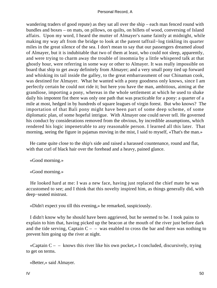wandering traders of good repute) as they sat all over the ship – each man fenced round with bundles and boxes – on mats, on pillows, on quilts, on billets of wood, conversing of Island affairs. Upon my word, I heard the mutter of Almayer's name faintly at midnight, while making my way aft from the bridge to look at the patent taffrail−log tinkling its quarter miles in the great silence of the sea. I don't mean to say that our passengers dreamed aloud of Almayer, but it is indubitable that two of them at least, who could not sleep, apparently, and were trying to charm away the trouble of insomnia by a little whispered talk at that ghostly hour, were referring in some way or other to Almayer. It was really impossible on board that ship to get away definitely from Almayer; and a very small pony tied up forward and whisking its tail inside the galley, to the great embarrassment of our Chinaman cook, was destined for Almayer. What he wanted with a pony goodness only knows, since I am perfectly certain he could not ride it; but here you have the man, ambitious, aiming at the grandiose, importing a pony, whereas in the whole settlement at which he used to shake daily his impotent fist there was only one path that was practicable for a pony: a quarter of a mile at most, hedged in by hundreds of square leagues of virgin forest. But who knows? The importation of that Bali pony might have been part of some deep scheme, of some diplomatic plan, of some hopeful intrigue. With Almayer one could never tell. He governed his conduct by considerations removed from the obvious, by incredible assumptions, which rendered his logic impenetrable to any reasonable person. I learned all this later. That morning, seeing the figure in pajamas moving in the mist, I said to myself, «That's the man.»

 He came quite close to the ship's side and raised a harassed countenance, round and flat, with that curl of black hair over the forehead and a heavy, pained glance.

«Good morning.»

«Good morning.»

 He looked hard at me: I was a new face, having just replaced the chief mate he was accustomed to see; and I think that this novelty inspired him, as things generally did, with deep−seated mistrust.

«Didn't expect you till this evening,» he remarked, suspiciously.

 I didn't know why he should have been aggrieved, but he seemed to be. I took pains to explain to him that, having picked up the beacon at the mouth of the river just before dark and the tide serving, Captain  $C - -$  was enabled to cross the bar and there was nothing to prevent him going up the river at night.

«Captain  $C - -$  knows this river like his own pocket,» I concluded, discursively, trying to get on terms.

«Better,» said Almayer.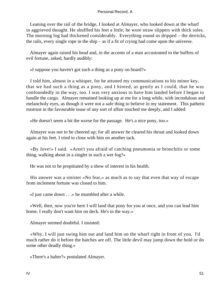Leaning over the rail of the bridge, I looked at Almayer, who looked down at the wharf in aggrieved thought. He shuffled his feet a little; he wore straw slippers with thick soles. The morning fog had thickened considerably. Everything round us dripped – the derricks, the rails, every single rope in the ship – as if a fit of crying had come upon the universe.

 Almayer again raised his head and, in the accents of a man accustomed to the buffets of evil fortune, asked, hardly audibly:

«I suppose you haven't got such a thing as a pony on board?»

 I told him, almost in a whisper, for he attuned my communications to his minor key, that we had such a thing as a pony, and I hinted, as gently as I could, that he was confoundedly in the way, too. I was very anxious to have him landed before I began to handle the cargo. Almayer remained looking up at me for a long while, with incredulous and melancholy eyes, as though it were not a safe thing to believe in my statement. This pathetic mistrust in the favourable issue of any sort of affair touched me deeply, and I added:

«He doesn't seem a bit the worse for the passage. He's a nice pony, too.»

 Almayer was not to be cheered up; for all answer he cleared his throat and looked down again at his feet. I tried to close with him on another tack.

 «By Jove!» I said. «Aren't you afraid of catching pneumonia or bronchitis or some thing, walking about in a singlet in such a wet fog?»

He was not to be propitiated by a show of interest in his health.

 His answer was a sinister «No fear,» as much as to say that even that way of escape from inclement fortune was closed to him.

«I just came down . . .» he mumbled after a while.

 «Well, then, now you're here I will land that pony for you at once, and you can lead him home. I really don't want him on deck. He's in the way.»

Almayer seemed doubtful. I insisted:

 «Why, I will just swing him out and land him on the wharf right in front of you. I'd much rather do it before the hatches are off. The little devil may jump down the hold or do some other deadly thing.»

«There's a halter?» postulated Almayer.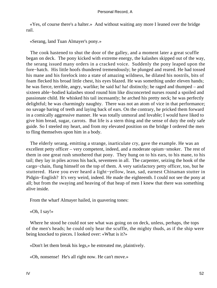«Yes, of course there's a halter.» And without waiting any more I leaned over the bridge rail.

«Serang, land Tuan Almayer's pony.»

 The cook hastened to shut the door of the galley, and a moment later a great scuffle began on deck. The pony kicked with extreme energy, the kalashes skipped out of the way, the serang issued many orders in a cracked voice. Suddenly the pony leaped upon the fore−hatch. His little hoofs thundered tremendously; he plunged and reared. He had tossed his mane and his forelock into a state of amazing wildness, he dilated his nostrils, bits of foam flecked his broad little chest, his eyes blazed. He was something under eleven hands; he was fierce, terrible, angry, warlike; he said ha! ha! distinctly; he raged and thumped – and sixteen able−bodied kalashes stood round him like disconcerted nurses round a spoiled and passionate child. He whisked his tail incessantly; he arched his pretty neck; he was perfectly delightful; he was charmingly naughty. There was not an atom of vice in that performance; no savage baring of teeth and laying back of ears. On the contrary, he pricked them forward in a comically aggressive manner. He was totally unmoral and lovable; I would have liked to give him bread, sugar, carrots. But life is a stern thing and the sense of duty the only safe guide. So I steeled my heart, and from my elevated position on the bridge I ordered the men to fling themselves upon him in a body.

 The elderly serang, emitting a strange, inarticulate cry, gave the example. He was an excellent petty officer – very competent, indeed, and a moderate opium−smoker. The rest of them in one great rush smothered that pony. They hung on to his ears, to his mane, to his tail; they lay in piles across his back, seventeen in all. The carpenter, seizing the hook of the cargo−chain, flung himself on the top of them. A very satisfactory petty officer, too, but he stuttered. Have you ever heard a light−yellow, lean, sad, earnest Chinaman stutter in Pidgin−English? It's very weird, indeed. He made the eighteenth. I could not see the pony at all; but from the swaying and heaving of that heap of men I knew that there was something alive inside.

From the wharf Almayer hailed, in quavering tones:

«Oh, I say!»

 Where he stood he could not see what was going on on deck, unless, perhaps, the tops of the men's heads; he could only hear the scuffle, the mighty thuds, as if the ship were being knocked to pieces. I looked over: «What is it?»

«Don't let them break his legs,» he entreated me, plaintively.

«Oh, nonsense! He's all right now. He can't move.»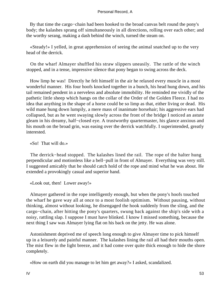By that time the cargo−chain had been hooked to the broad canvas belt round the pony's body; the kalashes sprang off simultaneously in all directions, rolling over each other; and the worthy serang, making a dash behind the winch, turned the steam on.

 «Steady!» I yelled, in great apprehension of seeing the animal snatched up to the very head of the derrick.

 On the wharf Almayer shuffled his straw slippers uneasily. The rattle of the winch stopped, and in a tense, impressive silence that pony began to swing across the deck.

 How limp he was! Directly he felt himself in the air he relaxed every muscle in a most wonderful manner. His four hoofs knocked together in a bunch, his head hung down, and his tail remained pendent in a nerveless and absolute immobility. He reminded me vividly of the pathetic little sheep which hangs on the collar of the Order of the Golden Fleece. I had no idea that anything in the shape of a horse could be so limp as that, either living or dead. His wild mane hung down lumpily, a mere mass of inanimate horsehair; his aggressive ears had collapsed, but as he went swaying slowly across the front of the bridge I noticed an astute gleam in his dreamy, half−closed eye. A trustworthy quartermaster, his glance anxious and his mouth on the broad grin, was easing over the derrick watchfully. I superintended, greatly interested.

# «So! That will do.»

 The derrick−head stopped. The kalashes lined the rail. The rope of the halter hung perpendicular and motionless like a bell−pull in front of Almayer. Everything was very still. I suggested amicably that he should catch hold of the rope and mind what he was about. He extended a provokingly casual and superior hand.

«Look out, then! Lower away!»

 Almayer gathered in the rope intelligently enough, but when the pony's hoofs touched the wharf he gave way all at once to a most foolish optimism. Without pausing, without thinking, almost without looking, he disengaged the hook suddenly from the sling, and the cargo−chain, after hitting the pony's quarters, swung back against the ship's side with a noisy, rattling slap. I suppose I must have blinked. I know I missed something, because the next thing I saw was Almayer lying flat on his back on the jetty. He was alone.

 Astonishment deprived me of speech long enough to give Almayer time to pick himself up in a leisurely and painful manner. The kalashes lining the rail all had their mouths open. The mist flew in the light breeze, and it had come over quite thick enough to hide the shore completely.

«How on earth did you manage to let him get away?» I asked, scandalized.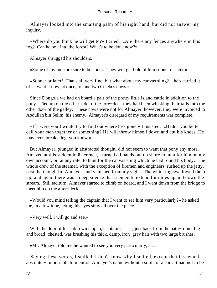Almayer looked into the smarting palm of his right hand, but did not answer my inquiry.

 «Where do you think he will get to?» I cried. «Are there any fences anywhere in this fog? Can he bolt into the forest? What's to be done now?»

Almayer shrugged his shoulders.

«Some of my men are sure to be about. They will get hold of him sooner or later.»

 «Sooner or later! That's all very fine, but what about my canvas sling? – he's carried it off. I want it now, at once, to land two Celebes cows.»

 Since Dongola we had on board a pair of the pretty little island cattle in addition to the pony. Tied up on the other side of the fore−deck they had been whisking their tails into the other door of the galley. These cows were not for Almayer, however; they were invoiced to Abdullah bin Selim, his enemy. Almayer's disregard of my requirements was complete.

 «If I were you I would try to find out where he's gone,» I insisted. «Hadn't you better call your men together or something? He will throw himself down and cut his knees. He may even break a leg, you know.»

 But Almayer, plunged in abstracted thought, did not seem to want that pony any more. Amazed at this sudden indifference, I turned all hands out on shore to hunt for him on my own account, or, at any rate, to hunt for the canvas sling which he had round his body. The whole crew of the steamer, with the exception of firemen and engineers, rushed up the jetty, past the thoughtful Almayer, and vanished from my sight. The white fog swallowed them up; and again there was a deep silence that seemed to extend for miles up and down the stream. Still taciturn, Almayer started to climb on board, and I went down from the bridge to meet him on the after−deck.

 «Would you mind telling the captain that I want to see him very particularly?» he asked me, in a low tone, letting his eyes stray all over the place.

«Very well. I will go and see.»

With the door of his cabin wide open, Captain  $C - -$ , just back from the bath–room, big and broad−chested, was brushing his thick, damp, iron−gray hair with two large brushes.

«Mr. Almayer told me he wanted to see you very particularly, sir.»

 Saying these words, I smiled. I don't know why I smiled, except that it seemed absolutely impossible to mention Almayer's name without a smile of a sort. It had not to be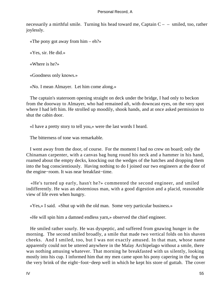necessarily a mirthful smile. Turning his head toward me, Captain  $C - -$  smiled, too, rather joylessly.

«The pony got away from him –  $eh$ ?»

«Yes, sir. He did.»

«Where is he?»

«Goodness only knows.»

«No. I mean Almayer. Let him come along.»

 The captain's stateroom opening straight on deck under the bridge, I had only to beckon from the doorway to Almayer, who had remained aft, with downcast eyes, on the very spot where I had left him. He strolled up moodily, shook hands, and at once asked permission to shut the cabin door.

«I have a pretty story to tell you,» were the last words I heard.

The bitterness of tone was remarkable.

 I went away from the door, of course. For the moment I had no crew on board; only the Chinaman carpenter, with a canvas bag hung round his neck and a hammer in his hand, roamed about the empty decks, knocking out the wedges of the hatches and dropping them into the bag conscientiously. Having nothing to do I joined our two engineers at the door of the engine−room. It was near breakfast−time.

 «He's turned up early, hasn't he?» commented the second engineer, and smiled indifferently. He was an abstemious man, with a good digestion and a placid, reasonable view of life even when hungry.

«Yes,» I said. «Shut up with the old man. Some very particular business.»

«He will spin him a damned endless yarn,» observed the chief engineer.

 He smiled rather sourly. He was dyspeptic, and suffered from gnawing hunger in the morning. The second smiled broadly, a smile that made two vertical folds on his shaven cheeks. And I smiled, too, but I was not exactly amused. In that man, whose name apparently could not be uttered anywhere in the Malay Archipelago without a smile, there was nothing amusing whatever. That morning he breakfasted with us silently, looking mostly into his cup. I informed him that my men came upon his pony capering in the fog on the very brink of the eight−foot−deep well in which he kept his store of guttah. The cover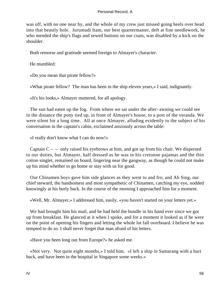was off, with no one near by, and the whole of my crew just missed going heels over head into that beastly hole. Jurumudi Itam, our best quartermaster, deft at fine needlework, he who mended the ship's flags and sewed buttons on our coats, was disabled by a kick on the shoulder.

Both remorse and gratitude seemed foreign to Almayer's character.

He mumbled:

«Do you mean that pirate fellow?»

«What pirate fellow? The man has been in the ship eleven years,» I said, indignantly.

«It's his looks,» Almayer muttered, for all apology.

 The sun had eaten up the fog. From where we sat under the after−awning we could see in the distance the pony tied up, in front of Almayer's house, to a post of the veranda. We were silent for a long time. All at once Almayer, alluding evidently to the subject of his conversation in the captain's cabin, exclaimed anxiously across the table:

«I really don't know what I can do now!»

Captain  $C$  – – only raised his eyebrows at him, and got up from his chair. We dispersed to our duties, but Almayer, half dressed as he was in his cretonne pajamas and the thin cotton singlet, remained on board, lingering near the gangway, as though he could not make up his mind whether to go home or stay with us for good.

 Our Chinamen boys gave him side glances as they went to and fro; and Ah Sing, our chief steward, the handsomest and most sympathetic of Chinamen, catching my eye, nodded knowingly at his burly back. In the course of the morning I approached him for a moment.

«Well, Mr. Almayer,» I addressed him, easily, «you haven't started on your letters yet.»

 We had brought him his mail, and he had held the bundle in his hand ever since we got up from breakfast. He glanced at it when I spoke, and for a moment it looked as if he were on the point of opening his fingers and letting the whole lot fall overboard. I believe he was tempted to do so. I shall never forget that man afraid of his letters.

«Have you been long out from Europe?» he asked me.

 «Not very. Not quite eight months,» I told him. «I left a ship in Samarang with a hurt back, and have been in the hospital in Singapore some weeks.»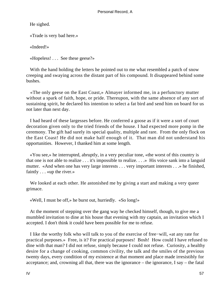He sighed.

«Trade is very bad here.»

«Indeed!»

«Hopeless! . . . See these geese?»

 With the hand holding the letters he pointed out to me what resembled a patch of snow creeping and swaying across the distant part of his compound. It disappeared behind some bushes.

 «The only geese on the East Coast,» Almayer informed me, in a perfunctory mutter without a spark of faith, hope, or pride. Thereupon, with the same absence of any sort of sustaining spirit, he declared his intention to select a fat bird and send him on board for us not later than next day.

 I had heard of these largesses before. He conferred a goose as if it were a sort of court decoration given only to the tried friends of the house. I had expected more pomp in the ceremony. The gift had surely its special quality, multiple and rare. From the only flock on the East Coast! He did not make half enough of it. That man did not understand his opportunities. However, I thanked him at some length.

 «You see,» he interrupted, abruptly, in a very peculiar tone, «the worst of this country is that one is not able to realize . . . it's impossible to realize. . . .» His voice sank into a languid mutter. «And when one has very large interests . . . very important interests . . .» he finished, faintly . . . «up the river.»

We looked at each other. He astonished me by giving a start and making a very queer grimace.

«Well, I must be off,» he burst out, hurriedly. «So long!»

 At the moment of stepping over the gang way he checked himself, though, to give me a mumbled invitation to dine at his house that evening with my captain, an invitation which I accepted. I don't think it could have been possible for me to refuse.

 I like the worthy folk who will talk to you of the exercise of free−will, «at any rate for practical purposes.» Free, is it? For practical purposes! Bosh! How could I have refused to dine with that man? I did not refuse, simply because I could not refuse. Curiosity, a healthy desire for a change of cooking, common civility, the talk and the smiles of the previous twenty days, every condition of my existence at that moment and place made irresistibly for acceptance; and, crowning all that, there was the ignorance – the ignorance, I say – the fatal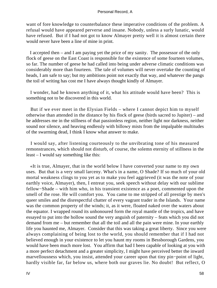want of fore knowledge to counterbalance these imperative conditions of the problem. A refusal would have appeared perverse and insane. Nobody, unless a surly lunatic, would have refused. But if I had not got to know Almayer pretty well it is almost certain there would never have been a line of mine in print.

 I accepted then – and I am paying yet the price of my sanity. The possessor of the only flock of geese on the East Coast is responsible for the existence of some fourteen volumes, so far. The number of geese he had called into being under adverse climatic conditions was considerably more than fourteen. The tale of volumes will never overtake the counting of heads, I am safe to say; but my ambitions point not exactly that way, and whatever the pangs the toil of writing has cost me I have always thought kindly of Almayer.

 I wonder, had he known anything of it, what his attitude would have been? This is something not to be discovered in this world.

 But if we ever meet in the Elysian Fields – where I cannot depict him to myself otherwise than attended in the distance by his flock of geese (birds sacred to Jupiter) – and he addresses me in the stillness of that passionless region, neither light nor darkness, neither sound nor silence, and heaving endlessly with billowy mists from the impalpable multitudes of the swarming dead, I think I know what answer to make.

 I would say, after listening courteously to the unvibrating tone of his measured remonstrances, which should not disturb, of course, the solemn eternity of stillness in the least – I would say something like this:

 «It is true, Almayer, that in the world below I have converted your name to my own uses. But that is a very small larceny. What's in a name, O Shade? If so much of your old mortal weakness clings to you yet as to make you feel aggrieved (it was the note of your earthly voice, Almayer), then, I entreat you, seek speech without delay with our sublime fellow−Shade – with him who, in his transient existence as a poet, commented upon the smell of the rose. He will comfort you. You came to me stripped of all prestige by men's queer smiles and the disrespectful chatter of every vagrant trader in the Islands. Your name was the common property of the winds; it, as it were, floated naked over the waters about the equator. I wrapped round its unhonoured form the royal mantle of the tropics, and have essayed to put into the hollow sound the very anguish of paternity – feats which you did not demand from me – but remember that all the toil and all the pain were mine. In your earthly life you haunted me, Almayer. Consider that this was taking a great liberty. Since you were always complaining of being lost to the world, you should remember that if I had not believed enough in your existence to let you haunt my rooms in Bessborough Gardens, you would have been much more lost. You affirm that had I been capable of looking at you with a more perfect detachment and a greater simplicity, I might have perceived better the inward marvellousness which, you insist, attended your career upon that tiny pin−point of light, hardly visible far, far below us, where both our graves lie. No doubt! But reflect, O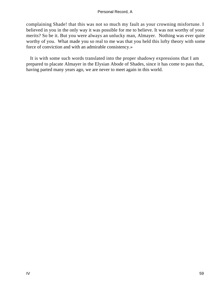complaining Shade! that this was not so much my fault as your crowning misfortune. I believed in you in the only way it was possible for me to believe. It was not worthy of your merits? So be it. But you were always an unlucky man, Almayer. Nothing was ever quite worthy of you. What made you so real to me was that you held this lofty theory with some force of conviction and with an admirable consistency.»

 It is with some such words translated into the proper shadowy expressions that I am prepared to placate Almayer in the Elysian Abode of Shades, since it has come to pass that, having parted many years ago, we are never to meet again in this world.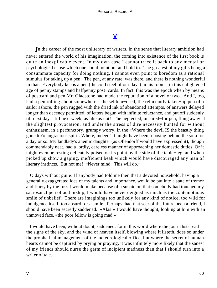# **[V](#page-89-0)**

*I*n the career of the most unliterary of writers, in the sense that literary ambition had never entered the world of his imagination, the coming into existence of the first book is quite an inexplicable event. In my own case I cannot trace it back to any mental or psychological cause which one could point out and hold to. The greatest of my gifts being a consummate capacity for doing nothing, I cannot even point to boredom as a rational stimulus for taking up a pen. The pen, at any rate, was there, and there is nothing wonderful in that. Everybody keeps a pen (the cold steel of our days) in his rooms, in this enlightened age of penny stamps and halfpenny post−cards. In fact, this was the epoch when by means of postcard and pen Mr. Gladstone had made the reputation of a novel or two. And I, too, had a pen rolling about somewhere – the seldom−used, the reluctantly taken−up pen of a sailor ashore, the pen rugged with the dried ink of abandoned attempts, of answers delayed longer than decency permitted, of letters begun with infinite reluctance, and put off suddenly till next day – till next week, as like as not! The neglected, uncared−for pen, flung away at the slightest provocation, and under the stress of dire necessity hunted for without enthusiasm, in a perfunctory, grumpy worry, in the «Where the devil IS the beastly thing gone to?» ungracious spirit. Where, indeed! It might have been reposing behind the sofa for a day or so. My landlady's anemic daughter (as Ollendorff would have expressed it), though commendably neat, had a lordly, careless manner of approaching her domestic duties. Or it might even be resting delicately poised on its point by the side of the table−leg, and when picked up show a gaping, inefficient beak which would have discouraged any man of literary instincts. But not me! «Never mind. This will do.»

 O days without guile! If anybody had told me then that a devoted household, having a generally exaggerated idea of my talents and importance, would be put into a state of tremor and flurry by the fuss I would make because of a suspicion that somebody had touched my sacrosanct pen of authorship, I would have never deigned as much as the contemptuous smile of unbelief. There are imaginings too unlikely for any kind of notice, too wild for indulgence itself, too absurd for a smile. Perhaps, had that seer of the future been a friend, I should have been secretly saddened. «Alas!» I would have thought, looking at him with an unmoved face, «the poor fellow is going mad.»

 I would have been, without doubt, saddened; for in this world where the journalists read the signs of the sky, and the wind of heaven itself, blowing where it listeth, does so under the prophetical management of the meteorological office, but where the secret of human hearts cannot be captured by prying or praying, it was infinitely more likely that the sanest of my friends should nurse the germ of incipient madness than that I should turn into a writer of tales.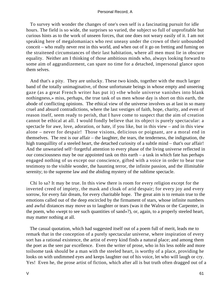To survey with wonder the changes of one's own self is a fascinating pursuit for idle hours. The field is so wide, the surprises so varied, the subject so full of unprofitable but curious hints as to the work of unseen forces, that one does not weary easily of it. I am not speaking here of megalomaniacs who rest uneasy under the crown of their unbounded conceit – who really never rest in this world, and when out of it go on fretting and fuming on the straitened circumstances of their last habitation, where all men must lie in obscure equality. Neither am I thinking of those ambitious minds who, always looking forward to some aim of aggrandizement, can spare no time for a detached, impersonal glance upon them selves.

 And that's a pity. They are unlucky. These two kinds, together with the much larger band of the totally unimaginative, of those unfortunate beings in whose empty and unseeing gaze (as a great French writer has put it) «the whole universe vanishes into blank nothingness,» miss, perhaps, the true task of us men whose day is short on this earth, the abode of conflicting opinions. The ethical view of the universe involves us at last in so many cruel and absurd contradictions, where the last vestiges of faith, hope, charity, and even of reason itself, seem ready to perish, that I have come to suspect that the aim of creation cannot be ethical at all. I would fondly believe that its object is purely spectacular: a spectacle for awe, love, adoration, or hate, if you like, but in this view – and in this view alone – never for despair! Those visions, delicious or poignant, are a moral end in themselves. The rest is our affair – the laughter, the tears, the tenderness, the indignation, the high tranquillity of a steeled heart, the detached curiosity of a subtle mind – that's our affair! And the unwearied self−forgetful attention to every phase of the living universe reflected in our consciousness may be our appointed task on this earth – a task in which fate has perhaps engaged nothing of us except our conscience, gifted with a voice in order to bear true testimony to the visible wonder, the haunting terror, the infinite passion, and the illimitable serenity; to the supreme law and the abiding mystery of the sublime spectacle.

 Chi lo sa? It may be true. In this view there is room for every religion except for the inverted creed of impiety, the mask and cloak of arid despair; for every joy and every sorrow, for every fair dream, for every charitable hope. The great aim is to remain true to the emotions called out of the deep encircled by the firmament of stars, whose infinite numbers and awful distances may move us to laughter or tears (was it the Walrus or the Carpenter, in the poem, who «wept to see such quantities of sand»?), or, again, to a properly steeled heart, may matter nothing at all.

 The casual quotation, which had suggested itself out of a poem full of merit, leads me to remark that in the conception of a purely spectacular universe, where inspiration of every sort has a rational existence, the artist of every kind finds a natural place; and among them the poet as the seer par excellence. Even the writer of prose, who in his less noble and more toilsome task should be a man with the steeled heart, is worthy of a place, providing he looks on with undimmed eyes and keeps laughter out of his voice, let who will laugh or cry. Yes! Even he, the prose artist of fiction, which after all is but truth often dragged out of a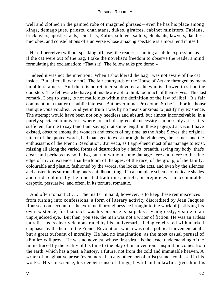well and clothed in the painted robe of imagined phrases – even he has his place among kings, demagogues, priests, charlatans, dukes, giraffes, cabinet ministers, Fabians, bricklayers, apostles, ants, scientists, Kafirs, soldiers, sailors, elephants, lawyers, dandies, microbes, and constellations of a universe whose amazing spectacle is a moral end in itself.

 Here I perceive (without speaking offense) the reader assuming a subtle expression, as if the cat were out of the bag. I take the novelist's freedom to observe the reader's mind formulating the exclamation: «That's it! The fellow talks pro domo.»

 Indeed it was not the intention! When I shouldered the bag I was not aware of the cat inside. But, after all, why not? The fair courtyards of the House of Art are thronged by many humble retainers. And there is no retainer so devoted as he who is allowed to sit on the doorstep. The fellows who have got inside are apt to think too much of themselves. This last remark, I beg to state, is not malicious within the definition of the law of libel. It's fair comment on a matter of public interest. But never mind. Pro domo. So be it. For his house tant que vous voudrez. And yet in truth I was by no means anxious to justify my existence. The attempt would have been not only needless and absurd, but almost inconceivable, in a purely spectacular universe, where no such disagreeable necessity can possibly arise. It is sufficient for me to say (and I am saying it at some length in these pages): J'ai vecu. I have existed, obscure among the wonders and terrors of my time, as the Abbe Sieyes, the original utterer of the quoted words, had managed to exist through the violences, the crimes, and the enthusiasms of the French Revolution. J'ai vecu, as I apprehend most of us manage to exist, missing all along the varied forms of destruction by a hair's−breadth, saving my body, that's clear, and perhaps my soul also, but not without some damage here and there to the fine edge of my conscience, that heirloom of the ages, of the race, of the group, of the family, colourable and plastic, fashioned by the words, the looks, the acts, and even by the silences and abstentions surrounding one's childhood; tinged in a complete scheme of delicate shades and crude colours by the inherited traditions, beliefs, or prejudices – unaccountable, despotic, persuasive, and often, in its texture, romantic.

And often romantic! . . . The matter in hand, however, is to keep these reminiscences from turning into confessions, a form of literary activity discredited by Jean Jacques Rousseau on account of the extreme thoroughness he brought to the work of justifying his own existence; for that such was his purpose is palpably, even grossly, visible to an unprejudiced eye. But then, you see, the man was not a writer of fiction. He was an artless moralist, as is clearly demonstrated by his anniversaries being celebrated with marked emphasis by the heirs of the French Revolution, which was not a political movement at all, but a great outburst of morality. He had no imagination, as the most casual perusal of «Emile» will prove. He was no novelist, whose first virtue is the exact understanding of the limits traced by the reality of his time to the play of his invention. Inspiration comes from the earth, which has a past, a history, a future, not from the cold and immutable heaven. A writer of imaginative prose (even more than any other sort of artist) stands confessed in his works. His conscience, his deeper sense of things, lawful and unlawful, gives him his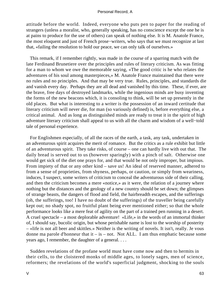attitude before the world. Indeed, everyone who puts pen to paper for the reading of strangers (unless a moralist, who, generally speaking, has no conscience except the one he is at pains to produce for the use of others) can speak of nothing else. It is M. Anatole France, the most eloquent and just of French prose−writers, who says that we must recognize at last that, «failing the resolution to hold our peace, we can only talk of ourselves.»

 This remark, if I remember rightly, was made in the course of a sparring match with the late Ferdinand Brunetiere over the principles and rules of literary criticism. As was fitting for a man to whom we owe the memorable saying, «The good critic is he who relates the adventures of his soul among masterpieces,» M. Anatole France maintained that there were no rules and no principles. And that may be very true. Rules, principles, and standards die and vanish every day. Perhaps they are all dead and vanished by this time. These, if ever, are the brave, free days of destroyed landmarks, while the ingenious minds are busy inventing the forms of the new beacons which, it is consoling to think, will be set up presently in the old places. But what is interesting to a writer is the possession of an inward certitude that literary criticism will never die, for man (so variously defined) is, before everything else, a critical animal. And as long as distinguished minds are ready to treat it in the spirit of high adventure literary criticism shall appeal to us with all the charm and wisdom of a well−told tale of personal experience.

 For Englishmen especially, of all the races of the earth, a task, any task, undertaken in an adventurous spirit acquires the merit of romance. But the critics as a rule exhibit but little of an adventurous spirit. They take risks, of course – one can hardly live with out that. The daily bread is served out to us (however sparingly) with a pinch of salt. Otherwise one would get sick of the diet one prays for, and that would be not only improper, but impious. From impiety of that or any other kind – save us! An ideal of reserved manner, adhered to from a sense of proprieties, from shyness, perhaps, or caution, or simply from weariness, induces, I suspect, some writers of criticism to conceal the adventurous side of their calling, and then the criticism becomes a mere «notice,» as it were, the relation of a journey where nothing but the distances and the geology of a new country should be set down; the glimpses of strange beasts, the dangers of flood and field, the hairbreadth escapes, and the sufferings (oh, the sufferings, too! I have no doubt of the sufferings) of the traveller being carefully kept out; no shady spot, no fruitful plant being ever mentioned either; so that the whole performance looks like a mere feat of agility on the part of a trained pen running in a desert. A cruel spectacle – a most deplorable adventure! «Life,» in the words of an immortal thinker of, I should say, bucolic origin, but whose perishable name is lost to the worship of posterity – «life is not all beer and skittles.» Neither is the writing of novels. It isn't, really. Je vous donne ma parole d'honneur that it – is – not. Not ALL. I am thus emphatic because some years ago, I remember, the daughter of a general. . . .

 Sudden revelations of the profane world must have come now and then to hermits in their cells, to the cloistered monks of middle ages, to lonely sages, men of science, reformers; the revelations of the world's superficial judgment, shocking to the souls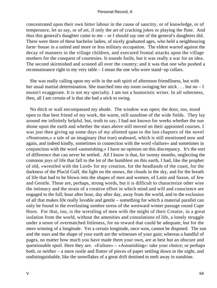concentrated upon their own bitter labour in the cause of sanctity, or of knowledge, or of temperance, let us say, or of art, if only the art of cracking jokes or playing the flute. And thus this general's daughter came to me – or I should say one of the general's daughters did. There were three of these bachelor ladies, of nicely graduated ages, who held a neighbouring farm−house in a united and more or less military occupation. The eldest warred against the decay of manners in the village children, and executed frontal attacks upon the village mothers for the conquest of courtesies. It sounds futile, but it was really a war for an idea. The second skirmished and scouted all over the country; and it was that one who pushed a reconnaissance right to my very table – I mean the one who wore stand−up collars.

 She was really calling upon my wife in the soft spirit of afternoon friendliness, but with her usual martial determination. She marched into my room swinging her stick . . . but no – I mustn't exaggerate. It is not my specialty. I am not a humoristic writer. In all soberness, then, all I am certain of is that she had a stick to swing.

 No ditch or wall encompassed my abode. The window was open; the door, too, stood open to that best friend of my work, the warm, still sunshine of the wide fields. They lay around me infinitely helpful, but, truth to say, I had not known for weeks whether the sun shone upon the earth and whether the stars above still moved on their appointed courses. I was just then giving up some days of my allotted span to the last chapters of the novel «Nostromo,» a tale of an imaginary (but true) seaboard, which is still mentioned now and again, and indeed kindly, sometimes in connection with the word «failure» and sometimes in conjunction with the word «astonishing.» I have no opinion on this discrepancy. It's the sort of difference that can never be settled. All I know is that, for twenty months, neglecting the common joys of life that fall to the lot of the humblest on this earth, I had, like the prophet of old, «wrestled with the Lord» for my creation, for the headlands of the coast, for the darkness of the Placid Gulf, the light on the snows, the clouds in the sky, and for the breath of life that had to be blown into the shapes of men and women, of Latin and Saxon, of Jew and Gentile. These are, perhaps, strong words, but it is difficult to characterize other wise the intimacy and the strain of a creative effort in which mind and will and conscience are engaged to the full, hour after hour, day after day, away from the world, and to the exclusion of all that makes life really lovable and gentle – something for which a material parallel can only be found in the everlasting sombre stress of the westward winter passage round Cape Horn. For that, too, is the wrestling of men with the might of their Creator, in a great isolation from the world, without the amenities and consolations of life, a lonely struggle under a sense of overmatched littleness, for no reward that could be adequate, but for the mere winning of a longitude. Yet a certain longitude, once won, cannot be disputed. The sun and the stars and the shape of your earth are the witnesses of your gain; whereas a handful of pages, no matter how much you have made them your own, are at best but an obscure and questionable spoil. Here they are. «Failure» – «Astonishing»: take your choice; or perhaps both, or neither – a mere rustle and flutter of pieces of paper settling down in the night, and undistinguishable, like the snowflakes of a great drift destined to melt away in sunshine.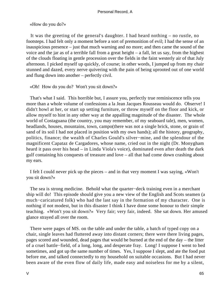«How do you do?»

 It was the greeting of the general's daughter. I had heard nothing – no rustle, no footsteps. I had felt only a moment before a sort of premonition of evil; I had the sense of an inauspicious presence – just that much warning and no more; and then came the sound of the voice and the jar as of a terrible fall from a great height – a fall, let us say, from the highest of the clouds floating in gentle procession over the fields in the faint westerly air of that July afternoon. I picked myself up quickly, of course; in other words, I jumped up from my chair stunned and dazed, every nerve quivering with the pain of being uprooted out of one world and flung down into another – perfectly civil.

«Oh! How do you do? Won't you sit down?»

 That's what I said. This horrible but, I assure you, perfectly true reminiscence tells you more than a whole volume of confessions a la Jean Jacques Rousseau would do. Observe! I didn't howl at her, or start up setting furniture, or throw myself on the floor and kick, or allow myself to hint in any other way at the appalling magnitude of the disaster. The whole world of Costaguana (the country, you may remember, of my seaboard tale), men, women, headlands, houses, mountains, town, campo(there was not a single brick, stone, or grain of sand of its soil I had not placed in position with my own hands); all the history, geography, politics, finance; the wealth of Charles Gould's silver−mine, and the splendour of the magnificent Capataz de Cargadores, whose name, cried out in the night (Dr. Monygham heard it pass over his head – in Linda Viola's voice), dominated even after death the dark gulf containing his conquests of treasure and love – all that had come down crashing about my ears.

 I felt I could never pick up the pieces – and in that very moment I was saying, «Won't you sit down?»

 The sea is strong medicine. Behold what the quarter−deck training even in a merchant ship will do! This episode should give you a new view of the English and Scots seamen (a much−caricatured folk) who had the last say in the formation of my character. One is nothing if not modest, but in this disaster I think I have done some honour to their simple teaching. «Won't you sit down?» Very fair; very fair, indeed. She sat down. Her amused glance strayed all over the room.

 There were pages of MS. on the table and under the table, a batch of typed copy on a chair, single leaves had fluttered away into distant corners; there were there living pages, pages scored and wounded, dead pages that would be burned at the end of the day – the litter of a cruel battle−field, of a long, long, and desperate fray. Long! I suppose I went to bed sometimes, and got up the same number of times. Yes, I suppose I slept, and ate the food put before me, and talked connectedly to my household on suitable occasions. But I had never been aware of the even flow of daily life, made easy and noiseless for me by a silent,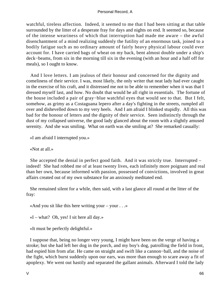watchful, tireless affection. Indeed, it seemed to me that I had been sitting at that table surrounded by the litter of a desperate fray for days and nights on end. It seemed so, because of the intense weariness of which that interruption had made me aware – the awful disenchantment of a mind realizing suddenly the futility of an enormous task, joined to a bodily fatigue such as no ordinary amount of fairly heavy physical labour could ever account for. I have carried bags of wheat on my back, bent almost double under a ship's deck−beams, from six in the morning till six in the evening (with an hour and a half off for meals), so I ought to know.

 And I love letters. I am jealous of their honour and concerned for the dignity and comeliness of their service. I was, most likely, the only writer that neat lady had ever caught in the exercise of his craft, and it distressed me not to be able to remember when it was that I dressed myself last, and how. No doubt that would be all right in essentials. The fortune of the house included a pair of gray−blue watchful eyes that would see to that. But I felt, somehow, as grimy as a Costaguana lepero after a day's fighting in the streets, rumpled all over and dishevelled down to my very heels. And I am afraid I blinked stupidly. All this was bad for the honour of letters and the dignity of their service. Seen indistinctly through the dust of my collapsed universe, the good lady glanced about the room with a slightly amused serenity. And she was smiling. What on earth was she smiling at? She remarked casually:

«I am afraid I interrupted you.»

«Not at all.»

 She accepted the denial in perfect good faith. And it was strictly true. Interrupted – indeed! She had robbed me of at least twenty lives, each infinitely more poignant and real than her own, because informed with passion, possessed of convictions, involved in great affairs created out of my own substance for an anxiously meditated end.

 She remained silent for a while, then said, with a last glance all round at the litter of the fray:

«And you sit like this here writing your – your . . .»

 $\ll$ I – what? Oh, yes! I sit here all day.»

«It must be perfectly delightful.»

 I suppose that, being no longer very young, I might have been on the verge of having a stroke; but she had left her dog in the porch, and my boy's dog, patrolling the field in front, had espied him from afar. He came on straight and swift like a cannon−ball, and the noise of the fight, which burst suddenly upon our ears, was more than enough to scare away a fit of apoplexy. We went out hastily and separated the gallant animals. Afterward I told the lady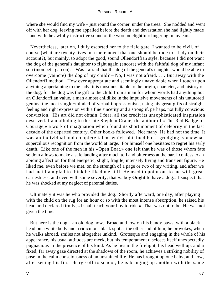where she would find my wife – just round the corner, under the trees. She nodded and went off with her dog, leaving me appalled before the death and devastation she had lightly made – and with the awfully instructive sound of the word «delightful» lingering in my ears.

 Nevertheless, later on, I duly escorted her to the field gate. I wanted to be civil, of course (what are twenty lives in a mere novel that one should be rude to a lady on their account?), but mainly, to adopt the good, sound Ollendorffian style, because I did not want the dog of the general's daughter to fight again (encore) with the faithful dog of my infant son (mon petit garcon). – Was I afraid that the dog of the general's daughter would be able to overcome (vaincre) the dog of my child? – No, I was not afraid. . . . But away with the Ollendorff method. How ever appropriate and seemingly unavoidable when I touch upon anything appertaining to the lady, it is most unsuitable to the origin, character, and history of the dog; for the dog was the gift to the child from a man for whom words had anything but an Ollendorffian value, a man almost childlike in the impulsive movements of his untutored genius, the most single−minded of verbal impressionists, using his great gifts of straight feeling and right expression with a fine sincerity and a strong if, perhaps, not fully conscious conviction. His art did not obtain, I fear, all the credit its unsophisticated inspiration deserved. I am alluding to the late Stephen Crane, the author of «The Red Badge of Courage,» a work of imagination which found its short moment of celebrity in the last decade of the departed century. Other books followed. Not many. He had not the time. It was an individual and complete talent which obtained but a grudging, somewhat supercilious recognition from the world at large. For himself one hesitates to regret his early death. Like one of the men in his «Open Boat,» one felt that he was of those whom fate seldom allows to make a safe landing after much toil and bitterness at the oar. I confess to an abiding affection for that energetic, slight, fragile, intensely living and transient figure. He liked me, even before we met, on the strength of a page or two of my writing, and after we had met I am glad to think he liked me still. He used to point out to me with great earnestness, and even with some severity, that «a boy **Ought** to have a dog.» I suspect that he was shocked at my neglect of parental duties.

 Ultimately it was he who provided the dog. Shortly afterward, one day, after playing with the child on the rug for an hour or so with the most intense absorption, he raised his head and declared firmly, «I shall teach your boy to ride.» That was not to be. He was not given the time.

 But here is the dog – an old dog now. Broad and low on his bandy paws, with a black head on a white body and a ridiculous black spot at the other end of him, he provokes, when he walks abroad, smiles not altogether unkind. Grotesque and engaging in the whole of his appearance, his usual attitudes are meek, but his temperament discloses itself unexpectedly pugnacious in the presence of his kind. As he lies in the firelight, his head well up, and a fixed, far away gaze directed at the shadows of the room, he achieves a striking nobility of pose in the calm consciousness of an unstained life. He has brought up one baby, and now, after seeing his first charge off to school, he is bringing up another with the same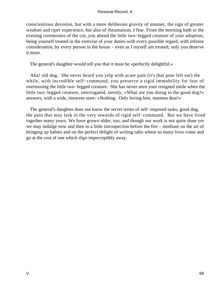conscientious devotion, but with a more deliberate gravity of manner, the sign of greater wisdom and riper experience, but also of rheumatism, I fear. From the morning bath to the evening ceremonies of the cot, you attend the little two−legged creature of your adoption, being yourself treated in the exercise of your duties with every possible regard, with infinite consideration, by every person in the house – even as I myself am treated; only you deserve it more.

The general's daughter would tell you that it must be «perfectly delightful.»

 Aha! old dog. She never heard you yelp with acute pain (it's that poor left ear) the while, with incredible self−command, you preserve a rigid immobility for fear of overturning the little two−legged creature. She has never seen your resigned smile when the little two−legged creature, interrogated, sternly, «What are you doing to the good dog?» answers, with a wide, innocent stare: «Nothing. Only loving him, mamma dear!»

The general's daughter does not know the secret terms of self−imposed tasks, good dog, the pain that may lurk in the very rewards of rigid self−command. But we have lived together many years. We have grown older, too; and though our work is not quite done yet we may indulge now and then in a little introspection before the fire – meditate on the art of bringing up babies and on the perfect delight of writing tales where so many lives come and go at the cost of one which slips imperceptibly away.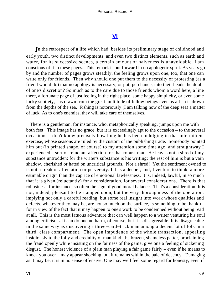# **[VI](#page-89-0)**

*I*n the retrospect of a life which had, besides its preliminary stage of childhood and early youth, two distinct developments, and even two distinct elements, such as earth and water, for its successive scenes, a certain amount of naiveness is unavoidable. I am conscious of it in these pages. This remark is put forward in no apologetic spirit. As years go by and the number of pages grows steadily, the feeling grows upon one, too, that one can write only for friends. Then why should one put them to the necessity of protesting (as a friend would do) that no apology is necessary, or put, perchance, into their heads the doubt of one's discretion? So much as to the care due to those friends whom a word here, a line there, a fortunate page of just feeling in the right place, some happy simplicity, or even some lucky subtlety, has drawn from the great multitude of fellow beings even as a fish is drawn from the depths of the sea. Fishing is notoriously (I am talking now of the deep sea) a matter of luck. As to one's enemies, they will take care of themselves.

 There is a gentleman, for instance, who, metaphorically speaking, jumps upon me with both feet. This image has no grace, but it is exceedingly apt to the occasion – to the several occasions. I don't know precisely how long he has been indulging in that intermittent exercise, whose seasons are ruled by the custom of the publishing trade. Somebody pointed him out (in printed shape, of course) to my attention some time ago, and straightway I experienced a sort of reluctant affection for that robust man. He leaves not a shred of my substance untrodden: for the writer's substance is his writing; the rest of him is but a vain shadow, cherished or hated on uncritical grounds. Not a shred! Yet the sentiment owned to is not a freak of affectation or perversity. It has a deeper, and, I venture to think, a more estimable origin than the caprice of emotional lawlessness. It is, indeed, lawful, in so much that it is given (reluctantly) for a consideration, for several considerations. There is that robustness, for instance, so often the sign of good moral balance. That's a consideration. It is not, indeed, pleasant to be stamped upon, but the very thoroughness of the operation, implying not only a careful reading, but some real insight into work whose qualities and defects, whatever they may be, are not so much on the surface, is something to be thankful for in view of the fact that it may happen to one's work to be condemned without being read at all. This is the most fatuous adventure that can well happen to a writer venturing his soul among criticisms. It can do one no harm, of course, but it is disagreeable. It is disagreeable in the same way as discovering a three−card−trick man among a decent lot of folk in a third−class compartment. The open impudence of the whole transaction, appealing insidiously to the folly and credulity of man kind, the brazen, shameless patter, proclaiming the fraud openly while insisting on the fairness of the game, give one a feeling of sickening disgust. The honest violence of a plain man playing a fair game fairly – even if he means to knock you over – may appear shocking, but it remains within the pale of decency. Damaging as it may be, it is in no sense offensive. One may well feel some regard for honesty, even if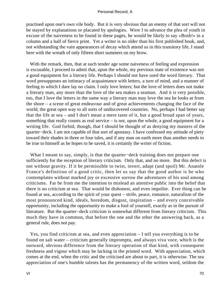practised upon one's own vile body. But it is very obvious that an enemy of that sort will not be stayed by explanations or placated by apologies. Were I to advance the plea of youth in excuse of the naiveness to be found in these pages, he would be likely to say «Bosh!» in a column and a half of fierce print. Yet a writer is no older than his first published book, and, not withstanding the vain appearances of decay which attend us in this transitory life, I stand here with the wreath of only fifteen short summers on my brow.

With the remark, then, that at such tender age some naiveness of feeling and expression is excusable, I proceed to admit that, upon the whole, my previous state of existence was not a good equipment for a literary life. Perhaps I should not have used the word literary. That word presupposes an intimacy of acquaintance with letters, a turn of mind, and a manner of feeling to which I dare lay no claim. I only love letters; but the love of letters does not make a literary man, any more than the love of the sea makes a seaman. And it is very possible, too, that I love the letters in the same way a literary man may love the sea he looks at from the shore – a scene of great endeavour and of great achievements changing the face of the world, the great open way to all sorts of undiscovered countries. No, perhaps I had better say that the life at sea – and I don't mean a mere taste of it, but a good broad span of years, something that really counts as real service – is not, upon the whole, a good equipment for a writing life. God forbid, though, that I should be thought of as denying my masters of the quarter−deck. I am not capable of that sort of apostasy. I have confessed my attitude of piety toward their shades in three or four tales, and if any man on earth more than another needs to be true to himself as he hopes to be saved, it is certainly the writer of fiction.

 What I meant to say, simply, is that the quarter−deck training does not prepare one sufficiently for the reception of literary criticism. Only that, and no more. But this defect is not without gravity. If it be permissible to twist, invert, adapt (and spoil) Mr. Anatole France's definition of a good critic, then let us say that the good author is he who contemplates without marked joy or excessive sorrow the adventures of his soul among criticisms. Far be from me the intention to mislead an attentive public into the belief that there is no criticism at sea. That would be dishonest, and even impolite. Ever thing can be found at sea, according to the spirit of your quest – strife, peace, romance, naturalism of the most pronounced kind, ideals, boredom, disgust, inspiration – and every conceivable opportunity, including the opportunity to make a fool of yourself, exactly as in the pursuit of literature. But the quarter−deck criticism is somewhat different from literary criticism. This much they have in common, that before the one and the other the answering back, as a general rule, does not pay.

 Yes, you find criticism at sea, and even appreciation – I tell you everything is to be found on salt water – criticism generally impromptu, and always viva voce, which is the outward, obvious difference from the literary operation of that kind, with consequent freshness and vigour which may be lacking in the printed word. With appreciation, which comes at the end, when the critic and the criticised are about to part, it is otherwise. The sea appreciation of one's humble talents has the permanency of the written word, seldom the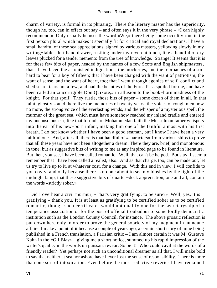charm of variety, is formal in its phrasing. There the literary master has the superiority, though he, too, can in effect but say – and often says it in the very phrase  $-\alpha I$  can highly recommend.» Only usually he uses the word «We,» there being some occult virtue in the first person plural which makes it specially fit for critical and royal declarations. I have a small handful of these sea appreciations, signed by various masters, yellowing slowly in my writing−table's left hand drawer, rustling under my reverent touch, like a handful of dry leaves plucked for a tender memento from the tree of knowledge. Strange! It seems that it is for these few bits of paper, headed by the names of a few Scots and English shipmasters, that I have faced the astonished indignations, the mockeries, and the reproaches of a sort hard to bear for a boy of fifteen; that I have been charged with the want of patriotism, the want of sense, and the want of heart, too; that I went through agonies of self−conflict and shed secret tears not a few, and had the beauties of the Furca Pass spoiled for me, and have been called an «incorrigible Don Quixote,» in allusion to the book−born madness of the knight. For that spoil! They rustle, those bits of paper – some dozen of them in all. In that faint, ghostly sound there live the memories of twenty years, the voices of rough men now no more, the strong voice of the everlasting winds, and the whisper of a mysterious spell, the murmur of the great sea, which must have somehow reached my inland cradle and entered my unconscious ear, like that formula of Mohammedan faith the Mussulman father whispers into the ear of his new−born infant, making him one of the faithful almost with his first breath. I do not know whether I have been a good seaman, but I know I have been a very faithful one. And, after all, there is that handful of «characters» from various ships to prove that all these years have not been altogether a dream. There they are, brief, and monotonous in tone, but as suggestive bits of writing to me as any inspired page to be found in literature. But then, you see, I have been called romantic. Well, that can't be helped. But stay. I seem to remember that I have been called a realist, also. And as that charge, too, can be made out, let us try to live up to it, at whatever cost, for a change. With this end in view, I will confide to you coyly, and only because there is no one about to see my blushes by the light of the midnight lamp, that these suggestive bits of quarter−deck appreciation, one and all, contain the words «strictly sober.»

 Did I overhear a civil murmur, «That's very gratifying, to be sure?» Well, yes, it is gratifying – thank you. It is at least as gratifying to be certified sober as to be certified romantic, though such certificates would not qualify one for the secretaryship of a temperance association or for the post of official troubadour to some lordly democratic institution such as the London County Council, for instance. The above prosaic reflection is put down here only in order to prove the general sobriety of my judgment in mundane affairs. I make a point of it because a couple of years ago, a certain short story of mine being published in a French translation, a Parisian critic – I am almost certain it was M. Gustave Kahn in the «Gil Blas» – giving me a short notice, summed up his rapid impression of the writer's quality in the words un puissant reveur. So be it! Who could cavil at the words of a friendly reader? Yet perhaps not such an unconditional dreamer as all that. I will make bold to say that neither at sea nor ashore have I ever lost the sense of responsibility. There is more than one sort of intoxication. Even before the most seductive reveries I have remained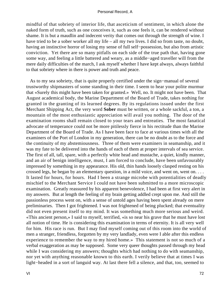mindful of that sobriety of interior life, that asceticism of sentiment, in which alone the naked form of truth, such as one conceives it, such as one feels it, can be rendered without shame. It is but a maudlin and indecent verity that comes out through the strength of wine. I have tried to be a sober worker all my life – all my two lives. I did so from taste, no doubt, having an instinctive horror of losing my sense of full self−possession, but also from artistic conviction. Yet there are so many pitfalls on each side of the true path that, having gone some way, and feeling a little battered and weary, as a middle−aged traveller will from the mere daily difficulties of the march, I ask myself whether I have kept always, always faithful to that sobriety where in there is power and truth and peace.

 As to my sea sobriety, that is quite properly certified under the sign−manual of several trustworthy shipmasters of some standing in their time. I seem to hear your polite murmur that «Surely this might have been taken for granted.» Well, no. It might not have been. That August academical body, the Marine Department of the Board of Trade, takes nothing for granted in the granting of its learned degrees. By its regulations issued under the first Merchant Shipping Act, the very word **Sober** must be written, or a whole sackful, a ton, a mountain of the most enthusiastic appreciation will avail you nothing. The door of the examination rooms shall remain closed to your tears and entreaties. The most fanatical advocate of temperance could not be more pitilessly fierce in his rectitude than the Marine Department of the Board of Trade. As I have been face to face at various times with all the examiners of the Port of London in my generation, there can be no doubt as to the force and the continuity of my abstemiousness. Three of them were examiners in seamanship, and it was my fate to be delivered into the hands of each of them at proper intervals of sea service. The first of all, tall, spare, with a perfectly white head and mustache, a quiet, kindly manner, and an air of benign intelligence, must, I am forced to conclude, have been unfavourably impressed by something in my appearance. His old, thin hands loosely clasped resting on his crossed legs, he began by an elementary question, in a mild voice, and went on, went on. . . . It lasted for hours, for hours. Had I been a strange microbe with potentialities of deadly mischief to the Merchant Service I could not have been submitted to a more microscopic examination. Greatly reassured by his apparent benevolence, I had been at first very alert in my answers. But at length the feeling of my brain getting addled crept upon me. And still the passionless process went on, with a sense of untold ages having been spent already on mere preliminaries. Then I got frightened. I was not frightened of being plucked; that eventuality did not even present itself to my mind. It was something much more serious and weird. «This ancient person,» I said to myself, terrified, «is so near his grave that he must have lost all notion of time. He is considering this examination in terms of eternity. It is all very well for him. His race is run. But I may find myself coming out of this room into the world of men a stranger, friendless, forgotten by my very landlady, even were I able after this endless experience to remember the way to my hired home.» This statement is not so much of a verbal exaggeration as may be supposed. Some very queer thoughts passed through my head while I was considering my answers; thoughts which had nothing to do with seamanship, nor yet with anything reasonable known to this earth. I verily believe that at times I was light−headed in a sort of languid way. At last there fell a silence, and that, too, seemed to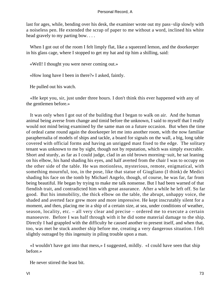last for ages, while, bending over his desk, the examiner wrote out my pass−slip slowly with a noiseless pen. He extended the scrap of paper to me without a word, inclined his white head gravely to my parting bow. . . .

When I got out of the room I felt limply flat, like a squeezed lemon, and the doorkeeper in his glass cage, where I stopped to get my hat and tip him a shilling, said:

«Well! I thought you were never coming out.»

«How long have I been in there?» I asked, faintly.

He pulled out his watch.

 «He kept you, sir, just under three hours. I don't think this ever happened with any of the gentlemen before.»

 It was only when I got out of the building that I began to walk on air. And the human animal being averse from change and timid before the unknown, I said to myself that I really would not mind being examined by the same man on a future occasion. But when the time of ordeal came round again the doorkeeper let me into another room, with the now familiar paraphernalia of models of ships and tackle, a board for signals on the wall, a big, long table covered with official forms and having an unrigged mast fixed to the edge. The solitary tenant was unknown to me by sight, though not by reputation, which was simply execrable. Short and sturdy, as far as I could judge, clad in an old brown morning−suit, he sat leaning on his elbow, his hand shading his eyes, and half averted from the chair I was to occupy on the other side of the table. He was motionless, mysterious, remote, enigmatical, with something mournful, too, in the pose, like that statue of Giugliano (I think) de Medici shading his face on the tomb by Michael Angelo, though, of course, he was far, far from being beautiful. He began by trying to make me talk nonsense. But I had been warned of that fiendish trait, and contradicted him with great assurance. After a while he left off. So far good. But his immobility, the thick elbow on the table, the abrupt, unhappy voice, the shaded and averted face grew more and more impressive. He kept inscrutably silent for a moment, and then, placing me in a ship of a certain size, at sea, under conditions of weather, season, locality, etc. – all very clear and precise – ordered me to execute a certain manoeuvre. Before I was half through with it he did some material damage to the ship. Directly I had grappled with the difficulty he caused another to present itself, and when that, too, was met he stuck another ship before me, creating a very dangerous situation. I felt slightly outraged by this ingenuity in piling trouble upon a man.

 «I wouldn't have got into that mess,» I suggested, mildly. «I could have seen that ship before.»

He never stirred the least bit.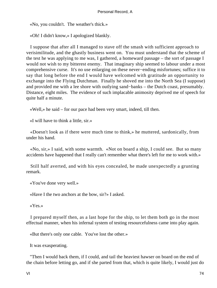«No, you couldn't. The weather's thick.»

«Oh! I didn't know,» I apologized blankly.

 I suppose that after all I managed to stave off the smash with sufficient approach to verisimilitude, and the ghastly business went on. You must understand that the scheme of the test he was applying to me was, I gathered, a homeward passage – the sort of passage I would not wish to my bitterest enemy. That imaginary ship seemed to labour under a most comprehensive curse. It's no use enlarging on these never−ending misfortunes; suffice it to say that long before the end I would have welcomed with gratitude an opportunity to exchange into the Flying Dutchman. Finally he shoved me into the North Sea (I suppose) and provided me with a lee shore with outlying sand−banks – the Dutch coast, presumably. Distance, eight miles. The evidence of such implacable animosity deprived me of speech for quite half a minute.

«Well,» he said – for our pace had been very smart, indeed, till then.

«I will have to think a little, sir.»

 «Doesn't look as if there were much time to think,» he muttered, sardonically, from under his hand.

 «No, sir,» I said, with some warmth. «Not on board a ship, I could see. But so many accidents have happened that I really can't remember what there's left for me to work with.»

 Still half averted, and with his eyes concealed, he made unexpectedly a grunting remark.

«You've done very well.»

«Have I the two anchors at the bow, sir?» I asked.

«Yes.»

 I prepared myself then, as a last hope for the ship, to let them both go in the most effectual manner, when his infernal system of testing resourcefulness came into play again.

«But there's only one cable. You've lost the other.»

It was exasperating.

 "Then I would back them, if I could, and tail the heaviest hawser on board on the end of the chain before letting go, and if she parted from that, which is quite likely, I would just do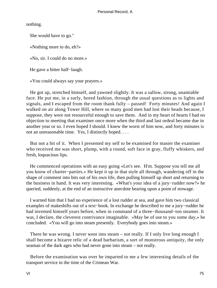nothing.

She would have to go."

«Nothing more to do, eh?»

«No, sir. I could do no more.»

He gave a bitter half−laugh.

«You could always say your prayers.»

 He got up, stretched himself, and yawned slightly. It was a sallow, strong, unamiable face. He put me, in a surly, bored fashion, through the usual questions as to lights and signals, and I escaped from the room thank fully – passed! Forty minutes! And again I walked on air along Tower Hill, where so many good men had lost their heads because, I suppose, they were not resourceful enough to save them. And in my heart of hearts I had no objection to meeting that examiner once more when the third and last ordeal became due in another year or so. I even hoped I should. I knew the worst of him now, and forty minutes is not an unreasonable time. Yes, I distinctly hoped. . . .

 But not a bit of it. When I presented my self to be examined for master the examiner who received me was short, plump, with a round, soft face in gray, fluffy whiskers, and fresh, loquacious lips.

 He commenced operations with an easy going «Let's see. H'm. Suppose you tell me all you know of charter−parties.» He kept it up in that style all through, wandering off in the shape of comment into bits out of his own life, then pulling himself up short and returning to the business in hand. It was very interesting. «What's your idea of a jury−rudder now?» he queried, suddenly, at the end of an instructive anecdote bearing upon a point of stowage.

 I warned him that I had no experience of a lost rudder at sea, and gave him two classical examples of makeshifts out of a text−book. In exchange he described to me a jury−rudder he had invented himself years before, when in command of a three−thousand−ton steamer. It was, I declare, the cleverest contrivance imaginable. «May be of use to you some day,» he concluded. «You will go into steam presently. Everybody goes into steam.»

 There he was wrong. I never went into steam – not really. If I only live long enough I shall become a bizarre relic of a dead barbarism, a sort of monstrous antiquity, the only seaman of the dark ages who had never gone into steam – not really.

 Before the examination was over he imparted to me a few interesting details of the transport service in the time of the Crimean War.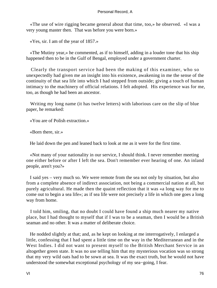«The use of wire rigging became general about that time, too,» he observed. «I was a very young master then. That was before you were born.»

«Yes, sir. I am of the year of 1857.»

 «The Mutiny year,» he commented, as if to himself, adding in a louder tone that his ship happened then to be in the Gulf of Bengal, employed under a government charter.

 Clearly the transport service had been the making of this examiner, who so unexpectedly had given me an insight into his existence, awakening in me the sense of the continuity of that sea life into which I had stepped from outside; giving a touch of human intimacy to the machinery of official relations. I felt adopted. His experience was for me, too, as though he had been an ancestor.

 Writing my long name (it has twelve letters) with laborious care on the slip of blue paper, he remarked:

«You are of Polish extraction.»

«Born there, sir.»

He laid down the pen and leaned back to look at me as it were for the first time.

 «Not many of your nationality in our service, I should think. I never remember meeting one either before or after I left the sea. Don't remember ever hearing of one. An inland people, aren't you?»

 I said yes – very much so. We were remote from the sea not only by situation, but also from a complete absence of indirect association, not being a commercial nation at all, but purely agricultural. He made then the quaint reflection that it was «a long way for me to come out to begin a sea life»; as if sea life were not precisely a life in which one goes a long way from home.

 I told him, smiling, that no doubt I could have found a ship much nearer my native place, but I had thought to myself that if I was to be a seaman, then I would be a British seaman and no other. It was a matter of deliberate choice.

 He nodded slightly at that; and, as he kept on looking at me interrogatively, I enlarged a little, confessing that I had spent a little time on the way in the Mediterranean and in the West Indies. I did not want to present myself to the British Merchant Service in an altogether green state. It was no use telling him that my mysterious vocation was so strong that my very wild oats had to be sown at sea. It was the exact truth, but he would not have understood the somewhat exceptional psychology of my sea−going, I fear.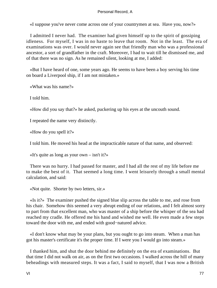«I suppose you've never come across one of your countrymen at sea. Have you, now?»

 I admitted I never had. The examiner had given himself up to the spirit of gossiping idleness. For myself, I was in no haste to leave that room. Not in the least. The era of examinations was over. I would never again see that friendly man who was a professional ancestor, a sort of grandfather in the craft. Moreover, I had to wait till he dismissed me, and of that there was no sign. As he remained silent, looking at me, I added:

 «But I have heard of one, some years ago. He seems to have been a boy serving his time on board a Liverpool ship, if I am not mistaken.»

«What was his name?»

I told him.

«How did you say that?» he asked, puckering up his eyes at the uncouth sound.

I repeated the name very distinctly.

«How do you spell it?»

I told him. He moved his head at the impracticable nature of that name, and observed:

«It's quite as long as your own  $-\sin't$  it?»

 There was no hurry. I had passed for master, and I had all the rest of my life before me to make the best of it. That seemed a long time. I went leisurely through a small mental calculation, and said:

«Not quite. Shorter by two letters, sir.»

 «Is it?» The examiner pushed the signed blue slip across the table to me, and rose from his chair. Somehow this seemed a very abrupt ending of our relations, and I felt almost sorry to part from that excellent man, who was master of a ship before the whisper of the sea had reached my cradle. He offered me his hand and wished me well. He even made a few steps toward the door with me, and ended with good−natured advice.

 «I don't know what may be your plans, but you ought to go into steam. When a man has got his master's certificate it's the proper time. If I were you I would go into steam.»

 I thanked him, and shut the door behind me definitely on the era of examinations. But that time I did not walk on air, as on the first two occasions. I walked across the hill of many beheadings with measured steps. It was a fact, I said to myself, that I was now a British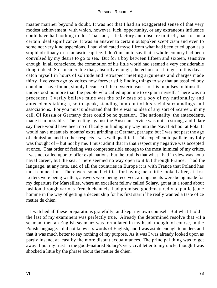master mariner beyond a doubt. It was not that I had an exaggerated sense of that very modest achievement, with which, however, luck, opportunity, or any extraneous influence could have had nothing to do. That fact, satisfactory and obscure in itself, had for me a certain ideal significance. It was an answer to certain outspoken scepticism and even to some not very kind aspersions. I had vindicated myself from what had been cried upon as a stupid obstinacy or a fantastic caprice. I don't mean to say that a whole country had been convulsed by my desire to go to sea. But for a boy between fifteen and sixteen, sensitive enough, in all conscience, the commotion of his little world had seemed a very considerable thing indeed. So considerable that, absurdly enough, the echoes of it linger to this day. I catch myself in hours of solitude and retrospect meeting arguments and charges made thirty−five years ago by voices now forever still; finding things to say that an assailed boy could not have found, simply because of the mysteriousness of his impulses to himself. I understood no more than the people who called upon me to explain myself. There was no precedent. I verily believe mine was the only case of a boy of my nationality and antecedents taking a, so to speak, standing jump out of his racial surroundings and associations. For you must understand that there was no idea of any sort of «career» in my call. Of Russia or Germany there could be no question. The nationality, the antecedents, made it impossible. The feeling against the Austrian service was not so strong, and I dare say there would have been no difficulty in finding my way into the Naval School at Pola. It would have meant six months' extra grinding at German, perhaps; but I was not past the age of admission, and in other respects I was well qualified. This expedient to palliate my folly was thought of – but not by me. I must admit that in that respect my negative was accepted at once. That order of feeling was comprehensible enough to the most inimical of my critics. I was not called upon to offer explanations; but the truth is that what I had in view was not a naval career, but the sea. There seemed no way open to it but through France. I had the language, at any rate, and of all the countries in Europe it is with France that Poland has most connection. There were some facilities for having me a little looked after, at first. Letters were being written, answers were being received, arrangements were being made for my departure for Marseilles, where an excellent fellow called Solary, got at in a round about fashion through various French channels, had promised good−naturedly to put le jeune homme in the way of getting a decent ship for his first start if he really wanted a taste of ce metier de chien.

 I watched all these preparations gratefully, and kept my own counsel. But what I told the last of my examiners was perfectly true. Already the determined resolve that «if a seaman, then an English seaman» was formulated in my head, though, of course, in the Polish language. I did not know six words of English, and I was astute enough to understand that it was much better to say nothing of my purpose. As it was I was already looked upon as partly insane, at least by the more distant acquaintances. The principal thing was to get away. I put my trust in the good−natured Solary's very civil letter to my uncle, though I was shocked a little by the phrase about the metier de chien.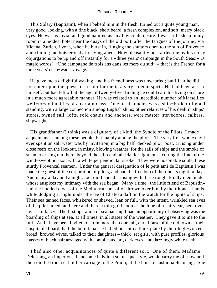This Solary (Baptistin), when I beheld him in the flesh, turned out a quite young man, very good−looking, with a fine black, short beard, a fresh complexion, and soft, merry black eyes. He was as jovial and good natured as any boy could desire. I was still asleep in my room in a modest hotel near the quays of the old port, after the fatigues of the journey via Vienna, Zurich, Lyons, when he burst in, flinging the shutters open to the sun of Provence and chiding me boisterously for lying abed. How pleasantly he startled me by his noisy objurgations to be up and off instantly for a «three years' campaign in the South Seas!» O magic words! «Une campagne de trois ans dans les mers du sud» – that is the French for a three years' deep−water voyage.

 He gave me a delightful waking, and his friendliness was unwearied; but I fear he did not enter upon the quest for a ship for me in a very solemn spirit. He had been at sea himself, but had left off at the age of twenty−five, finding he could earn his living on shore in a much more agreeable manner. He was related to an incredible number of Marseilles well−to−do families of a certain class. One of his uncles was a ship−broker of good standing, with a large connection among English ships; other relatives of his dealt in ships' stores, owned sail−lofts, sold chains and anchors, were master−stevedores, calkers, shipwrights.

 His grandfather (I think) was a dignitary of a kind, the Syndic of the Pilots. I made acquaintances among these people, but mainly among the pilots. The very first whole day I ever spent on salt water was by invitation, in a big half−decked pilot−boat, cruising under close reefs on the lookout, in misty, blowing weather, for the sails of ships and the smoke of steamers rising out there, beyond the slim and tall Planier lighthouse cutting the line of the wind−swept horizon with a white perpendicular stroke. They were hospitable souls, these sturdy Provencal seamen. Under the general designation of le petit ami de Baptistin I was made the guest of the corporation of pilots, and had the freedom of their boats night or day. And many a day and a night, too, did I spend cruising with these rough, kindly men, under whose auspices my intimacy with the sea began. Many a time «the little friend of Baptistin» had the hooded cloak of the Mediterranean sailor thrown over him by their honest hands while dodging at night under the lee of Chateau daft on the watch for the lights of ships. Their sea tanned faces, whiskered or shaved, lean or full, with the intent, wrinkled sea eyes of the pilot breed, and here and there a thin gold hoop at the lobe of a hairy ear, bent over my sea infancy. The first operation of seamanship I had an opportunity of observing was the boarding of ships at sea, at all times, in all states of the weather. They gave it to me to the full. And I have been invited to sit in more than one tall, dark house of the old town at their hospitable board, had the bouillabaisse ladled out into a thick plate by their high−voiced, broad−browed wives, talked to their daughters – thick−set girls, with pure profiles, glorious masses of black hair arranged with complicated art, dark eyes, and dazzlingly white teeth.

 I had also other acquaintances of quite a different sort. One of them, Madame Delestang, an imperious, handsome lady in a statuesque style, would carry me off now and then on the front seat of her carriage to the Prado, at the hour of fashionable airing. She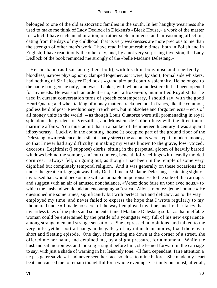belonged to one of the old aristocratic families in the south. In her haughty weariness she used to make me think of Lady Dedlock in Dickens's «Bleak House,» a work of the master for which I have such an admiration, or rather such an intense and unreasoning affection, dating from the days of my childhood, that its very weaknesses are more precious to me than the strength of other men's work. I have read it innumerable times, both in Polish and in English; I have read it only the other day, and, by a not very surprising inversion, the Lady Dedlock of the book reminded me strongly of the «belle Madame Delestang.»

 Her husband (as I sat facing them both), with his thin, bony nose and a perfectly bloodless, narrow physiognomy clamped together, as it were, by short, formal side whiskers, had nothing of Sir Leicester Dedlock's «grand air» and courtly solemnity. He belonged to the haute bourgeoisie only, and was a banker, with whom a modest credit had been opened for my needs. He was such an ardent – no, such a frozen−up, mummified Royalist that he used in current conversation turns of speech contemporary, I should say, with the good Henri Quatre; and when talking of money matters, reckoned not in francs, like the common, godless herd of post−Revolutionary Frenchmen, but in obsolete and forgotten ecus – ecus of all money units in the world! – as though Louis Quatorze were still promenading in royal splendour the gardens of Versailles, and Monsieur de Colbert busy with the direction of maritime affairs. You must admit that in a banker of the nineteenth century it was a quaint idiosyncrasy. Luckily, in the counting−house (it occupied part of the ground floor of the Delestang town residence, in a silent, shady street) the accounts were kept in modern money, so that I never had any difficulty in making my wants known to the grave, low−voiced, decorous, Legitimist (I suppose) clerks, sitting in the perpetual gloom of heavily barred windows behind the sombre, ancient counters, beneath lofty ceilings with heavily molded cornices. I always felt, on going out, as though I had been in the temple of some very dignified but completely temporal religion. And it was generally on these occasions that under the great carriage gateway Lady Ded – I mean Madame Delestang – catching sight of my raised hat, would beckon me with an amiable imperiousness to the side of the carriage, and suggest with an air of amused nonchalance, «Venez donc faire un tour avec nous,» to which the husband would add an encouraging «C'est ca. Allons, montez, jeune homme.» He questioned me some times, significantly but with perfect tact and delicacy, as to the way I employed my time, and never failed to express the hope that I wrote regularly to my «honoured uncle.» I made no secret of the way I employed my time, and I rather fancy that my artless tales of the pilots and so on entertained Madame Delestang so far as that ineffable woman could be entertained by the prattle of a youngster very full of his new experience among strange men and strange sensations. She expressed no opinions, and talked to me very little; yet her portrait hangs in the gallery of my intimate memories, fixed there by a short and fleeting episode. One day, after putting me down at the corner of a street, she offered me her hand, and detained me, by a slight pressure, for a moment. While the husband sat motionless and looking straight before him, she leaned forward in the carriage to say, with just a shade of warning in her leisurely tone: «Il faut, cependant, faire attention a ne pas gater sa vie.» I had never seen her face so close to mine before. She made my heart beat and caused me to remain thoughtful for a whole evening. Certainly one must, after all,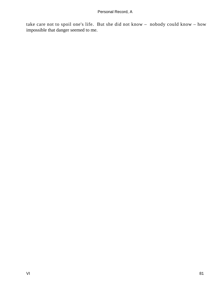take care not to spoil one's life. But she did not know – nobody could know – how impossible that danger seemed to me.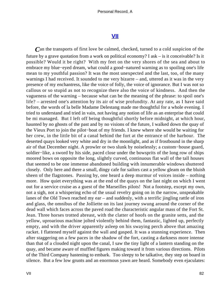# **[VII](#page-89-0)**

<span id="page-82-0"></span>*C*an the transports of first love be calmed, checked, turned to a cold suspicion of the future by a grave quotation from a work on political economy? I ask – is it conceivable? Is it possible? Would it be right? With my feet on the very shores of the sea and about to embrace my blue−eyed dream, what could a good−natured warning as to spoiling one's life mean to my youthful passion? It was the most unexpected and the last, too, of the many warnings I had received. It sounded to me very bizarre – and, uttered as it was in the very presence of my enchantress, like the voice of folly, the voice of ignorance. But I was not so callous or so stupid as not to recognize there also the voice of kindness. And then the vagueness of the warning – because what can be the meaning of the phrase: to spoil one's life? – arrested one's attention by its air of wise profundity. At any rate, as I have said before, the words of la belle Madame Delestang made me thoughtful for a whole evening. I tried to understand and tried in vain, not having any notion of life as an enterprise that could be mi managed. But I left off being thoughtful shortly before midnight, at which hour, haunted by no ghosts of the past and by no visions of the future, I walked down the quay of the Vieux Port to join the pilot−boat of my friends. I knew where she would be waiting for her crew, in the little bit of a canal behind the fort at the entrance of the harbour. The deserted quays looked very white and dry in the moonlight, and as if frostbound in the sharp air of that December night. A prowler or two slunk by noiselessly; a custom−house guard, soldier−like, a sword by his side, paced close under the bowsprits of the long row of ships moored bows on opposite the long, slightly curved, continuous flat wall of the tall houses that seemed to be one immense abandoned building with innumerable windows shuttered closely. Only here and there a small, dingy cafe for sailors cast a yellow gleam on the bluish sheen of the flagstones. Passing by, one heard a deep murmur of voices inside – nothing more. How quiet everything was at the end of the quays on the last night on which I went out for a service cruise as a guest of the Marseilles pilots! Not a footstep, except my own, not a sigh, not a whispering echo of the usual revelry going on in the narrow, unspeakable lanes of the Old Town reached my ear – and suddenly, with a terrific jingling rattle of iron and glass, the omnibus of the Jolliette on its last journey swung around the corner of the dead wall which faces across the paved road the characteristic angular mass of the Fort St. Jean. Three horses trotted abreast, with the clatter of hoofs on the granite setts, and the yellow, uproarious machine jolted violently behind them, fantastic, lighted up, perfectly empty, and with the driver apparently asleep on his swaying perch above that amazing racket. I flattened myself against the wall and gasped. It was a stunning experience. Then after staggering on a few paces in the shadow of the fort, casting a darkness more intense than that of a clouded night upon the canal, I saw the tiny light of a lantern standing on the quay, and became aware of muffled figures making toward it from various directions. Pilots of the Third Company hastening to embark. Too sleepy to be talkative, they step on board in silence. But a few low grunts and an enormous yawn are heard. Somebody even ejaculates: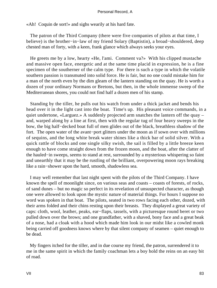«Ah! Coquin de sort!» and sighs wearily at his hard fate.

 The patron of the Third Company (there were five companies of pilots at that time, I believe) is the brother−in−law of my friend Solary (Baptistin), a broad−shouldered, deep chested man of forty, with a keen, frank glance which always seeks your eyes.

 He greets me by a low, hearty «He, l'ami. Comment va?» With his clipped mustache and massive open face, energetic and at the same time placid in expression, he is a fine specimen of the southerner of the calm type. For there is such a type in which the volatile southern passion is transmuted into solid force. He is fair, but no one could mistake him for a man of the north even by the dim gleam of the lantern standing on the quay. He is worth a dozen of your ordinary Normans or Bretons, but then, in the whole immense sweep of the Mediterranean shores, you could not find half a dozen men of his stamp.

 Standing by the tiller, he pulls out his watch from under a thick jacket and bends his head over it in the light cast into the boat. Time's up. His pleasant voice commands, in a quiet undertone, «Larguez.» A suddenly projected arm snatches the lantern off the quay – and, warped along by a line at first, then with the regular tug of four heavy sweeps in the bow, the big half−decked boat full of men glides out of the black, breathless shadow of the fort. The open water of the avant−port glitters under the moon as if sown over with millions of sequins, and the long white break water shines like a thick bar of solid silver. With a quick rattle of blocks and one single silky swish, the sail is filled by a little breeze keen enough to have come straight down from the frozen moon, and the boat, after the clatter of the hauled−in sweeps, seems to stand at rest, surrounded by a mysterious whispering so faint and unearthly that it may be the rustling of the brilliant, overpowering moon rays breaking like a rain−shower upon the hard, smooth, shadowless sea.

 I may well remember that last night spent with the pilots of the Third Company. I have known the spell of moonlight since, on various seas and coasts – coasts of forests, of rocks, of sand dunes – but no magic so perfect in its revelation of unsuspected character, as though one were allowed to look upon the mystic nature of material things. For hours I suppose no word was spoken in that boat. The pilots, seated in two rows facing each other, dozed, with their arms folded and their chins resting upon their breasts. They displayed a great variety of caps: cloth, wool, leather, peaks, ear−flaps, tassels, with a picturesque round beret or two pulled down over the brows; and one grandfather, with a shaved, bony face and a great beak of a nose, had a cloak with a hood which made him look in our midst like a cowled monk being carried off goodness knows where by that silent company of seamen – quiet enough to be dead.

 My fingers itched for the tiller, and in due course my friend, the patron, surrendered it to me in the same spirit in which the family coachman lets a boy hold the reins on an easy bit of road.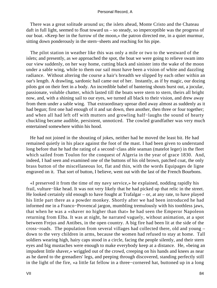There was a great solitude around us; the islets ahead, Monte Cristo and the Chateau daft in full light, seemed to float toward us – so steady, so imperceptible was the progress of our boat. «Keep her in the furrow of the moon,» the patron directed me, in a quiet murmur, sitting down ponderously in the stern−sheets and reaching for his pipe.

 The pilot station in weather like this was only a mile or two to the westward of the islets; and presently, as we approached the spot, the boat we were going to relieve swam into our view suddenly, on her way home, cutting black and sinister into the wake of the moon under a sable wing, while to them our sail must have been a vision of white and dazzling radiance. Without altering the course a hair's breadth we slipped by each other within an oar's length. A drawling, sardonic hail came out of her. Instantly, as if by magic, our dozing pilots got on their feet in a body. An incredible babel of bantering shouts burst out, a jocular, passionate, voluble chatter, which lasted till the boats were stern to stern, theirs all bright now, and, with a shining sail to our eyes, we turned all black to their vision, and drew away from them under a sable wing. That extraordinary uproar died away almost as suddenly as it had begun; first one had enough of it and sat down, then another, then three or four together; and when all had left off with mutters and growling half−laughs the sound of hearty chuckling became audible, persistent, unnoticed. The cowled grandfather was very much entertained somewhere within his hood.

 He had not joined in the shouting of jokes, neither had he moved the least bit. He had remained quietly in his place against the foot of the mast. I had been given to understand long before that he had the rating of a second−class able seaman (matelot leger) in the fleet which sailed from Toulon for the conquest of Algeria in the year of grace 1830. And, indeed, I had seen and examined one of the buttons of his old brown, patched coat, the only brass button of the miscellaneous lot, flat and thin, with the words Equipages de ligne engraved on it. That sort of button, I believe, went out with the last of the French Bourbons.

 «I preserved it from the time of my navy service,» he explained, nodding rapidly his frail, vulture−like head. It was not very likely that he had picked up that relic in the street. He looked certainly old enough to have fought at Trafalgar – or, at any rate, to have played his little part there as a powder monkey. Shortly after we had been introduced he had informed me in a Franco−Provencal jargon, mumbling tremulously with his toothless jaws, that when he was a «shaver no higher than that» he had seen the Emperor Napoleon returning from Elba. It was at night, he narrated vaguely, without animation, at a spot between Frejus and Antibes, in the open country. A big fire had been lit at the side of the cross−roads. The population from several villages had collected there, old and young – down to the very children in arms, because the women had refused to stay at home. Tall soldiers wearing high, hairy caps stood in a circle, facing the people silently, and their stern eyes and big mustaches were enough to make everybody keep at a distance. He, «being an impudent little shaver,» wriggled out of the crowd, creeping on his hands and knees as near as he dared to the grenadiers' legs, and peeping through discovered, standing perfectly still in the light of the fire, «a little fat fellow in a three−cornered hat, buttoned up in a long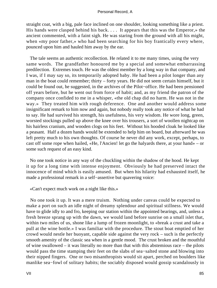straight coat, with a big, pale face inclined on one shoulder, looking something like a priest. His hands were clasped behind his back. . . . It appears that this was the Emperor,» the ancient commented, with a faint sigh. He was staring from the ground with all his might, when «my poor father,» who had been searching for his boy frantically every where, pounced upon him and hauled him away by the ear.

 The tale seems an authentic recollection. He related it to me many times, using the very same words. The grandfather honoured me by a special and somewhat embarrassing predilection. Extremes touch. He was the oldest member by a long way in that company, and I was, if I may say so, its temporarily adopted baby. He had been a pilot longer than any man in the boat could remember; thirty – forty years. He did not seem certain himself, but it could be found out, he suggested, in the archives of the Pilot−office. He had been pensioned off years before, but he went out from force of habit; and, as my friend the patron of the company once confided to me in a whisper, «the old chap did no harm. He was not in the way.» They treated him with rough deference. One and another would address some insignificant remark to him now and again, but nobody really took any notice of what he had to say. He had survived his strength, his usefulness, his very wisdom. He wore long, green, worsted stockings pulled up above the knee over his trousers, a sort of woollen nightcap on his hairless cranium, and wooden clogs on his feet. Without his hooded cloak he looked like a peasant. Half a dozen hands would be extended to help him on board, but afterward he was left pretty much to his own thoughts. Of course he never did any work, except, perhaps, to cast off some rope when hailed, «He, l'Ancien! let go the halyards there, at your hand» – or some such request of an easy kind.

 No one took notice in any way of the chuckling within the shadow of the hood. He kept it up for a long time with intense enjoyment. Obviously he had preserved intact the innocence of mind which is easily amused. But when his hilarity had exhausted itself, he made a professional remark in a self−assertive but quavering voice:

«Can't expect much work on a night like this.»

 No one took it up. It was a mere truism. Nothing under canvas could be expected to make a port on such an idle night of dreamy splendour and spiritual stillness. We would have to glide idly to and fro, keeping our station within the appointed bearings, and, unless a fresh breeze sprang up with the dawn, we would land before sunrise on a small islet that, within two miles of us, shone like a lump of frozen moonlight, to «break a crust and take a pull at the wine bottle.» I was familiar with the procedure. The stout boat emptied of her crowd would nestle her buoyant, capable side against the very rock – such is the perfectly smooth amenity of the classic sea when in a gentle mood. The crust broken and the mouthful of wine swallowed – it was literally no more than that with this abstemious race – the pilots would pass the time stamping their feet on the slabs of sea−salted stone and blowing into their nipped fingers. One or two misanthropists would sit apart, perched on boulders like manlike sea−fowl of solitary habits; the sociably disposed would gossip scandalously in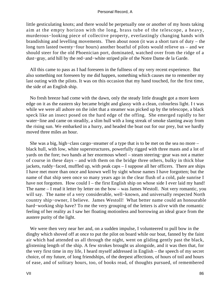little gesticulating knots; and there would be perpetually one or another of my hosts taking aim at the empty horizon with the long, brass tube of the telescope, a heavy, murderous−looking piece of collective property, everlastingly changing hands with brandishing and levelling movements. Then about noon (it was a short turn of duty – the long turn lasted twenty−four hours) another boatful of pilots would relieve us – and we should steer for the old Phoenician port, dominated, watched over from the ridge of a dust−gray, arid hill by the red−and−white striped pile of the Notre Dame de la Garde.

 All this came to pass as I had foreseen in the fullness of my very recent experience. But also something not foreseen by me did happen, something which causes me to remember my last outing with the pilots. It was on this occasion that my hand touched, for the first time, the side of an English ship.

 No fresh breeze had come with the dawn, only the steady little draught got a more keen edge on it as the eastern sky became bright and glassy with a clean, colourless light. I t was while we were all ashore on the islet that a steamer was picked up by the telescope, a black speck like an insect posed on the hard edge of the offing. She emerged rapidly to her water−line and came on steadily, a slim hull with a long streak of smoke slanting away from the rising sun. We embarked in a hurry, and headed the boat out for our prey, but we hardly moved three miles an hour.

 She was a big, high−class cargo−steamer of a type that is to be met on the sea no more – black hull, with low, white superstructures, powerfully rigged with three masts and a lot of yards on the fore; two hands at her enormous wheel – steam steering−gear was not a matter of course in these days – and with them on the bridge three others, bulky in thick blue jackets, ruddy−faced, muffled up, with peak caps – I suppose all her officers. There are ships I have met more than once and known well by sight whose names I have forgotten; but the name of that ship seen once so many years ago in the clear flush of a cold, pale sunrise I have not forgotten. How could I – the first English ship on whose side I ever laid my hand! The name – I read it letter by letter on the bow – was James Westoll. Not very romantic, you will say. The name of a very considerable, well−known, and universally respected North country ship−owner, I believe. James Westoll! What better name could an honourable hard−working ship have? To me the very grouping of the letters is alive with the romantic feeling of her reality as I saw her floating motionless and borrowing an ideal grace from the austere purity of the light.

 We were then very near her and, on a sudden impulse, I volunteered to pull bow in the dinghy which shoved off at once to put the pilot on board while our boat, fanned by the faint air which had attended us all through the night, went on gliding gently past the black, glistening length of the ship. A few strokes brought us alongside, and it was then that, for the very first time in my life, I heard myself addressed in English – the speech of my secret choice, of my future, of long friendships, of the deepest affections, of hours of toil and hours of ease, and of solitary hours, too, of books read, of thoughts pursued, of remembered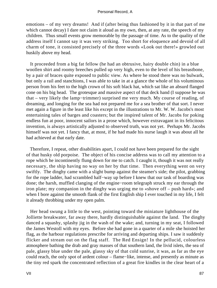emotions – of my very dreams! And if (after being thus fashioned by it in that part of me which cannot decay) I dare not claim it aloud as my own, then, at any rate, the speech of my children. Thus small events grow memorable by the passage of time. As to the quality of the address itself I cannot say it was very striking. Too short for eloquence and devoid of all charm of tone, it consisted precisely of the three words «Look out there!» growled out huskily above my head.

 It proceeded from a big fat fellow (he had an obtrusive, hairy double chin) in a blue woollen shirt and roomy breeches pulled up very high, even to the level of his breastbone, by a pair of braces quite exposed to public view. As where he stood there was no bulwark, but only a rail and stanchions, I was able to take in at a glance the whole of his voluminous person from his feet to the high crown of his soft black hat, which sat like an absurd flanged cone on his big head. The grotesque and massive aspect of that deck hand (I suppose he was that – very likely the lamp−trimmer) surprised me very much. My course of reading, of dreaming, and longing for the sea had not prepared me for a sea brother of that sort. I never met again a figure in the least like his except in the illustrations to Mr. W. W. Jacobs's most entertaining tales of barges and coasters; but the inspired talent of Mr. Jacobs for poking endless fun at poor, innocent sailors in a prose which, however extravagant in its felicitous invention, is always artistically adjusted to observed truth, was not yet. Perhaps Mr. Jacobs himself was not yet. I fancy that, at most, if he had made his nurse laugh it was about all he had achieved at that early date.

 Therefore, I repeat, other disabilities apart, I could not have been prepared for the sight of that husky old porpoise. The object of his concise address was to call my attention to a rope which he incontinently flung down for me to catch. I caught it, though it was not really necessary, the ship having no way on her by that time. Then everything went on very swiftly. The dinghy came with a slight bump against the steamer's side; the pilot, grabbing for the rope ladder, had scrambled half−way up before I knew that our task of boarding was done; the harsh, muffled clanging of the engine−room telegraph struck my ear through the iron plate; my companion in the dinghy was urging me to «shove off – push hard»; and when I bore against the smooth flank of the first English ship I ever touched in my life, I felt it already throbbing under my open palm.

 Her head swung a little to the west, pointing toward the miniature lighthouse of the Jolliette breakwater, far away there, hardly distinguishable against the land. The dinghy danced a squashy, splashy jig in the wash of the wake; and, turning in my seat, I followed the James Westoll with my eyes. Before she had gone in a quarter of a mile she hoisted her flag, as the harbour regulations prescribe for arriving and departing ships. I saw it suddenly flicker and stream out on the flag staff. The Red Ensign! In the pellucid, colourless atmosphere bathing the drab and gray masses of that southern land, the livid islets, the sea of pale, glassy blue under the pale, glassy sky of that cold sunrise, it was, as far as the eye could reach, the only spot of ardent colour – flame−like, intense, and presently as minute as the tiny red spark the concentrated reflection of a great fire kindles in the clear heart of a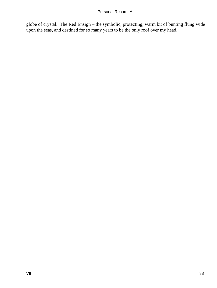globe of crystal. The Red Ensign – the symbolic, protecting, warm bit of bunting flung wide upon the seas, and destined for so many years to be the only roof over my head.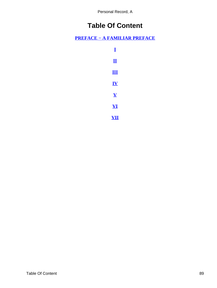# **Table Of Content**

<span id="page-89-0"></span>**[PREFACE − A FAMILIAR PREFACE](#page-3-0)**

| I                       |  |
|-------------------------|--|
| $\bf{I}$                |  |
| Ш                       |  |
| ${\bf IV}$              |  |
| $\bar{\mathbf{V}}$      |  |
| $\overline{\mathbf{V}}$ |  |
| V<br>Ц                  |  |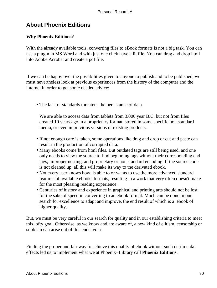# **About Phoenix Editions**

# **Why Phoenix Editions?**

With the already available tools, converting files to eBook formats is not a big task. You can use a plugin in MS Word and with just one click have a lit file. You can drag and drop html into Adobe Acrobat and create a pdf file.

If we can be happy over the possibilities given to anyone to publish and to be published, we must nevertheless look at previous experiences from the history of the computer and the internet in order to get some needed advice:

• The lack of standards threatens the persistance of data.

We are able to access data from tablets from 3.000 year B.C. but not from files created 10 years ago in a proprietary format, stored in some specific non standard media, or even in previous versions of existing products.

- If not enough care is taken, some operations like drag and drop or cut and paste can result in the production of corrupted data.
- Many ebooks come from html files. But outdated tags are still being used, and one only needs to view the source to find beginning tags without their corresponding end tags, improper nesting, and proprietary or non standard encoding. If the source code is not cleaned up, all this will make its way to the derivated ebook.
- Not every user knows how, is able to or wants to use the more advanced standard features of available ebooks formats, resulting in a work that very often doesn't make for the most pleasing reading experience.
- Centuries of history and experience in graphical and printing arts should not be lost for the sake of speed in converting to an ebook format. Much can be done in our search for excellence to adapt and improve, the end result of which is a ebook of higher quality.

But, we must be very careful in our search for quality and in our establishing criteria to meet this lofty goal. Otherwise, as we know and are aware of, a new kind of elitism, censorship or snobism can arise out of this endeavour.

Finding the proper and fair way to achieve this quality of ebook without such detrimental effects led us to implement what we at Phoenix−Library call **Phoenix Editions**.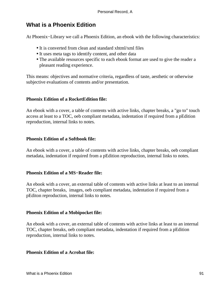# **What is a Phoenix Edition**

At Phoenix−Library we call a Phoenix Edition, an ebook with the following characteristics:

- It is converted from clean and standard xhtml/xml files
- It uses meta tags to identify content, and other data
- The available resources specific to each ebook format are used to give the reader a pleasant reading experience.

This means: objectives and normative criteria, regardless of taste, aesthetic or otherwise subjective evaluations of contents and/or presentation.

# **Phoenix Edition of a RocketEdition file:**

An ebook with a cover, a table of contents with active links, chapter breaks, a "go to" touch access at least to a TOC, oeb compliant metadata, indentation if required from a pEdition reproduction, internal links to notes.

# **Phoenix Edition of a Softbook file:**

An ebook with a cover, a table of contents with active links, chapter breaks, oeb compliant metadata, indentation if required from a pEdition reproduction, internal links to notes.

# **Phoenix Edition of a MS−Reader file:**

An ebook with a cover, an external table of contents with active links at least to an internal TOC, chapter breaks, images, oeb compliant metadata, indentation if required from a pEditon reproduction, internal links to notes.

# **Phoenix Edition of a Mobipocket file:**

An ebook with a cover, an external table of contents with active links at least to an internal TOC, chapter breaks, oeb compliant metadata, indentation if required from a pEdition reproduction, internal links to notes.

### **Phoenix Edition of a Acrobat file:**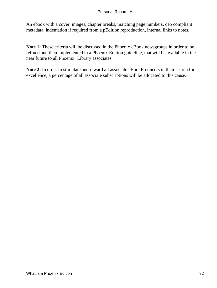An ebook with a cover, images, chapter breaks, matching page numbers, oeb compliant metadata, indentation if required from a pEdition reproduction, internal links to notes.

**Note 1:** These criteria will be discussed in the Phoenix eBook newsgroups in order to be refined and then implemented in a Phoenix Edition guideline, that will be available in the near future to all Phoenix−Library associates.

**Note 2:** In order to stimulate and reward all associate eBookProducers in their search for excellence, a percentage of all associate subscriptions will be allocated to this cause.